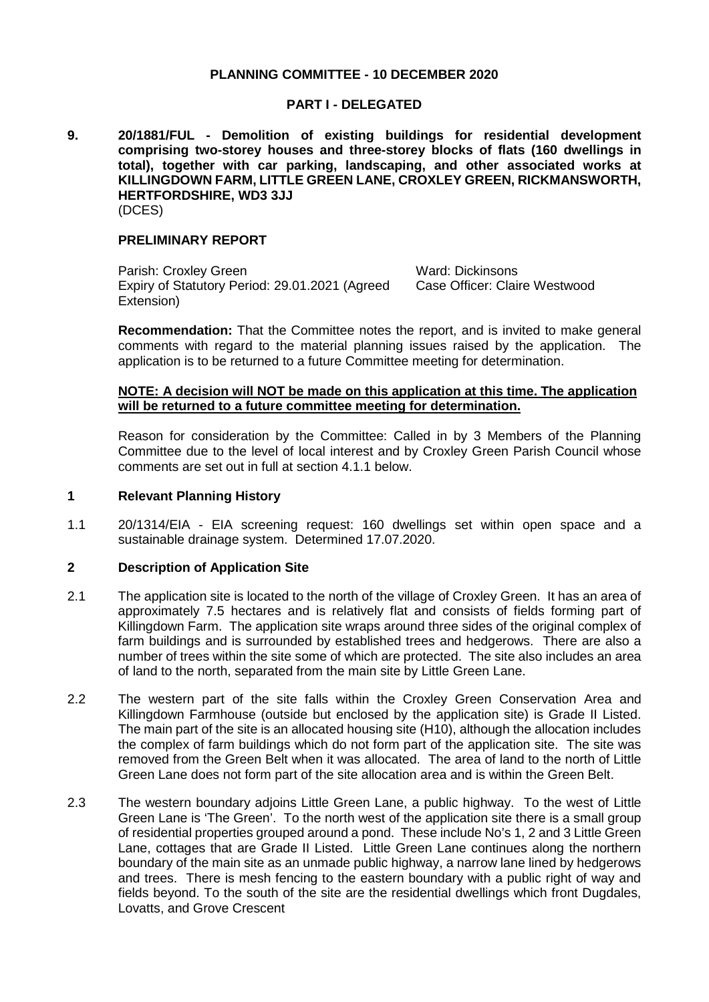### **PLANNING COMMITTEE - 10 DECEMBER 2020**

### **PART I - DELEGATED**

**9. 20/1881/FUL - Demolition of existing buildings for residential development comprising two-storey houses and three-storey blocks of flats (160 dwellings in total), together with car parking, landscaping, and other associated works at KILLINGDOWN FARM, LITTLE GREEN LANE, CROXLEY GREEN, RICKMANSWORTH, HERTFORDSHIRE, WD3 3JJ** (DCES)

### **PRELIMINARY REPORT**

Parish: Croxley Green Ward: Dickinsons Expiry of Statutory Period: 29.01.2021 (Agreed Extension)

Case Officer: Claire Westwood

**Recommendation:** That the Committee notes the report, and is invited to make general comments with regard to the material planning issues raised by the application. The application is to be returned to a future Committee meeting for determination.

### **NOTE: A decision will NOT be made on this application at this time. The application will be returned to a future committee meeting for determination.**

Reason for consideration by the Committee: Called in by 3 Members of the Planning Committee due to the level of local interest and by Croxley Green Parish Council whose comments are set out in full at section 4.1.1 below.

### **1 Relevant Planning History**

1.1 20/1314/EIA - EIA screening request: 160 dwellings set within open space and a sustainable drainage system. Determined 17.07.2020.

# **2 Description of Application Site**

- 2.1 The application site is located to the north of the village of Croxley Green. It has an area of approximately 7.5 hectares and is relatively flat and consists of fields forming part of Killingdown Farm. The application site wraps around three sides of the original complex of farm buildings and is surrounded by established trees and hedgerows. There are also a number of trees within the site some of which are protected. The site also includes an area of land to the north, separated from the main site by Little Green Lane.
- 2.2 The western part of the site falls within the Croxley Green Conservation Area and Killingdown Farmhouse (outside but enclosed by the application site) is Grade II Listed. The main part of the site is an allocated housing site (H10), although the allocation includes the complex of farm buildings which do not form part of the application site. The site was removed from the Green Belt when it was allocated. The area of land to the north of Little Green Lane does not form part of the site allocation area and is within the Green Belt.
- 2.3 The western boundary adjoins Little Green Lane, a public highway. To the west of Little Green Lane is 'The Green'. To the north west of the application site there is a small group of residential properties grouped around a pond. These include No's 1, 2 and 3 Little Green Lane, cottages that are Grade II Listed. Little Green Lane continues along the northern boundary of the main site as an unmade public highway, a narrow lane lined by hedgerows and trees. There is mesh fencing to the eastern boundary with a public right of way and fields beyond. To the south of the site are the residential dwellings which front Dugdales, Lovatts, and Grove Crescent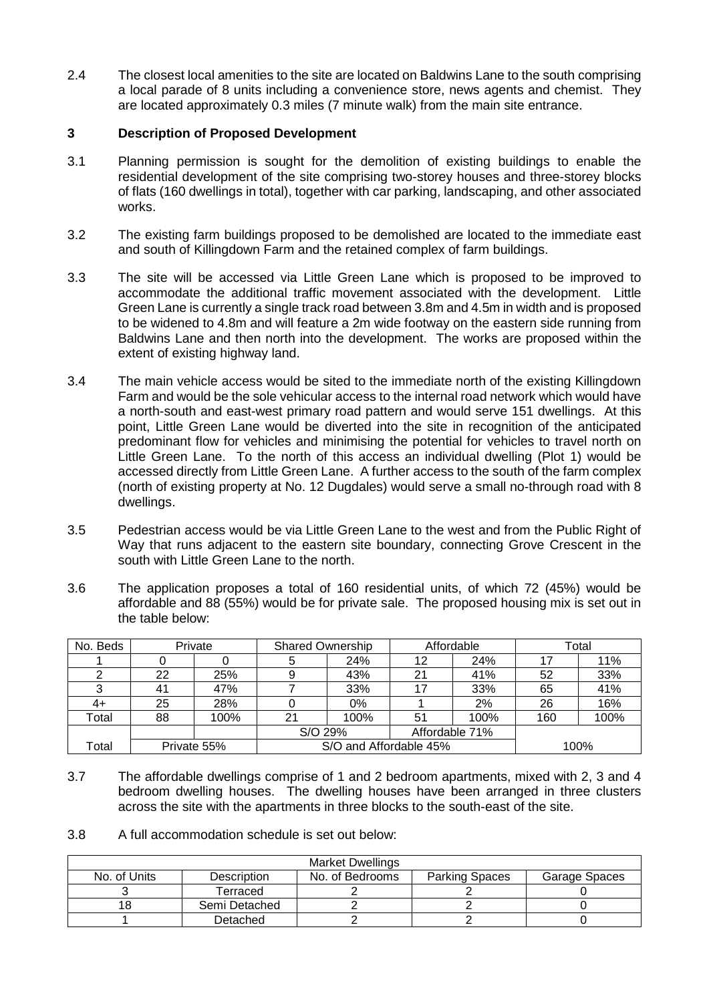2.4 The closest local amenities to the site are located on Baldwins Lane to the south comprising a local parade of 8 units including a convenience store, news agents and chemist. They are located approximately 0.3 miles (7 minute walk) from the main site entrance.

# **3 Description of Proposed Development**

- 3.1 Planning permission is sought for the demolition of existing buildings to enable the residential development of the site comprising two-storey houses and three-storey blocks of flats (160 dwellings in total), together with car parking, landscaping, and other associated works.
- 3.2 The existing farm buildings proposed to be demolished are located to the immediate east and south of Killingdown Farm and the retained complex of farm buildings.
- 3.3 The site will be accessed via Little Green Lane which is proposed to be improved to accommodate the additional traffic movement associated with the development. Little Green Lane is currently a single track road between 3.8m and 4.5m in width and is proposed to be widened to 4.8m and will feature a 2m wide footway on the eastern side running from Baldwins Lane and then north into the development. The works are proposed within the extent of existing highway land.
- 3.4 The main vehicle access would be sited to the immediate north of the existing Killingdown Farm and would be the sole vehicular access to the internal road network which would have a north-south and east-west primary road pattern and would serve 151 dwellings. At this point, Little Green Lane would be diverted into the site in recognition of the anticipated predominant flow for vehicles and minimising the potential for vehicles to travel north on Little Green Lane. To the north of this access an individual dwelling (Plot 1) would be accessed directly from Little Green Lane. A further access to the south of the farm complex (north of existing property at No. 12 Dugdales) would serve a small no-through road with 8 dwellings.
- 3.5 Pedestrian access would be via Little Green Lane to the west and from the Public Right of Way that runs adjacent to the eastern site boundary, connecting Grove Crescent in the south with Little Green Lane to the north.
- 3.6 The application proposes a total of 160 residential units, of which 72 (45%) would be affordable and 88 (55%) would be for private sale. The proposed housing mix is set out in the table below:

| No. Beds | Private     |      | <b>Shared Ownership</b> |                        | Affordable     |      | Total |      |
|----------|-------------|------|-------------------------|------------------------|----------------|------|-------|------|
|          |             |      |                         | 24%                    | 12             | 24%  |       | 11%  |
|          | 22          | 25%  |                         | 43%                    | 21             | 41%  | 52    | 33%  |
|          | 41          | 47%  |                         | 33%                    | 17             | 33%  | 65    | 41%  |
| $4+$     | 25          | 28%  |                         | 0%                     |                | 2%   | 26    | 16%  |
| Total    | 88          | 100% | 21                      | 100%                   | 51             | 100% | 160   | 100% |
|          |             |      | S/O 29%                 |                        | Affordable 71% |      |       |      |
| Total    | Private 55% |      |                         | S/O and Affordable 45% |                | 100% |       |      |

3.7 The affordable dwellings comprise of 1 and 2 bedroom apartments, mixed with 2, 3 and 4 bedroom dwelling houses. The dwelling houses have been arranged in three clusters across the site with the apartments in three blocks to the south-east of the site.

3.8 A full accommodation schedule is set out below:

| <b>Market Dwellings</b> |                    |                       |               |  |  |  |  |
|-------------------------|--------------------|-----------------------|---------------|--|--|--|--|
| No. of Units            | <b>Description</b> | <b>Parking Spaces</b> | Garage Spaces |  |  |  |  |
|                         | Terraced           |                       |               |  |  |  |  |
|                         | Semi Detached      |                       |               |  |  |  |  |
|                         | Detached           |                       |               |  |  |  |  |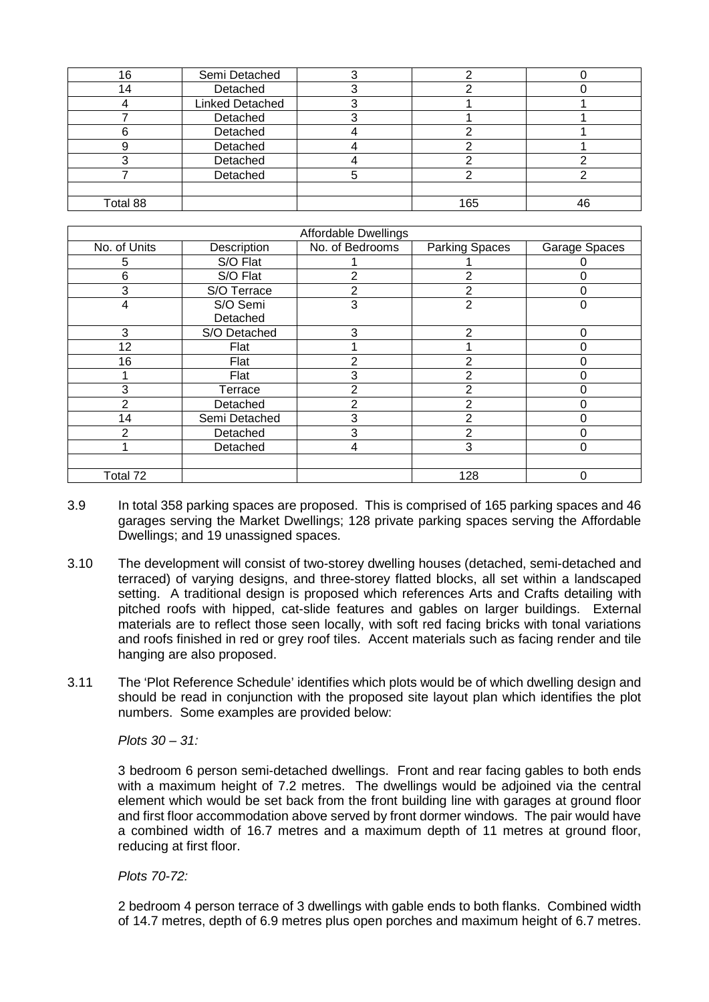| 16       | Semi Detached          |     |    |
|----------|------------------------|-----|----|
|          | Detached               |     |    |
|          | <b>Linked Detached</b> |     |    |
|          | Detached               |     |    |
|          | Detached               |     |    |
|          | Detached               |     |    |
|          | Detached               |     |    |
|          | Detached               |     |    |
|          |                        |     |    |
| Total 88 |                        | 165 | 46 |

| Affordable Dwellings |               |                 |                       |               |  |  |  |
|----------------------|---------------|-----------------|-----------------------|---------------|--|--|--|
| No. of Units         | Description   | No. of Bedrooms | <b>Parking Spaces</b> | Garage Spaces |  |  |  |
| 5                    | S/O Flat      |                 |                       |               |  |  |  |
| 6                    | S/O Flat      | 2               | 2                     |               |  |  |  |
| 3                    | S/O Terrace   | 2               | 2                     | O             |  |  |  |
| 4                    | S/O Semi      | 3               | 2                     | 0             |  |  |  |
|                      | Detached      |                 |                       |               |  |  |  |
| 3                    | S/O Detached  | 3               | $\mathbf{2}$          | 0             |  |  |  |
| 12                   | Flat          |                 |                       |               |  |  |  |
| 16                   | Flat          | っ               | 2                     |               |  |  |  |
|                      | Flat          | 3               | 2                     |               |  |  |  |
| 3                    | Terrace       | 2               | 2                     |               |  |  |  |
| 2                    | Detached      | ⌒               | 2                     |               |  |  |  |
| 14                   | Semi Detached | 3               | 2                     |               |  |  |  |
| 2                    | Detached      | 3               | 2                     |               |  |  |  |
|                      | Detached      | 4               | 3                     | 0             |  |  |  |
|                      |               |                 |                       |               |  |  |  |
| Total 72             |               |                 | 128                   | 0             |  |  |  |

- 3.9 In total 358 parking spaces are proposed. This is comprised of 165 parking spaces and 46 garages serving the Market Dwellings; 128 private parking spaces serving the Affordable Dwellings; and 19 unassigned spaces.
- 3.10 The development will consist of two-storey dwelling houses (detached, semi-detached and terraced) of varying designs, and three-storey flatted blocks, all set within a landscaped setting. A traditional design is proposed which references Arts and Crafts detailing with pitched roofs with hipped, cat-slide features and gables on larger buildings. External materials are to reflect those seen locally, with soft red facing bricks with tonal variations and roofs finished in red or grey roof tiles. Accent materials such as facing render and tile hanging are also proposed.
- 3.11 The 'Plot Reference Schedule' identifies which plots would be of which dwelling design and should be read in conjunction with the proposed site layout plan which identifies the plot numbers. Some examples are provided below:

*Plots 30 – 31:*

3 bedroom 6 person semi-detached dwellings. Front and rear facing gables to both ends with a maximum height of 7.2 metres. The dwellings would be adjoined via the central element which would be set back from the front building line with garages at ground floor and first floor accommodation above served by front dormer windows. The pair would have a combined width of 16.7 metres and a maximum depth of 11 metres at ground floor, reducing at first floor.

*Plots 70-72:*

2 bedroom 4 person terrace of 3 dwellings with gable ends to both flanks. Combined width of 14.7 metres, depth of 6.9 metres plus open porches and maximum height of 6.7 metres.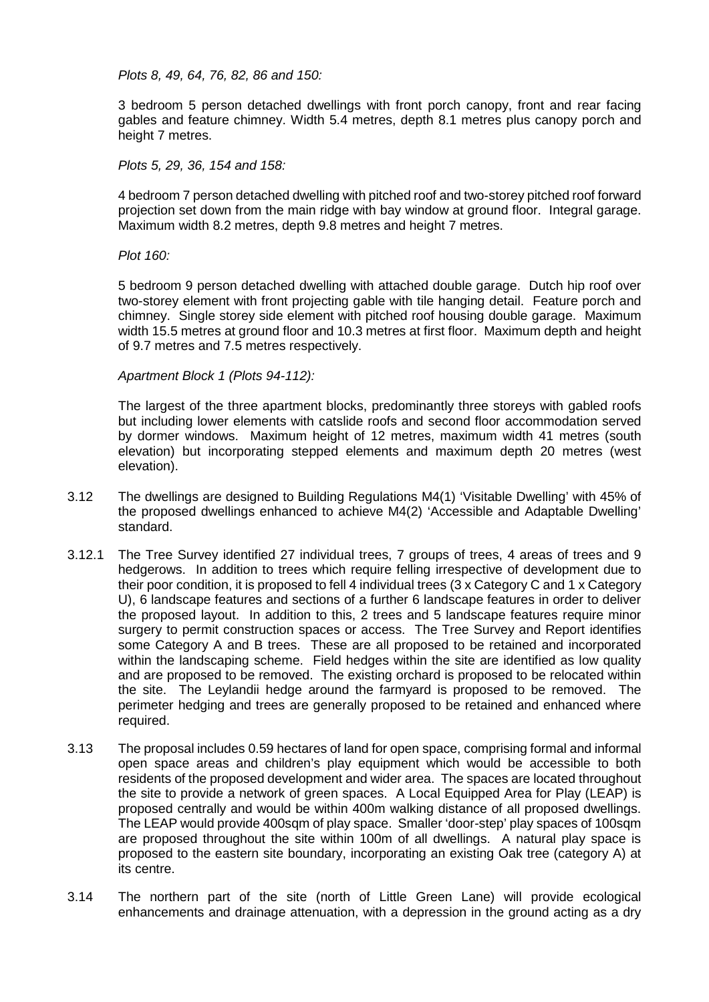*Plots 8, 49, 64, 76, 82, 86 and 150:*

3 bedroom 5 person detached dwellings with front porch canopy, front and rear facing gables and feature chimney. Width 5.4 metres, depth 8.1 metres plus canopy porch and height 7 metres.

*Plots 5, 29, 36, 154 and 158:*

4 bedroom 7 person detached dwelling with pitched roof and two-storey pitched roof forward projection set down from the main ridge with bay window at ground floor. Integral garage. Maximum width 8.2 metres, depth 9.8 metres and height 7 metres.

### *Plot 160:*

5 bedroom 9 person detached dwelling with attached double garage. Dutch hip roof over two-storey element with front projecting gable with tile hanging detail. Feature porch and chimney. Single storey side element with pitched roof housing double garage. Maximum width 15.5 metres at ground floor and 10.3 metres at first floor. Maximum depth and height of 9.7 metres and 7.5 metres respectively.

*Apartment Block 1 (Plots 94-112):*

The largest of the three apartment blocks, predominantly three storeys with gabled roofs but including lower elements with catslide roofs and second floor accommodation served by dormer windows. Maximum height of 12 metres, maximum width 41 metres (south elevation) but incorporating stepped elements and maximum depth 20 metres (west elevation).

- 3.12 The dwellings are designed to Building Regulations M4(1) 'Visitable Dwelling' with 45% of the proposed dwellings enhanced to achieve M4(2) 'Accessible and Adaptable Dwelling' standard.
- 3.12.1 The Tree Survey identified 27 individual trees, 7 groups of trees, 4 areas of trees and 9 hedgerows. In addition to trees which require felling irrespective of development due to their poor condition, it is proposed to fell 4 individual trees (3 x Category C and 1 x Category U), 6 landscape features and sections of a further 6 landscape features in order to deliver the proposed layout. In addition to this, 2 trees and 5 landscape features require minor surgery to permit construction spaces or access. The Tree Survey and Report identifies some Category A and B trees. These are all proposed to be retained and incorporated within the landscaping scheme. Field hedges within the site are identified as low quality and are proposed to be removed. The existing orchard is proposed to be relocated within the site. The Leylandii hedge around the farmyard is proposed to be removed. The perimeter hedging and trees are generally proposed to be retained and enhanced where required.
- 3.13 The proposal includes 0.59 hectares of land for open space, comprising formal and informal open space areas and children's play equipment which would be accessible to both residents of the proposed development and wider area. The spaces are located throughout the site to provide a network of green spaces. A Local Equipped Area for Play (LEAP) is proposed centrally and would be within 400m walking distance of all proposed dwellings. The LEAP would provide 400sqm of play space. Smaller 'door-step' play spaces of 100sqm are proposed throughout the site within 100m of all dwellings. A natural play space is proposed to the eastern site boundary, incorporating an existing Oak tree (category A) at its centre.
- 3.14 The northern part of the site (north of Little Green Lane) will provide ecological enhancements and drainage attenuation, with a depression in the ground acting as a dry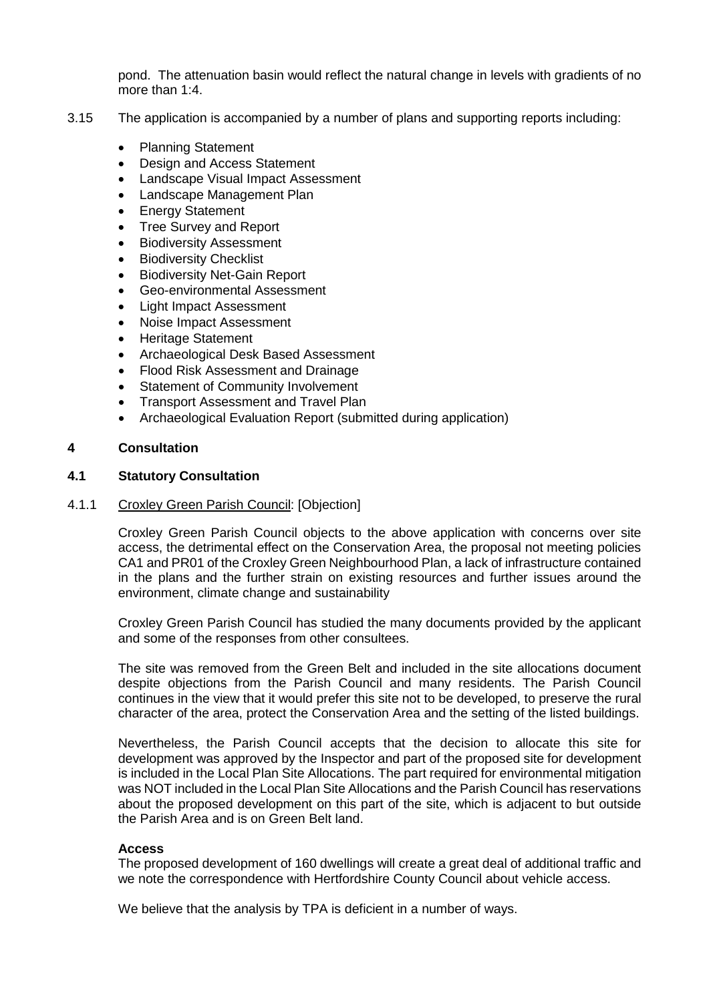pond. The attenuation basin would reflect the natural change in levels with gradients of no more than 1:4.

- 3.15 The application is accompanied by a number of plans and supporting reports including:
	- Planning Statement
	- Design and Access Statement
	- Landscape Visual Impact Assessment
	- Landscape Management Plan
	- **Energy Statement**
	- Tree Survey and Report
	- Biodiversity Assessment
	- **Biodiversity Checklist**
	- Biodiversity Net-Gain Report
	- Geo-environmental Assessment
	- Light Impact Assessment
	- Noise Impact Assessment
	- Heritage Statement
	- Archaeological Desk Based Assessment
	- Flood Risk Assessment and Drainage
	- **Statement of Community Involvement**
	- Transport Assessment and Travel Plan
	- Archaeological Evaluation Report (submitted during application)

## **4 Consultation**

# **4.1 Statutory Consultation**

## 4.1.1 Croxley Green Parish Council: [Objection]

Croxley Green Parish Council objects to the above application with concerns over site access, the detrimental effect on the Conservation Area, the proposal not meeting policies CA1 and PR01 of the Croxley Green Neighbourhood Plan, a lack of infrastructure contained in the plans and the further strain on existing resources and further issues around the environment, climate change and sustainability

Croxley Green Parish Council has studied the many documents provided by the applicant and some of the responses from other consultees.

The site was removed from the Green Belt and included in the site allocations document despite objections from the Parish Council and many residents. The Parish Council continues in the view that it would prefer this site not to be developed, to preserve the rural character of the area, protect the Conservation Area and the setting of the listed buildings.

Nevertheless, the Parish Council accepts that the decision to allocate this site for development was approved by the Inspector and part of the proposed site for development is included in the Local Plan Site Allocations. The part required for environmental mitigation was NOT included in the Local Plan Site Allocations and the Parish Council has reservations about the proposed development on this part of the site, which is adjacent to but outside the Parish Area and is on Green Belt land.

### **Access**

The proposed development of 160 dwellings will create a great deal of additional traffic and we note the correspondence with Hertfordshire County Council about vehicle access.

We believe that the analysis by TPA is deficient in a number of ways.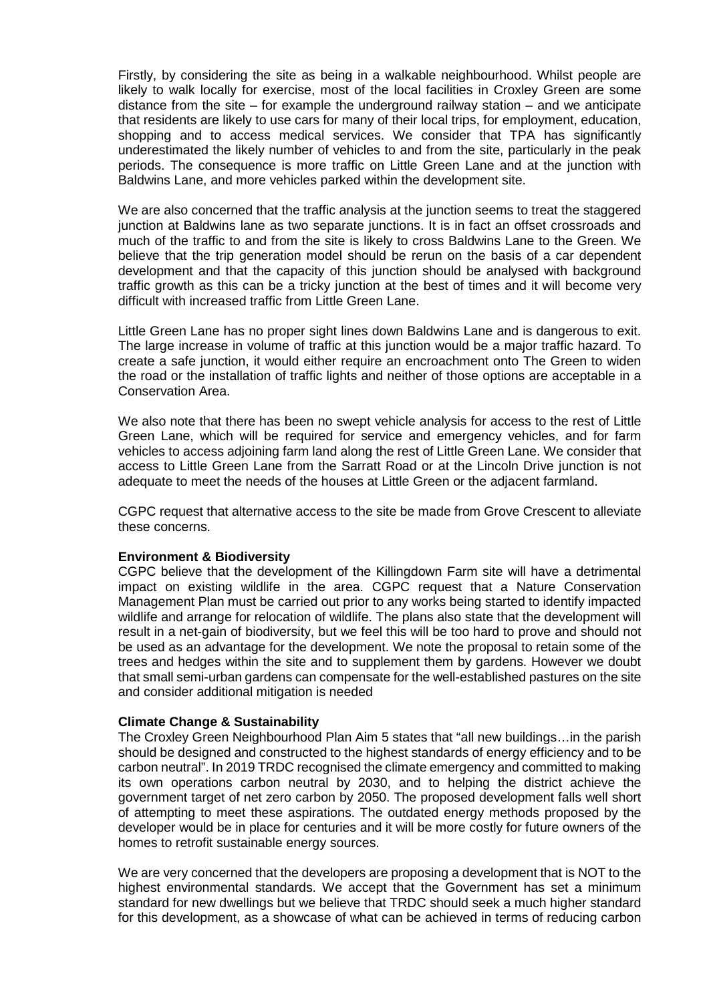Firstly, by considering the site as being in a walkable neighbourhood. Whilst people are likely to walk locally for exercise, most of the local facilities in Croxley Green are some distance from the site  $-$  for example the underground railway station  $-$  and we anticipate that residents are likely to use cars for many of their local trips, for employment, education, shopping and to access medical services. We consider that TPA has significantly underestimated the likely number of vehicles to and from the site, particularly in the peak periods. The consequence is more traffic on Little Green Lane and at the junction with Baldwins Lane, and more vehicles parked within the development site.

We are also concerned that the traffic analysis at the junction seems to treat the staggered junction at Baldwins lane as two separate junctions. It is in fact an offset crossroads and much of the traffic to and from the site is likely to cross Baldwins Lane to the Green. We believe that the trip generation model should be rerun on the basis of a car dependent development and that the capacity of this junction should be analysed with background traffic growth as this can be a tricky junction at the best of times and it will become very difficult with increased traffic from Little Green Lane.

Little Green Lane has no proper sight lines down Baldwins Lane and is dangerous to exit. The large increase in volume of traffic at this junction would be a major traffic hazard. To create a safe junction, it would either require an encroachment onto The Green to widen the road or the installation of traffic lights and neither of those options are acceptable in a Conservation Area.

We also note that there has been no swept vehicle analysis for access to the rest of Little Green Lane, which will be required for service and emergency vehicles, and for farm vehicles to access adjoining farm land along the rest of Little Green Lane. We consider that access to Little Green Lane from the Sarratt Road or at the Lincoln Drive junction is not adequate to meet the needs of the houses at Little Green or the adjacent farmland.

CGPC request that alternative access to the site be made from Grove Crescent to alleviate these concerns.

### **Environment & Biodiversity**

CGPC believe that the development of the Killingdown Farm site will have a detrimental impact on existing wildlife in the area. CGPC request that a Nature Conservation Management Plan must be carried out prior to any works being started to identify impacted wildlife and arrange for relocation of wildlife. The plans also state that the development will result in a net-gain of biodiversity, but we feel this will be too hard to prove and should not be used as an advantage for the development. We note the proposal to retain some of the trees and hedges within the site and to supplement them by gardens. However we doubt that small semi-urban gardens can compensate for the well-established pastures on the site and consider additional mitigation is needed

### **Climate Change & Sustainability**

The Croxley Green Neighbourhood Plan Aim 5 states that "all new buildings…in the parish should be designed and constructed to the highest standards of energy efficiency and to be carbon neutral". In 2019 TRDC recognised the climate emergency and committed to making its own operations carbon neutral by 2030, and to helping the district achieve the government target of net zero carbon by 2050. The proposed development falls well short of attempting to meet these aspirations. The outdated energy methods proposed by the developer would be in place for centuries and it will be more costly for future owners of the homes to retrofit sustainable energy sources.

We are very concerned that the developers are proposing a development that is NOT to the highest environmental standards. We accept that the Government has set a minimum standard for new dwellings but we believe that TRDC should seek a much higher standard for this development, as a showcase of what can be achieved in terms of reducing carbon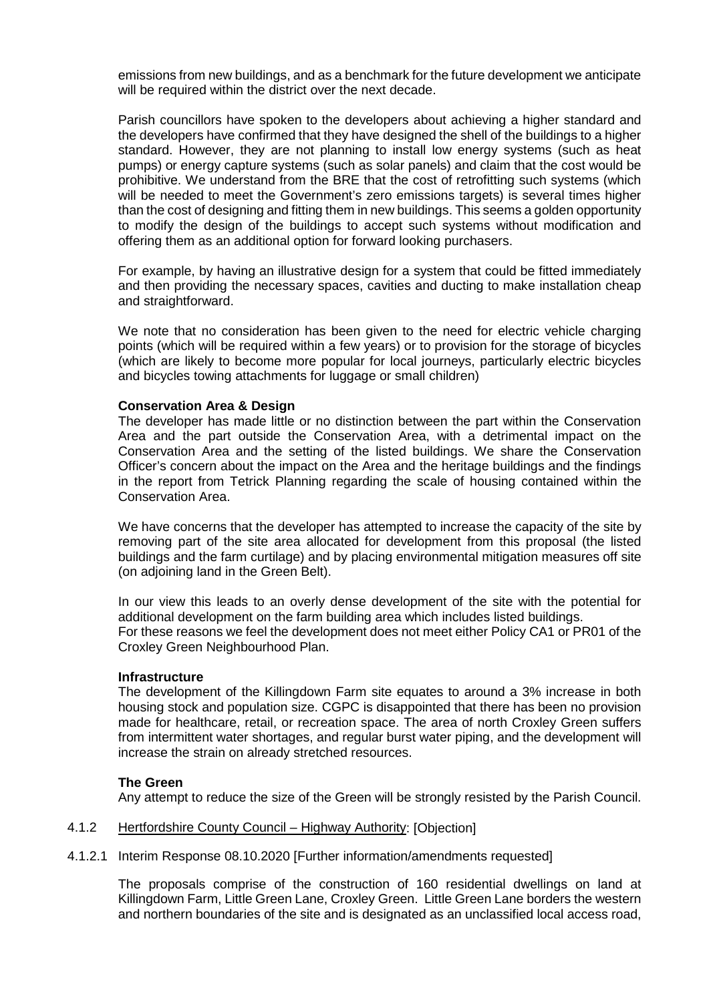emissions from new buildings, and as a benchmark for the future development we anticipate will be required within the district over the next decade.

Parish councillors have spoken to the developers about achieving a higher standard and the developers have confirmed that they have designed the shell of the buildings to a higher standard. However, they are not planning to install low energy systems (such as heat pumps) or energy capture systems (such as solar panels) and claim that the cost would be prohibitive. We understand from the BRE that the cost of retrofitting such systems (which will be needed to meet the Government's zero emissions targets) is several times higher than the cost of designing and fitting them in new buildings. This seems a golden opportunity to modify the design of the buildings to accept such systems without modification and offering them as an additional option for forward looking purchasers.

For example, by having an illustrative design for a system that could be fitted immediately and then providing the necessary spaces, cavities and ducting to make installation cheap and straightforward.

We note that no consideration has been given to the need for electric vehicle charging points (which will be required within a few years) or to provision for the storage of bicycles (which are likely to become more popular for local journeys, particularly electric bicycles and bicycles towing attachments for luggage or small children)

### **Conservation Area & Design**

The developer has made little or no distinction between the part within the Conservation Area and the part outside the Conservation Area, with a detrimental impact on the Conservation Area and the setting of the listed buildings. We share the Conservation Officer's concern about the impact on the Area and the heritage buildings and the findings in the report from Tetrick Planning regarding the scale of housing contained within the Conservation Area.

We have concerns that the developer has attempted to increase the capacity of the site by removing part of the site area allocated for development from this proposal (the listed buildings and the farm curtilage) and by placing environmental mitigation measures off site (on adjoining land in the Green Belt).

In our view this leads to an overly dense development of the site with the potential for additional development on the farm building area which includes listed buildings. For these reasons we feel the development does not meet either Policy CA1 or PR01 of the Croxley Green Neighbourhood Plan.

### **Infrastructure**

The development of the Killingdown Farm site equates to around a 3% increase in both housing stock and population size. CGPC is disappointed that there has been no provision made for healthcare, retail, or recreation space. The area of north Croxley Green suffers from intermittent water shortages, and regular burst water piping, and the development will increase the strain on already stretched resources.

### **The Green**

Any attempt to reduce the size of the Green will be strongly resisted by the Parish Council.

#### 4.1.2 Hertfordshire County Council – Highway Authority: [Objection]

4.1.2.1 Interim Response 08.10.2020 [Further information/amendments requested]

The proposals comprise of the construction of 160 residential dwellings on land at Killingdown Farm, Little Green Lane, Croxley Green. Little Green Lane borders the western and northern boundaries of the site and is designated as an unclassified local access road,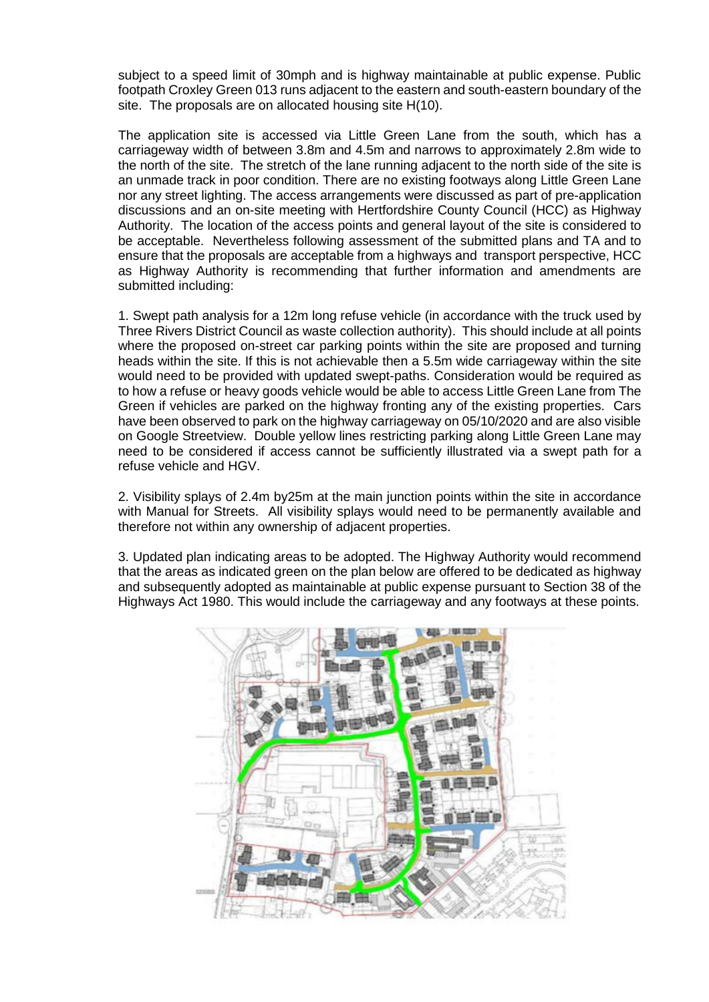subject to a speed limit of 30mph and is highway maintainable at public expense. Public footpath Croxley Green 013 runs adjacent to the eastern and south-eastern boundary of the site. The proposals are on allocated housing site H(10).

The application site is accessed via Little Green Lane from the south, which has a carriageway width of between 3.8m and 4.5m and narrows to approximately 2.8m wide to the north of the site. The stretch of the lane running adjacent to the north side of the site is an unmade track in poor condition. There are no existing footways along Little Green Lane nor any street lighting. The access arrangements were discussed as part of pre-application discussions and an on-site meeting with Hertfordshire County Council (HCC) as Highway Authority. The location of the access points and general layout of the site is considered to be acceptable. Nevertheless following assessment of the submitted plans and TA and to ensure that the proposals are acceptable from a highways and transport perspective, HCC as Highway Authority is recommending that further information and amendments are submitted including:

1. Swept path analysis for a 12m long refuse vehicle (in accordance with the truck used by Three Rivers District Council as waste collection authority). This should include at all points where the proposed on-street car parking points within the site are proposed and turning heads within the site. If this is not achievable then a 5.5m wide carriageway within the site would need to be provided with updated swept-paths. Consideration would be required as to how a refuse or heavy goods vehicle would be able to access Little Green Lane from The Green if vehicles are parked on the highway fronting any of the existing properties. Cars have been observed to park on the highway carriageway on 05/10/2020 and are also visible on Google Streetview. Double yellow lines restricting parking along Little Green Lane may need to be considered if access cannot be sufficiently illustrated via a swept path for a refuse vehicle and HGV.

2. Visibility splays of 2.4m by25m at the main junction points within the site in accordance with Manual for Streets. All visibility splays would need to be permanently available and therefore not within any ownership of adjacent properties.

3. Updated plan indicating areas to be adopted. The Highway Authority would recommend that the areas as indicated green on the plan below are offered to be dedicated as highway and subsequently adopted as maintainable at public expense pursuant to Section 38 of the Highways Act 1980. This would include the carriageway and any footways at these points.

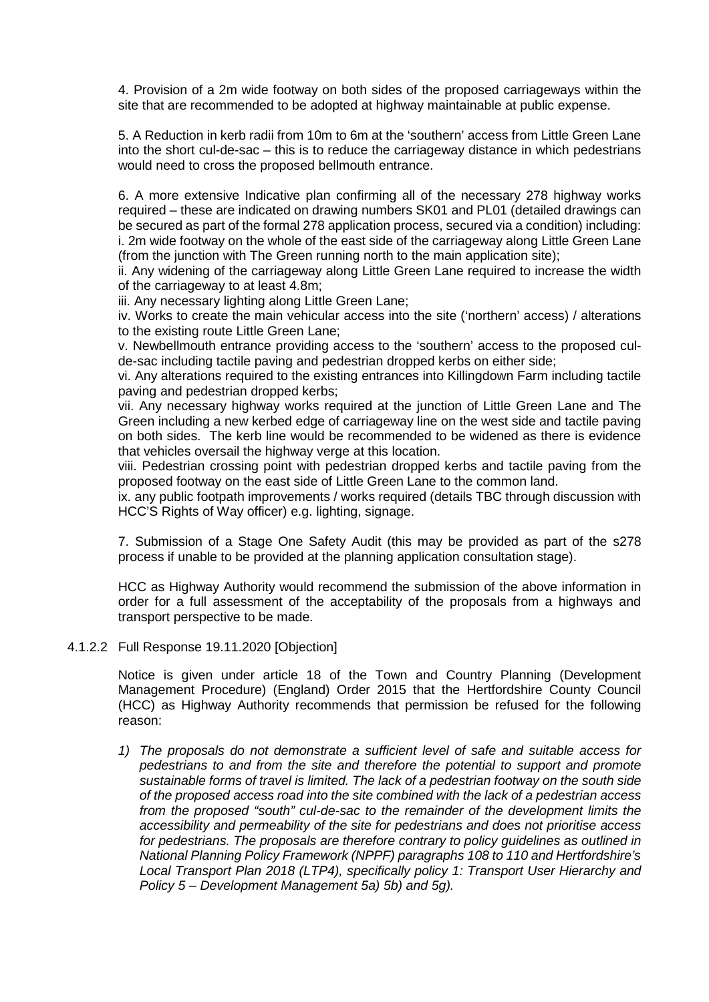4. Provision of a 2m wide footway on both sides of the proposed carriageways within the site that are recommended to be adopted at highway maintainable at public expense.

5. A Reduction in kerb radii from 10m to 6m at the 'southern' access from Little Green Lane into the short cul-de-sac – this is to reduce the carriageway distance in which pedestrians would need to cross the proposed bellmouth entrance.

6. A more extensive Indicative plan confirming all of the necessary 278 highway works required – these are indicated on drawing numbers SK01 and PL01 (detailed drawings can be secured as part of the formal 278 application process, secured via a condition) including: i. 2m wide footway on the whole of the east side of the carriageway along Little Green Lane (from the junction with The Green running north to the main application site);

ii. Any widening of the carriageway along Little Green Lane required to increase the width of the carriageway to at least 4.8m;

iii. Any necessary lighting along Little Green Lane:

iv. Works to create the main vehicular access into the site ('northern' access) / alterations to the existing route Little Green Lane;

v. Newbellmouth entrance providing access to the 'southern' access to the proposed culde-sac including tactile paving and pedestrian dropped kerbs on either side;

vi. Any alterations required to the existing entrances into Killingdown Farm including tactile paving and pedestrian dropped kerbs;

vii. Any necessary highway works required at the junction of Little Green Lane and The Green including a new kerbed edge of carriageway line on the west side and tactile paving on both sides. The kerb line would be recommended to be widened as there is evidence that vehicles oversail the highway verge at this location.

viii. Pedestrian crossing point with pedestrian dropped kerbs and tactile paving from the proposed footway on the east side of Little Green Lane to the common land.

ix. any public footpath improvements / works required (details TBC through discussion with HCC'S Rights of Way officer) e.g. lighting, signage.

7. Submission of a Stage One Safety Audit (this may be provided as part of the s278 process if unable to be provided at the planning application consultation stage).

HCC as Highway Authority would recommend the submission of the above information in order for a full assessment of the acceptability of the proposals from a highways and transport perspective to be made.

4.1.2.2 Full Response 19.11.2020 [Objection]

Notice is given under article 18 of the Town and Country Planning (Development Management Procedure) (England) Order 2015 that the Hertfordshire County Council (HCC) as Highway Authority recommends that permission be refused for the following reason:

*1) The proposals do not demonstrate a sufficient level of safe and suitable access for pedestrians to and from the site and therefore the potential to support and promote sustainable forms of travel is limited. The lack of a pedestrian footway on the south side of the proposed access road into the site combined with the lack of a pedestrian access from the proposed "south" cul-de-sac to the remainder of the development limits the accessibility and permeability of the site for pedestrians and does not prioritise access for pedestrians. The proposals are therefore contrary to policy guidelines as outlined in National Planning Policy Framework (NPPF) paragraphs 108 to 110 and Hertfordshire's Local Transport Plan 2018 (LTP4), specifically policy 1: Transport User Hierarchy and Policy 5 – Development Management 5a) 5b) and 5g).*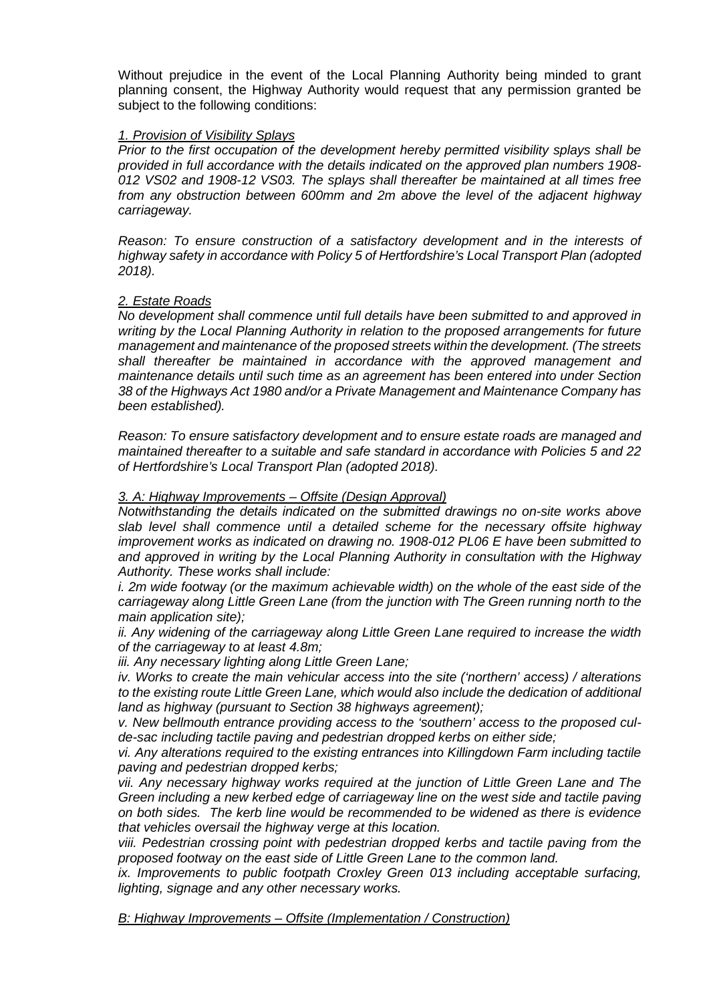Without prejudice in the event of the Local Planning Authority being minded to grant planning consent, the Highway Authority would request that any permission granted be subject to the following conditions:

### *1. Provision of Visibility Splays*

*Prior to the first occupation of the development hereby permitted visibility splays shall be provided in full accordance with the details indicated on the approved plan numbers 1908- 012 VS02 and 1908-12 VS03. The splays shall thereafter be maintained at all times free from any obstruction between 600mm and 2m above the level of the adjacent highway carriageway.*

*Reason: To ensure construction of a satisfactory development and in the interests of highway safety in accordance with Policy 5 of Hertfordshire's Local Transport Plan (adopted 2018).*

# *2. Estate Roads*

*No development shall commence until full details have been submitted to and approved in writing by the Local Planning Authority in relation to the proposed arrangements for future management and maintenance of the proposed streets within the development. (The streets shall thereafter be maintained in accordance with the approved management and maintenance details until such time as an agreement has been entered into under Section 38 of the Highways Act 1980 and/or a Private Management and Maintenance Company has been established).*

*Reason: To ensure satisfactory development and to ensure estate roads are managed and maintained thereafter to a suitable and safe standard in accordance with Policies 5 and 22 of Hertfordshire's Local Transport Plan (adopted 2018).*

### *3. A: Highway Improvements – Offsite (Design Approval)*

*Notwithstanding the details indicated on the submitted drawings no on-site works above slab level shall commence until a detailed scheme for the necessary offsite highway improvement works as indicated on drawing no. 1908-012 PL06 E have been submitted to and approved in writing by the Local Planning Authority in consultation with the Highway Authority. These works shall include:*

*i. 2m wide footway (or the maximum achievable width) on the whole of the east side of the carriageway along Little Green Lane (from the junction with The Green running north to the main application site);*

*ii. Any widening of the carriageway along Little Green Lane required to increase the width of the carriageway to at least 4.8m;*

*iii. Any necessary lighting along Little Green Lane;*

*iv. Works to create the main vehicular access into the site ('northern' access) / alterations to the existing route Little Green Lane, which would also include the dedication of additional land as highway (pursuant to Section 38 highways agreement);*

*v. New bellmouth entrance providing access to the 'southern' access to the proposed culde-sac including tactile paving and pedestrian dropped kerbs on either side;*

*vi. Any alterations required to the existing entrances into Killingdown Farm including tactile paving and pedestrian dropped kerbs;*

*vii. Any necessary highway works required at the junction of Little Green Lane and The Green including a new kerbed edge of carriageway line on the west side and tactile paving on both sides. The kerb line would be recommended to be widened as there is evidence that vehicles oversail the highway verge at this location.*

*viii. Pedestrian crossing point with pedestrian dropped kerbs and tactile paving from the proposed footway on the east side of Little Green Lane to the common land.*

*ix. Improvements to public footpath Croxley Green 013 including acceptable surfacing, lighting, signage and any other necessary works.*

*B: Highway Improvements – Offsite (Implementation / Construction)*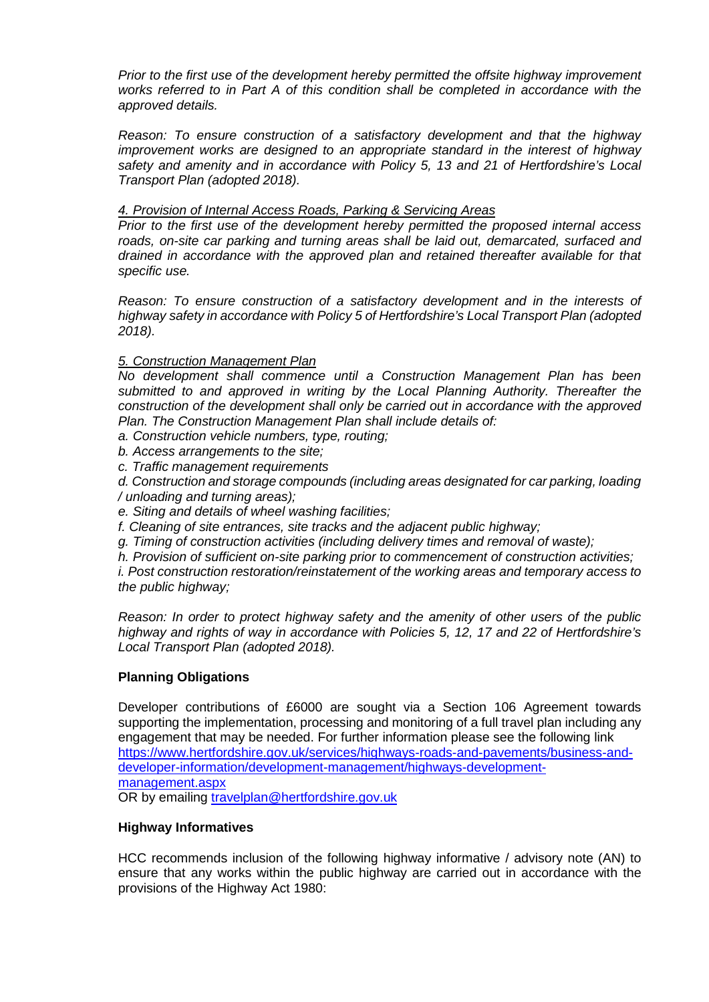*Prior to the first use of the development hereby permitted the offsite highway improvement works referred to in Part A of this condition shall be completed in accordance with the approved details.*

*Reason: To ensure construction of a satisfactory development and that the highway improvement works are designed to an appropriate standard in the interest of highway safety and amenity and in accordance with Policy 5, 13 and 21 of Hertfordshire's Local Transport Plan (adopted 2018).*

## *4. Provision of Internal Access Roads, Parking & Servicing Areas*

*Prior to the first use of the development hereby permitted the proposed internal access roads, on-site car parking and turning areas shall be laid out, demarcated, surfaced and drained in accordance with the approved plan and retained thereafter available for that specific use.*

*Reason: To ensure construction of a satisfactory development and in the interests of highway safety in accordance with Policy 5 of Hertfordshire's Local Transport Plan (adopted 2018).*

### *5. Construction Management Plan*

*No development shall commence until a Construction Management Plan has been submitted to and approved in writing by the Local Planning Authority. Thereafter the construction of the development shall only be carried out in accordance with the approved Plan. The Construction Management Plan shall include details of:*

- *a. Construction vehicle numbers, type, routing;*
- *b. Access arrangements to the site;*
- *c. Traffic management requirements*
- *d. Construction and storage compounds (including areas designated for car parking, loading / unloading and turning areas);*
- *e. Siting and details of wheel washing facilities;*
- *f. Cleaning of site entrances, site tracks and the adjacent public highway;*
- *g. Timing of construction activities (including delivery times and removal of waste);*
- *h. Provision of sufficient on-site parking prior to commencement of construction activities;*

*i. Post construction restoration/reinstatement of the working areas and temporary access to the public highway;*

*Reason: In order to protect highway safety and the amenity of other users of the public highway and rights of way in accordance with Policies 5, 12, 17 and 22 of Hertfordshire's Local Transport Plan (adopted 2018).*

### **Planning Obligations**

Developer contributions of £6000 are sought via a Section 106 Agreement towards supporting the implementation, processing and monitoring of a full travel plan including any engagement that may be needed. For further information please see the following link [https://www.hertfordshire.gov.uk/services/highways-roads-and-pavements/business-and](https://www.hertfordshire.gov.uk/services/highways-roads-and-pavements/business-and-developer-information/development-management/highways-development-management.aspx)[developer-information/development-management/highways-development](https://www.hertfordshire.gov.uk/services/highways-roads-and-pavements/business-and-developer-information/development-management/highways-development-management.aspx)[management.aspx](https://www.hertfordshire.gov.uk/services/highways-roads-and-pavements/business-and-developer-information/development-management/highways-development-management.aspx)

OR by emailing [travelplan@hertfordshire.gov.uk](mailto:travelplan@hertfordshire.gov.uk)

### **Highway Informatives**

HCC recommends inclusion of the following highway informative / advisory note (AN) to ensure that any works within the public highway are carried out in accordance with the provisions of the Highway Act 1980: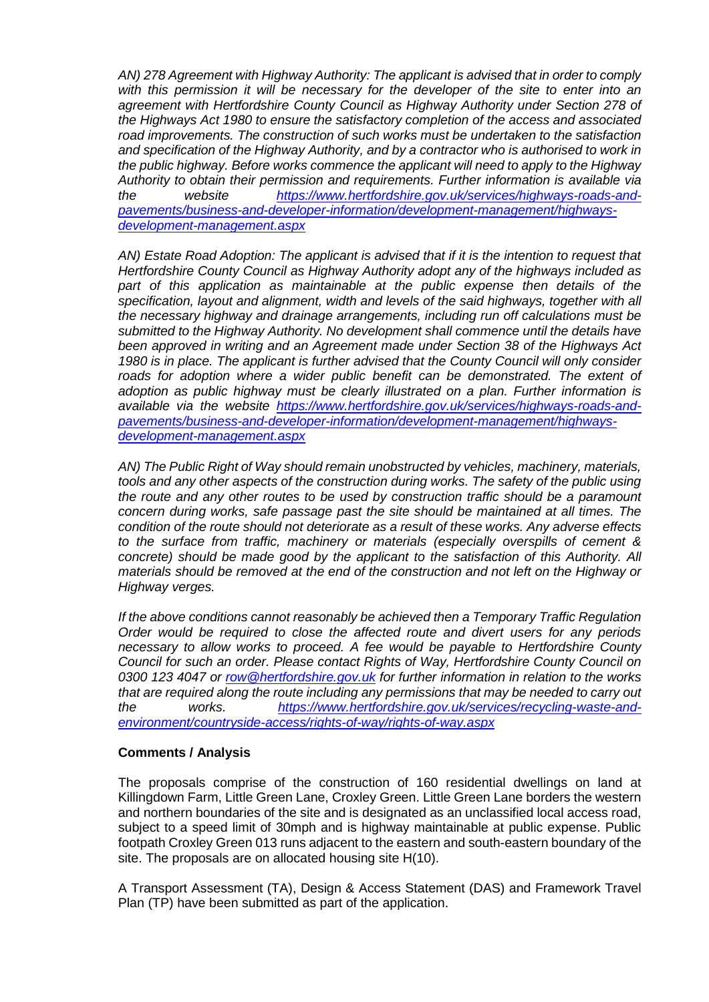*AN) 278 Agreement with Highway Authority: The applicant is advised that in order to comply with this permission it will be necessary for the developer of the site to enter into an agreement with Hertfordshire County Council as Highway Authority under Section 278 of the Highways Act 1980 to ensure the satisfactory completion of the access and associated road improvements. The construction of such works must be undertaken to the satisfaction and specification of the Highway Authority, and by a contractor who is authorised to work in the public highway. Before works commence the applicant will need to apply to the Highway Authority to obtain their permission and requirements. Further information is available via the website [https://www.hertfordshire.gov.uk/services/highways-roads-and](https://www.hertfordshire.gov.uk/services/highways-roads-and-pavements/business-and-developer-information/development-management/highways-development-management.aspx)[pavements/business-and-developer-information/development-management/highways](https://www.hertfordshire.gov.uk/services/highways-roads-and-pavements/business-and-developer-information/development-management/highways-development-management.aspx)[development-management.aspx](https://www.hertfordshire.gov.uk/services/highways-roads-and-pavements/business-and-developer-information/development-management/highways-development-management.aspx)*

*AN) Estate Road Adoption: The applicant is advised that if it is the intention to request that Hertfordshire County Council as Highway Authority adopt any of the highways included as part of this application as maintainable at the public expense then details of the specification, layout and alignment, width and levels of the said highways, together with all the necessary highway and drainage arrangements, including run off calculations must be submitted to the Highway Authority. No development shall commence until the details have been approved in writing and an Agreement made under Section 38 of the Highways Act 1980 is in place. The applicant is further advised that the County Council will only consider roads for adoption where a wider public benefit can be demonstrated. The extent of adoption as public highway must be clearly illustrated on a plan. Further information is available via the website [https://www.hertfordshire.gov.uk/services/highways-roads-and](https://www.hertfordshire.gov.uk/services/highways-roads-and-pavements/business-and-developer-information/development-management/highways-development-management.aspx)[pavements/business-and-developer-information/development-management/highways](https://www.hertfordshire.gov.uk/services/highways-roads-and-pavements/business-and-developer-information/development-management/highways-development-management.aspx)[development-management.aspx](https://www.hertfordshire.gov.uk/services/highways-roads-and-pavements/business-and-developer-information/development-management/highways-development-management.aspx)*

*AN) The Public Right of Way should remain unobstructed by vehicles, machinery, materials, tools and any other aspects of the construction during works. The safety of the public using the route and any other routes to be used by construction traffic should be a paramount concern during works, safe passage past the site should be maintained at all times. The condition of the route should not deteriorate as a result of these works. Any adverse effects to the surface from traffic, machinery or materials (especially overspills of cement & concrete) should be made good by the applicant to the satisfaction of this Authority. All materials should be removed at the end of the construction and not left on the Highway or Highway verges.*

*If the above conditions cannot reasonably be achieved then a Temporary Traffic Regulation Order would be required to close the affected route and divert users for any periods necessary to allow works to proceed. A fee would be payable to Hertfordshire County Council for such an order. Please contact Rights of Way, Hertfordshire County Council on 0300 123 4047 or [row@hertfordshire.gov.uk](mailto:row@hertfordshire.gov.uk) for further information in relation to the works that are required along the route including any permissions that may be needed to carry out the works. [https://www.hertfordshire.gov.uk/services/recycling-waste-and](https://www.hertfordshire.gov.uk/services/recycling-waste-and-environment/countryside-access/rights-of-way/rights-of-way.aspx)[environment/countryside-access/rights-of-way/rights-of-way.aspx](https://www.hertfordshire.gov.uk/services/recycling-waste-and-environment/countryside-access/rights-of-way/rights-of-way.aspx)*

## **Comments / Analysis**

The proposals comprise of the construction of 160 residential dwellings on land at Killingdown Farm, Little Green Lane, Croxley Green. Little Green Lane borders the western and northern boundaries of the site and is designated as an unclassified local access road, subject to a speed limit of 30mph and is highway maintainable at public expense. Public footpath Croxley Green 013 runs adjacent to the eastern and south-eastern boundary of the site. The proposals are on allocated housing site H(10).

A Transport Assessment (TA), Design & Access Statement (DAS) and Framework Travel Plan (TP) have been submitted as part of the application.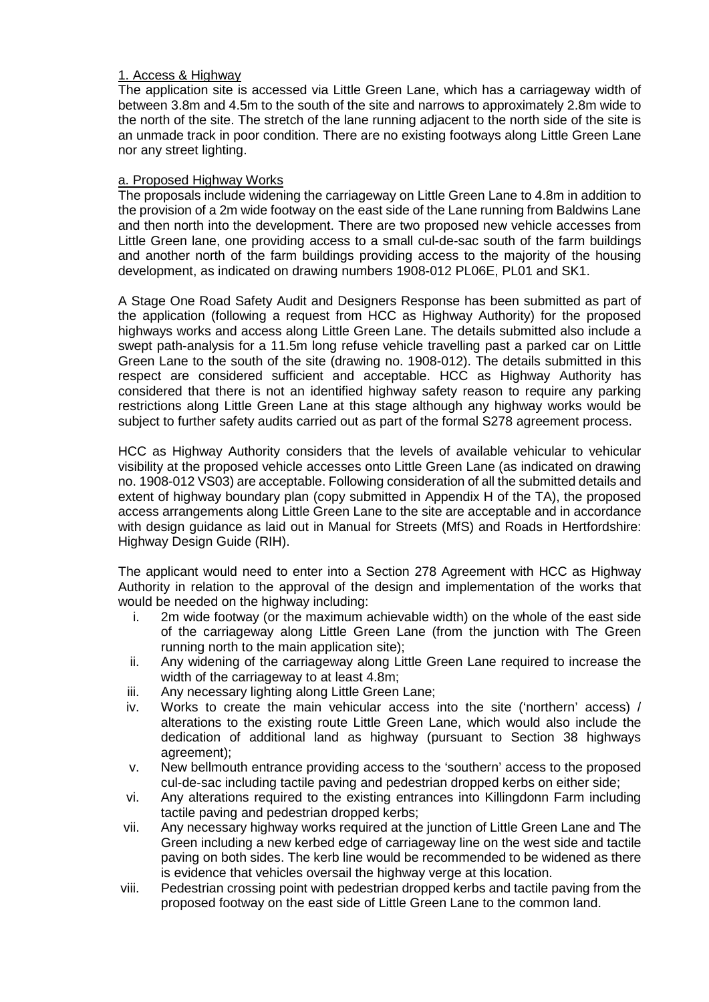## 1. Access & Highway

The application site is accessed via Little Green Lane, which has a carriageway width of between 3.8m and 4.5m to the south of the site and narrows to approximately 2.8m wide to the north of the site. The stretch of the lane running adjacent to the north side of the site is an unmade track in poor condition. There are no existing footways along Little Green Lane nor any street lighting.

# a. Proposed Highway Works

The proposals include widening the carriageway on Little Green Lane to 4.8m in addition to the provision of a 2m wide footway on the east side of the Lane running from Baldwins Lane and then north into the development. There are two proposed new vehicle accesses from Little Green lane, one providing access to a small cul-de-sac south of the farm buildings and another north of the farm buildings providing access to the majority of the housing development, as indicated on drawing numbers 1908-012 PL06E, PL01 and SK1.

A Stage One Road Safety Audit and Designers Response has been submitted as part of the application (following a request from HCC as Highway Authority) for the proposed highways works and access along Little Green Lane. The details submitted also include a swept path-analysis for a 11.5m long refuse vehicle travelling past a parked car on Little Green Lane to the south of the site (drawing no. 1908-012). The details submitted in this respect are considered sufficient and acceptable. HCC as Highway Authority has considered that there is not an identified highway safety reason to require any parking restrictions along Little Green Lane at this stage although any highway works would be subject to further safety audits carried out as part of the formal S278 agreement process.

HCC as Highway Authority considers that the levels of available vehicular to vehicular visibility at the proposed vehicle accesses onto Little Green Lane (as indicated on drawing no. 1908-012 VS03) are acceptable. Following consideration of all the submitted details and extent of highway boundary plan (copy submitted in Appendix H of the TA), the proposed access arrangements along Little Green Lane to the site are acceptable and in accordance with design guidance as laid out in Manual for Streets (MfS) and Roads in Hertfordshire: Highway Design Guide (RIH).

The applicant would need to enter into a Section 278 Agreement with HCC as Highway Authority in relation to the approval of the design and implementation of the works that would be needed on the highway including:

- i. 2m wide footway (or the maximum achievable width) on the whole of the east side of the carriageway along Little Green Lane (from the junction with The Green running north to the main application site);
- ii. Any widening of the carriageway along Little Green Lane required to increase the width of the carriageway to at least 4.8m;
- iii. Any necessary lighting along Little Green Lane;
- iv. Works to create the main vehicular access into the site ('northern' access) / alterations to the existing route Little Green Lane, which would also include the dedication of additional land as highway (pursuant to Section 38 highways agreement);
- v. New bellmouth entrance providing access to the 'southern' access to the proposed cul-de-sac including tactile paving and pedestrian dropped kerbs on either side;
- vi. Any alterations required to the existing entrances into Killingdonn Farm including tactile paving and pedestrian dropped kerbs;
- vii. Any necessary highway works required at the junction of Little Green Lane and The Green including a new kerbed edge of carriageway line on the west side and tactile paving on both sides. The kerb line would be recommended to be widened as there is evidence that vehicles oversail the highway verge at this location.
- viii. Pedestrian crossing point with pedestrian dropped kerbs and tactile paving from the proposed footway on the east side of Little Green Lane to the common land.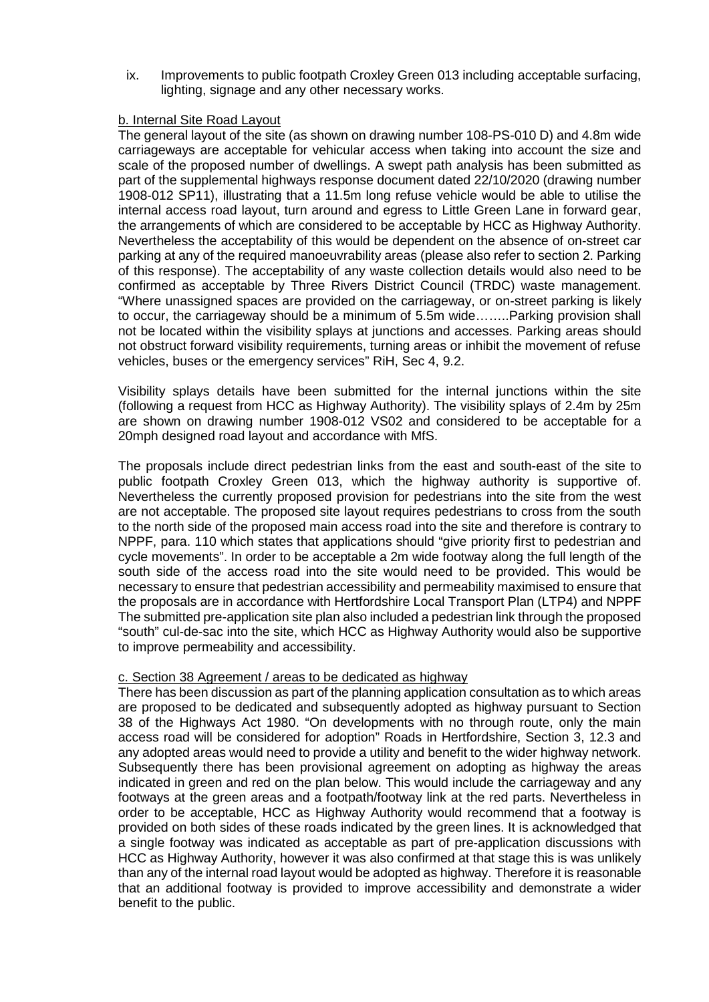ix. Improvements to public footpath Croxley Green 013 including acceptable surfacing, lighting, signage and any other necessary works.

### b. Internal Site Road Layout

The general layout of the site (as shown on drawing number 108-PS-010 D) and 4.8m wide carriageways are acceptable for vehicular access when taking into account the size and scale of the proposed number of dwellings. A swept path analysis has been submitted as part of the supplemental highways response document dated 22/10/2020 (drawing number 1908-012 SP11), illustrating that a 11.5m long refuse vehicle would be able to utilise the internal access road layout, turn around and egress to Little Green Lane in forward gear, the arrangements of which are considered to be acceptable by HCC as Highway Authority. Nevertheless the acceptability of this would be dependent on the absence of on-street car parking at any of the required manoeuvrability areas (please also refer to section 2. Parking of this response). The acceptability of any waste collection details would also need to be confirmed as acceptable by Three Rivers District Council (TRDC) waste management. "Where unassigned spaces are provided on the carriageway, or on-street parking is likely to occur, the carriageway should be a minimum of 5.5m wide……..Parking provision shall not be located within the visibility splays at junctions and accesses. Parking areas should not obstruct forward visibility requirements, turning areas or inhibit the movement of refuse vehicles, buses or the emergency services" RiH, Sec 4, 9.2.

Visibility splays details have been submitted for the internal junctions within the site (following a request from HCC as Highway Authority). The visibility splays of 2.4m by 25m are shown on drawing number 1908-012 VS02 and considered to be acceptable for a 20mph designed road layout and accordance with MfS.

The proposals include direct pedestrian links from the east and south-east of the site to public footpath Croxley Green 013, which the highway authority is supportive of. Nevertheless the currently proposed provision for pedestrians into the site from the west are not acceptable. The proposed site layout requires pedestrians to cross from the south to the north side of the proposed main access road into the site and therefore is contrary to NPPF, para. 110 which states that applications should "give priority first to pedestrian and cycle movements". In order to be acceptable a 2m wide footway along the full length of the south side of the access road into the site would need to be provided. This would be necessary to ensure that pedestrian accessibility and permeability maximised to ensure that the proposals are in accordance with Hertfordshire Local Transport Plan (LTP4) and NPPF The submitted pre-application site plan also included a pedestrian link through the proposed "south" cul-de-sac into the site, which HCC as Highway Authority would also be supportive to improve permeability and accessibility.

## c. Section 38 Agreement / areas to be dedicated as highway

There has been discussion as part of the planning application consultation as to which areas are proposed to be dedicated and subsequently adopted as highway pursuant to Section 38 of the Highways Act 1980. "On developments with no through route, only the main access road will be considered for adoption" Roads in Hertfordshire, Section 3, 12.3 and any adopted areas would need to provide a utility and benefit to the wider highway network. Subsequently there has been provisional agreement on adopting as highway the areas indicated in green and red on the plan below. This would include the carriageway and any footways at the green areas and a footpath/footway link at the red parts. Nevertheless in order to be acceptable, HCC as Highway Authority would recommend that a footway is provided on both sides of these roads indicated by the green lines. It is acknowledged that a single footway was indicated as acceptable as part of pre-application discussions with HCC as Highway Authority, however it was also confirmed at that stage this is was unlikely than any of the internal road layout would be adopted as highway. Therefore it is reasonable that an additional footway is provided to improve accessibility and demonstrate a wider benefit to the public.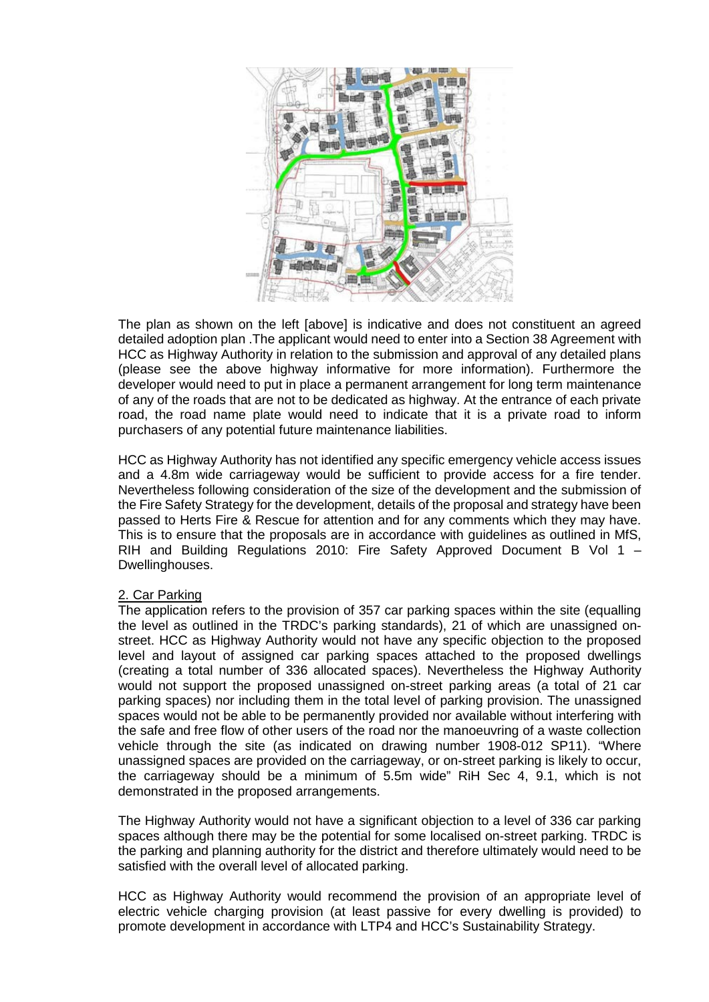

The plan as shown on the left [above] is indicative and does not constituent an agreed detailed adoption plan .The applicant would need to enter into a Section 38 Agreement with HCC as Highway Authority in relation to the submission and approval of any detailed plans (please see the above highway informative for more information). Furthermore the developer would need to put in place a permanent arrangement for long term maintenance of any of the roads that are not to be dedicated as highway. At the entrance of each private road, the road name plate would need to indicate that it is a private road to inform purchasers of any potential future maintenance liabilities.

HCC as Highway Authority has not identified any specific emergency vehicle access issues and a 4.8m wide carriageway would be sufficient to provide access for a fire tender. Nevertheless following consideration of the size of the development and the submission of the Fire Safety Strategy for the development, details of the proposal and strategy have been passed to Herts Fire & Rescue for attention and for any comments which they may have. This is to ensure that the proposals are in accordance with guidelines as outlined in MfS, RIH and Building Regulations 2010: Fire Safety Approved Document B Vol 1 – Dwellinghouses.

# 2. Car Parking

The application refers to the provision of 357 car parking spaces within the site (equalling the level as outlined in the TRDC's parking standards), 21 of which are unassigned onstreet. HCC as Highway Authority would not have any specific objection to the proposed level and layout of assigned car parking spaces attached to the proposed dwellings (creating a total number of 336 allocated spaces). Nevertheless the Highway Authority would not support the proposed unassigned on-street parking areas (a total of 21 car parking spaces) nor including them in the total level of parking provision. The unassigned spaces would not be able to be permanently provided nor available without interfering with the safe and free flow of other users of the road nor the manoeuvring of a waste collection vehicle through the site (as indicated on drawing number 1908-012 SP11). "Where unassigned spaces are provided on the carriageway, or on-street parking is likely to occur, the carriageway should be a minimum of 5.5m wide" RiH Sec 4, 9.1, which is not demonstrated in the proposed arrangements.

The Highway Authority would not have a significant objection to a level of 336 car parking spaces although there may be the potential for some localised on-street parking. TRDC is the parking and planning authority for the district and therefore ultimately would need to be satisfied with the overall level of allocated parking.

HCC as Highway Authority would recommend the provision of an appropriate level of electric vehicle charging provision (at least passive for every dwelling is provided) to promote development in accordance with LTP4 and HCC's Sustainability Strategy.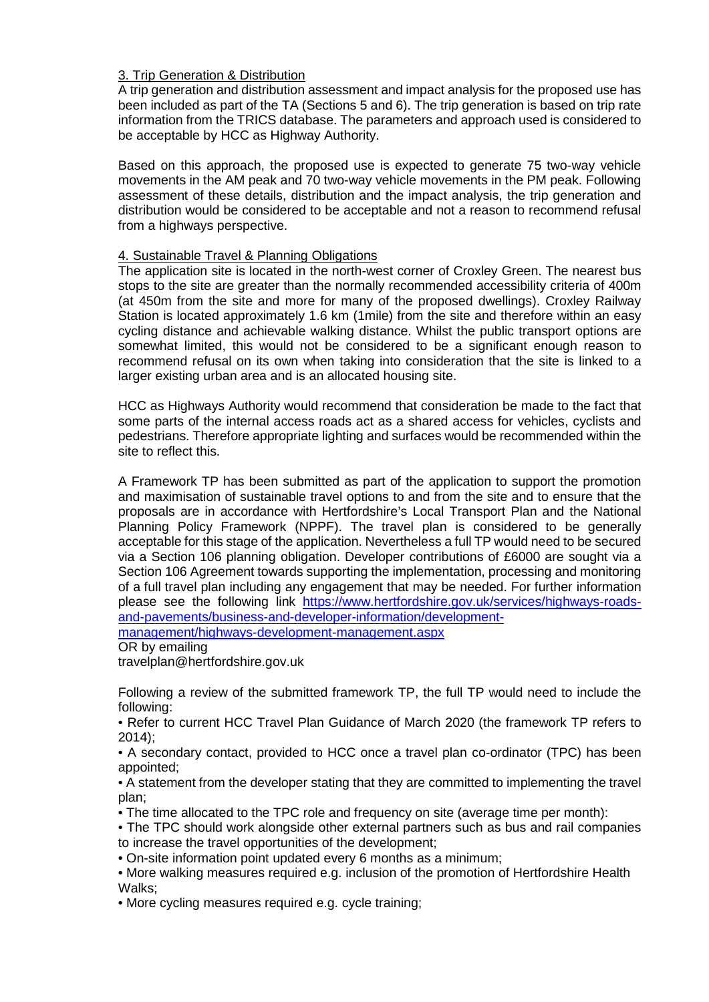## 3. Trip Generation & Distribution

A trip generation and distribution assessment and impact analysis for the proposed use has been included as part of the TA (Sections 5 and 6). The trip generation is based on trip rate information from the TRICS database. The parameters and approach used is considered to be acceptable by HCC as Highway Authority.

Based on this approach, the proposed use is expected to generate 75 two-way vehicle movements in the AM peak and 70 two-way vehicle movements in the PM peak. Following assessment of these details, distribution and the impact analysis, the trip generation and distribution would be considered to be acceptable and not a reason to recommend refusal from a highways perspective.

## 4. Sustainable Travel & Planning Obligations

The application site is located in the north-west corner of Croxley Green. The nearest bus stops to the site are greater than the normally recommended accessibility criteria of 400m (at 450m from the site and more for many of the proposed dwellings). Croxley Railway Station is located approximately 1.6 km (1mile) from the site and therefore within an easy cycling distance and achievable walking distance. Whilst the public transport options are somewhat limited, this would not be considered to be a significant enough reason to recommend refusal on its own when taking into consideration that the site is linked to a larger existing urban area and is an allocated housing site.

HCC as Highways Authority would recommend that consideration be made to the fact that some parts of the internal access roads act as a shared access for vehicles, cyclists and pedestrians. Therefore appropriate lighting and surfaces would be recommended within the site to reflect this.

A Framework TP has been submitted as part of the application to support the promotion and maximisation of sustainable travel options to and from the site and to ensure that the proposals are in accordance with Hertfordshire's Local Transport Plan and the National Planning Policy Framework (NPPF). The travel plan is considered to be generally acceptable for this stage of the application. Nevertheless a full TP would need to be secured via a Section 106 planning obligation. Developer contributions of £6000 are sought via a Section 106 Agreement towards supporting the implementation, processing and monitoring of a full travel plan including any engagement that may be needed. For further information please see the following link [https://www.hertfordshire.gov.uk/services/highways-roads](https://www.hertfordshire.gov.uk/services/highways-roads-and-pavements/business-and-developer-information/development-management/highways-development-management.aspx)[and-pavements/business-and-developer-information/development-](https://www.hertfordshire.gov.uk/services/highways-roads-and-pavements/business-and-developer-information/development-management/highways-development-management.aspx)

[management/highways-development-management.aspx](https://www.hertfordshire.gov.uk/services/highways-roads-and-pavements/business-and-developer-information/development-management/highways-development-management.aspx)

OR by emailing

travelplan@hertfordshire.gov.uk

Following a review of the submitted framework TP, the full TP would need to include the following:

• Refer to current HCC Travel Plan Guidance of March 2020 (the framework TP refers to 2014);

• A secondary contact, provided to HCC once a travel plan co-ordinator (TPC) has been appointed;

• A statement from the developer stating that they are committed to implementing the travel plan;

- The time allocated to the TPC role and frequency on site (average time per month):
- The TPC should work alongside other external partners such as bus and rail companies to increase the travel opportunities of the development;
- On-site information point updated every 6 months as a minimum;
- More walking measures required e.g. inclusion of the promotion of Hertfordshire Health Walks;

• More cycling measures required e.g. cycle training;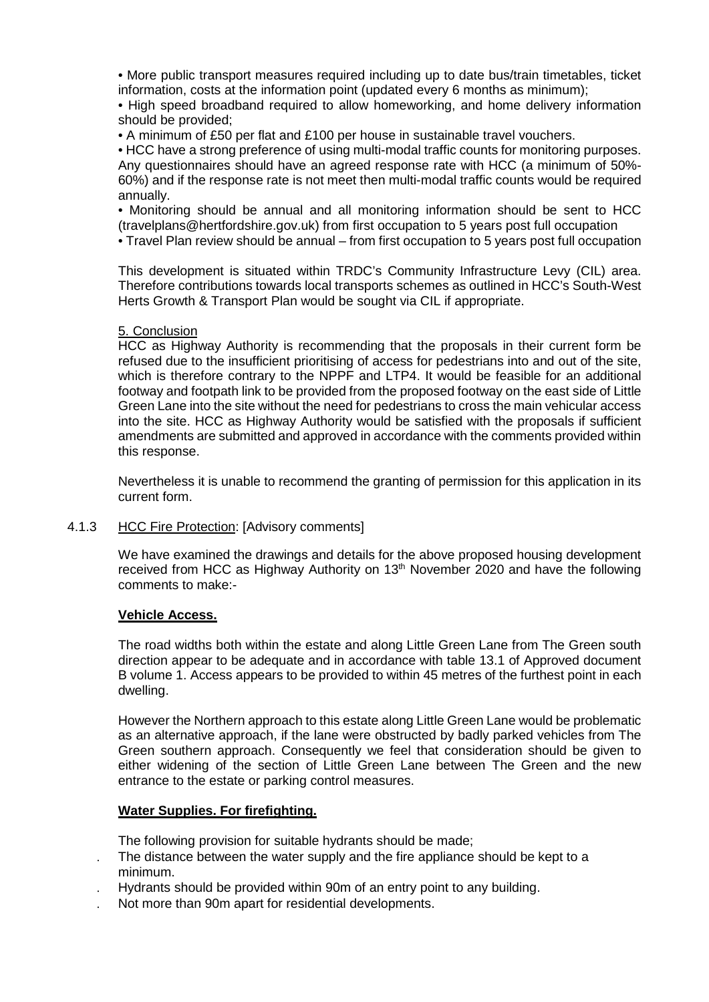• More public transport measures required including up to date bus/train timetables, ticket information, costs at the information point (updated every 6 months as minimum);

• High speed broadband required to allow homeworking, and home delivery information should be provided;

• A minimum of £50 per flat and £100 per house in sustainable travel vouchers.

• HCC have a strong preference of using multi-modal traffic counts for monitoring purposes. Any questionnaires should have an agreed response rate with HCC (a minimum of 50%- 60%) and if the response rate is not meet then multi-modal traffic counts would be required annually.

• Monitoring should be annual and all monitoring information should be sent to HCC (travelplans@hertfordshire.gov.uk) from first occupation to 5 years post full occupation

• Travel Plan review should be annual – from first occupation to 5 years post full occupation

This development is situated within TRDC's Community Infrastructure Levy (CIL) area. Therefore contributions towards local transports schemes as outlined in HCC's South-West Herts Growth & Transport Plan would be sought via CIL if appropriate.

### 5. Conclusion

HCC as Highway Authority is recommending that the proposals in their current form be refused due to the insufficient prioritising of access for pedestrians into and out of the site, which is therefore contrary to the NPPF and LTP4. It would be feasible for an additional footway and footpath link to be provided from the proposed footway on the east side of Little Green Lane into the site without the need for pedestrians to cross the main vehicular access into the site. HCC as Highway Authority would be satisfied with the proposals if sufficient amendments are submitted and approved in accordance with the comments provided within this response.

Nevertheless it is unable to recommend the granting of permission for this application in its current form.

## 4.1.3 HCC Fire Protection: [Advisory comments]

We have examined the drawings and details for the above proposed housing development received from HCC as Highway Authority on 13<sup>th</sup> November 2020 and have the following comments to make:-

## **Vehicle Access.**

The road widths both within the estate and along Little Green Lane from The Green south direction appear to be adequate and in accordance with table 13.1 of Approved document B volume 1. Access appears to be provided to within 45 metres of the furthest point in each dwelling.

However the Northern approach to this estate along Little Green Lane would be problematic as an alternative approach, if the lane were obstructed by badly parked vehicles from The Green southern approach. Consequently we feel that consideration should be given to either widening of the section of Little Green Lane between The Green and the new entrance to the estate or parking control measures.

## **Water Supplies. For firefighting.**

The following provision for suitable hydrants should be made;

- . The distance between the water supply and the fire appliance should be kept to a minimum.
- . Hydrants should be provided within 90m of an entry point to any building.
- . Not more than 90m apart for residential developments.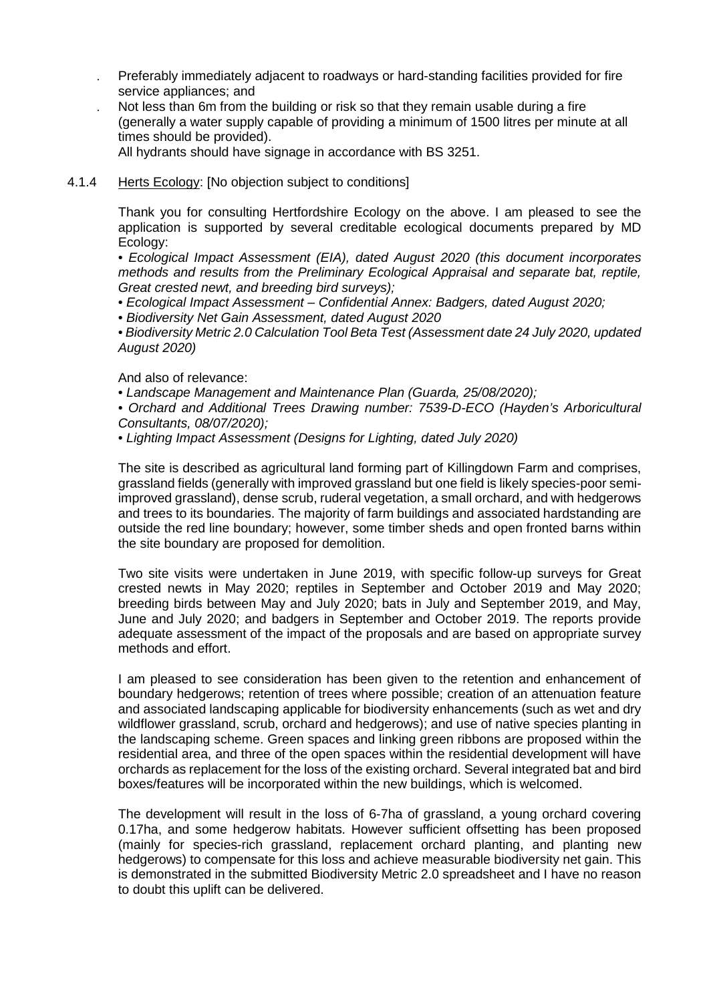- . Preferably immediately adjacent to roadways or hard-standing facilities provided for fire service appliances; and
- . Not less than 6m from the building or risk so that they remain usable during a fire (generally a water supply capable of providing a minimum of 1500 litres per minute at all times should be provided).

All hydrants should have signage in accordance with BS 3251.

### 4.1.4 Herts Ecology: [No objection subject to conditions]

Thank you for consulting Hertfordshire Ecology on the above. I am pleased to see the application is supported by several creditable ecological documents prepared by MD Ecology:

• *Ecological Impact Assessment (EIA), dated August 2020 (this document incorporates methods and results from the Preliminary Ecological Appraisal and separate bat, reptile, Great crested newt, and breeding bird surveys);* 

- *Ecological Impact Assessment – Confidential Annex: Badgers, dated August 2020;*
- *Biodiversity Net Gain Assessment, dated August 2020*

• *Biodiversity Metric 2.0 Calculation Tool Beta Test (Assessment date 24 July 2020, updated August 2020)* 

And also of relevance:

- *Landscape Management and Maintenance Plan (Guarda, 25/08/2020);*
- *Orchard and Additional Trees Drawing number: 7539-D-ECO (Hayden's Arboricultural Consultants, 08/07/2020);*
- *Lighting Impact Assessment (Designs for Lighting, dated July 2020)*

The site is described as agricultural land forming part of Killingdown Farm and comprises, grassland fields (generally with improved grassland but one field is likely species-poor semiimproved grassland), dense scrub, ruderal vegetation, a small orchard, and with hedgerows and trees to its boundaries. The majority of farm buildings and associated hardstanding are outside the red line boundary; however, some timber sheds and open fronted barns within the site boundary are proposed for demolition.

Two site visits were undertaken in June 2019, with specific follow-up surveys for Great crested newts in May 2020; reptiles in September and October 2019 and May 2020; breeding birds between May and July 2020; bats in July and September 2019, and May, June and July 2020; and badgers in September and October 2019. The reports provide adequate assessment of the impact of the proposals and are based on appropriate survey methods and effort.

I am pleased to see consideration has been given to the retention and enhancement of boundary hedgerows; retention of trees where possible; creation of an attenuation feature and associated landscaping applicable for biodiversity enhancements (such as wet and dry wildflower grassland, scrub, orchard and hedgerows); and use of native species planting in the landscaping scheme. Green spaces and linking green ribbons are proposed within the residential area, and three of the open spaces within the residential development will have orchards as replacement for the loss of the existing orchard. Several integrated bat and bird boxes/features will be incorporated within the new buildings, which is welcomed.

The development will result in the loss of 6-7ha of grassland, a young orchard covering 0.17ha, and some hedgerow habitats. However sufficient offsetting has been proposed (mainly for species-rich grassland, replacement orchard planting, and planting new hedgerows) to compensate for this loss and achieve measurable biodiversity net gain. This is demonstrated in the submitted Biodiversity Metric 2.0 spreadsheet and I have no reason to doubt this uplift can be delivered.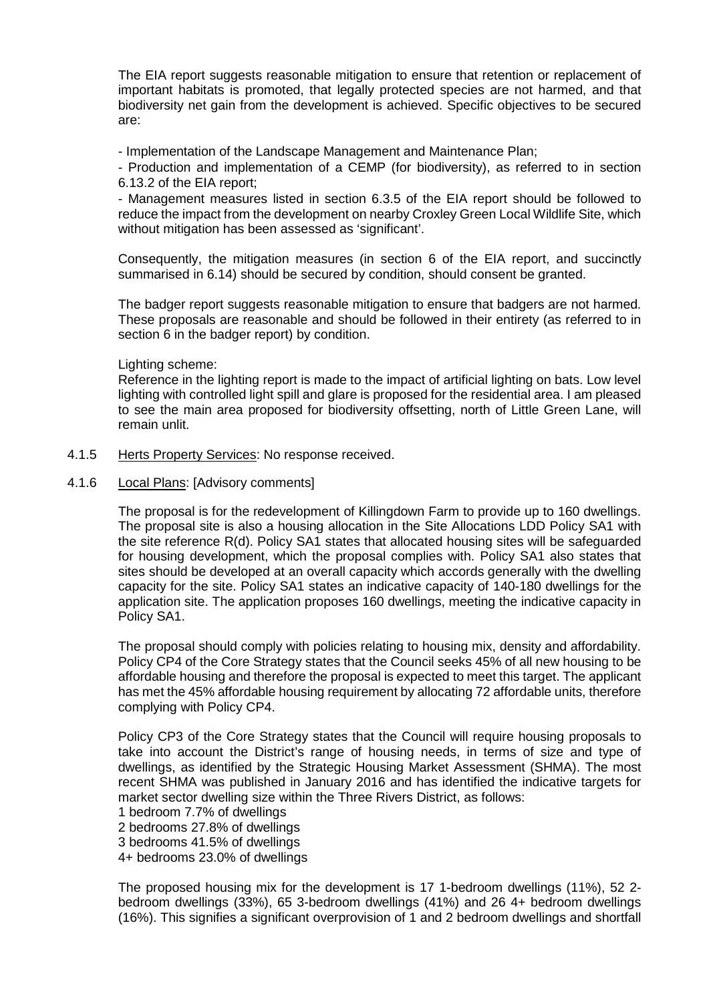The EIA report suggests reasonable mitigation to ensure that retention or replacement of important habitats is promoted, that legally protected species are not harmed, and that biodiversity net gain from the development is achieved. Specific objectives to be secured are:

- Implementation of the Landscape Management and Maintenance Plan;

- Production and implementation of a CEMP (for biodiversity), as referred to in section 6.13.2 of the EIA report;

- Management measures listed in section 6.3.5 of the EIA report should be followed to reduce the impact from the development on nearby Croxley Green Local Wildlife Site, which without mitigation has been assessed as 'significant'.

Consequently, the mitigation measures (in section 6 of the EIA report, and succinctly summarised in 6.14) should be secured by condition, should consent be granted.

The badger report suggests reasonable mitigation to ensure that badgers are not harmed. These proposals are reasonable and should be followed in their entirety (as referred to in section 6 in the badger report) by condition.

### Lighting scheme:

Reference in the lighting report is made to the impact of artificial lighting on bats. Low level lighting with controlled light spill and glare is proposed for the residential area. I am pleased to see the main area proposed for biodiversity offsetting, north of Little Green Lane, will remain unlit.

- 4.1.5 Herts Property Services: No response received.
- 4.1.6 Local Plans: [Advisory comments]

The proposal is for the redevelopment of Killingdown Farm to provide up to 160 dwellings. The proposal site is also a housing allocation in the Site Allocations LDD Policy SA1 with the site reference R(d). Policy SA1 states that allocated housing sites will be safeguarded for housing development, which the proposal complies with. Policy SA1 also states that sites should be developed at an overall capacity which accords generally with the dwelling capacity for the site. Policy SA1 states an indicative capacity of 140-180 dwellings for the application site. The application proposes 160 dwellings, meeting the indicative capacity in Policy SA1.

The proposal should comply with policies relating to housing mix, density and affordability. Policy CP4 of the Core Strategy states that the Council seeks 45% of all new housing to be affordable housing and therefore the proposal is expected to meet this target. The applicant has met the 45% affordable housing requirement by allocating 72 affordable units, therefore complying with Policy CP4.

Policy CP3 of the Core Strategy states that the Council will require housing proposals to take into account the District's range of housing needs, in terms of size and type of dwellings, as identified by the Strategic Housing Market Assessment (SHMA). The most recent SHMA was published in January 2016 and has identified the indicative targets for market sector dwelling size within the Three Rivers District, as follows:

1 bedroom 7.7% of dwellings

2 bedrooms 27.8% of dwellings

3 bedrooms 41.5% of dwellings

4+ bedrooms 23.0% of dwellings

The proposed housing mix for the development is 17 1-bedroom dwellings (11%), 52 2 bedroom dwellings (33%), 65 3-bedroom dwellings (41%) and 26 4+ bedroom dwellings (16%). This signifies a significant overprovision of 1 and 2 bedroom dwellings and shortfall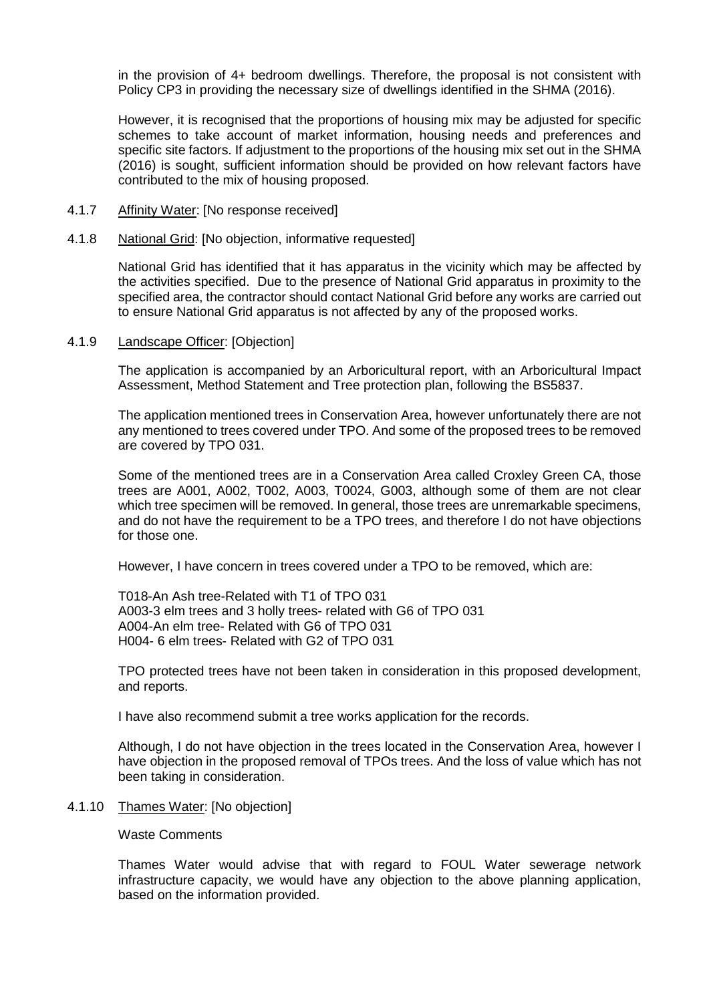in the provision of 4+ bedroom dwellings. Therefore, the proposal is not consistent with Policy CP3 in providing the necessary size of dwellings identified in the SHMA (2016).

However, it is recognised that the proportions of housing mix may be adjusted for specific schemes to take account of market information, housing needs and preferences and specific site factors. If adjustment to the proportions of the housing mix set out in the SHMA (2016) is sought, sufficient information should be provided on how relevant factors have contributed to the mix of housing proposed.

- 4.1.7 Affinity Water: [No response received]
- 4.1.8 National Grid: [No objection, informative requested]

National Grid has identified that it has apparatus in the vicinity which may be affected by the activities specified. Due to the presence of National Grid apparatus in proximity to the specified area, the contractor should contact National Grid before any works are carried out to ensure National Grid apparatus is not affected by any of the proposed works.

4.1.9 Landscape Officer: [Objection]

The application is accompanied by an Arboricultural report, with an Arboricultural Impact Assessment, Method Statement and Tree protection plan, following the BS5837.

The application mentioned trees in Conservation Area, however unfortunately there are not any mentioned to trees covered under TPO. And some of the proposed trees to be removed are covered by TPO 031.

Some of the mentioned trees are in a Conservation Area called Croxley Green CA, those trees are A001, A002, T002, A003, T0024, G003, although some of them are not clear which tree specimen will be removed. In general, those trees are unremarkable specimens, and do not have the requirement to be a TPO trees, and therefore I do not have objections for those one.

However, I have concern in trees covered under a TPO to be removed, which are:

T018-An Ash tree-Related with T1 of TPO 031 A003-3 elm trees and 3 holly trees- related with G6 of TPO 031 A004-An elm tree- Related with G6 of TPO 031 H004- 6 elm trees- Related with G2 of TPO 031

TPO protected trees have not been taken in consideration in this proposed development, and reports.

I have also recommend submit a tree works application for the records.

Although, I do not have objection in the trees located in the Conservation Area, however I have objection in the proposed removal of TPOs trees. And the loss of value which has not been taking in consideration.

4.1.10 Thames Water: [No objection]

Waste Comments

Thames Water would advise that with regard to FOUL Water sewerage network infrastructure capacity, we would have any objection to the above planning application, based on the information provided.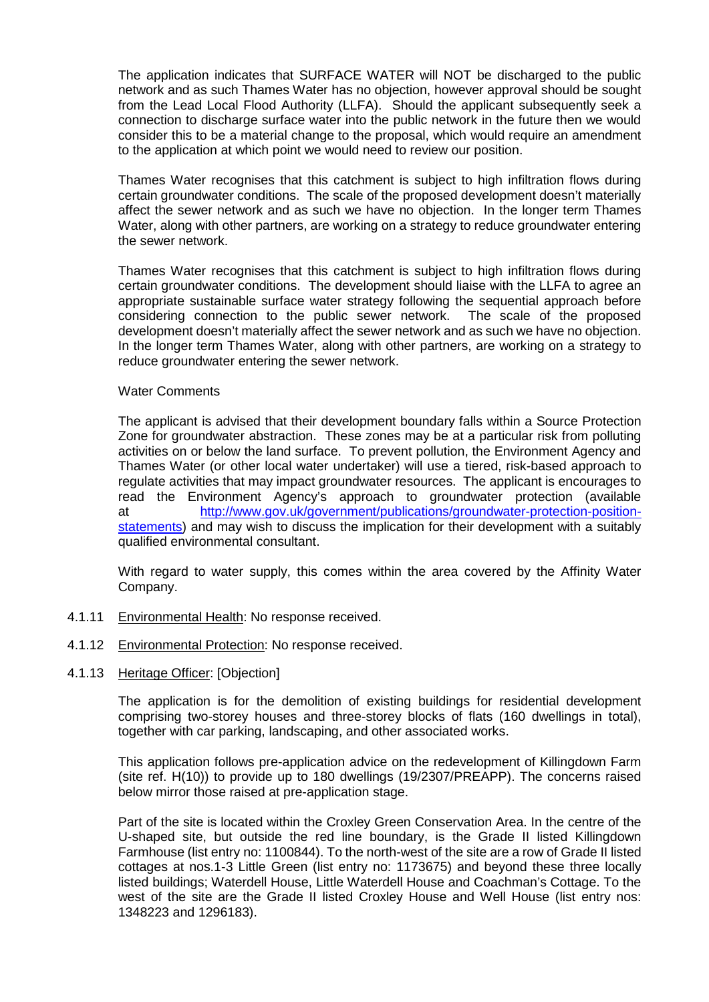The application indicates that SURFACE WATER will NOT be discharged to the public network and as such Thames Water has no objection, however approval should be sought from the Lead Local Flood Authority (LLFA). Should the applicant subsequently seek a connection to discharge surface water into the public network in the future then we would consider this to be a material change to the proposal, which would require an amendment to the application at which point we would need to review our position.

Thames Water recognises that this catchment is subject to high infiltration flows during certain groundwater conditions. The scale of the proposed development doesn't materially affect the sewer network and as such we have no objection. In the longer term Thames Water, along with other partners, are working on a strategy to reduce groundwater entering the sewer network.

Thames Water recognises that this catchment is subject to high infiltration flows during certain groundwater conditions. The development should liaise with the LLFA to agree an appropriate sustainable surface water strategy following the sequential approach before considering connection to the public sewer network. The scale of the proposed development doesn't materially affect the sewer network and as such we have no objection. In the longer term Thames Water, along with other partners, are working on a strategy to reduce groundwater entering the sewer network.

### Water Comments

The applicant is advised that their development boundary falls within a Source Protection Zone for groundwater abstraction. These zones may be at a particular risk from polluting activities on or below the land surface. To prevent pollution, the Environment Agency and Thames Water (or other local water undertaker) will use a tiered, risk-based approach to regulate activities that may impact groundwater resources. The applicant is encourages to read the Environment Agency's approach to groundwater protection (available at [http://www.gov.uk/government/publications/groundwater-protection-position](http://www.gov.uk/government/publications/groundwater-protection-position-statements)[statements\)](http://www.gov.uk/government/publications/groundwater-protection-position-statements) and may wish to discuss the implication for their development with a suitably qualified environmental consultant.

With regard to water supply, this comes within the area covered by the Affinity Water Company.

- 4.1.11 Environmental Health: No response received.
- 4.1.12 Environmental Protection: No response received.
- 4.1.13 Heritage Officer: [Objection]

The application is for the demolition of existing buildings for residential development comprising two-storey houses and three-storey blocks of flats (160 dwellings in total), together with car parking, landscaping, and other associated works.

This application follows pre-application advice on the redevelopment of Killingdown Farm (site ref. H(10)) to provide up to 180 dwellings (19/2307/PREAPP). The concerns raised below mirror those raised at pre-application stage.

Part of the site is located within the Croxley Green Conservation Area. In the centre of the U-shaped site, but outside the red line boundary, is the Grade II listed Killingdown Farmhouse (list entry no: 1100844). To the north-west of the site are a row of Grade II listed cottages at nos.1-3 Little Green (list entry no: 1173675) and beyond these three locally listed buildings; Waterdell House, Little Waterdell House and Coachman's Cottage. To the west of the site are the Grade II listed Croxley House and Well House (list entry nos: 1348223 and 1296183).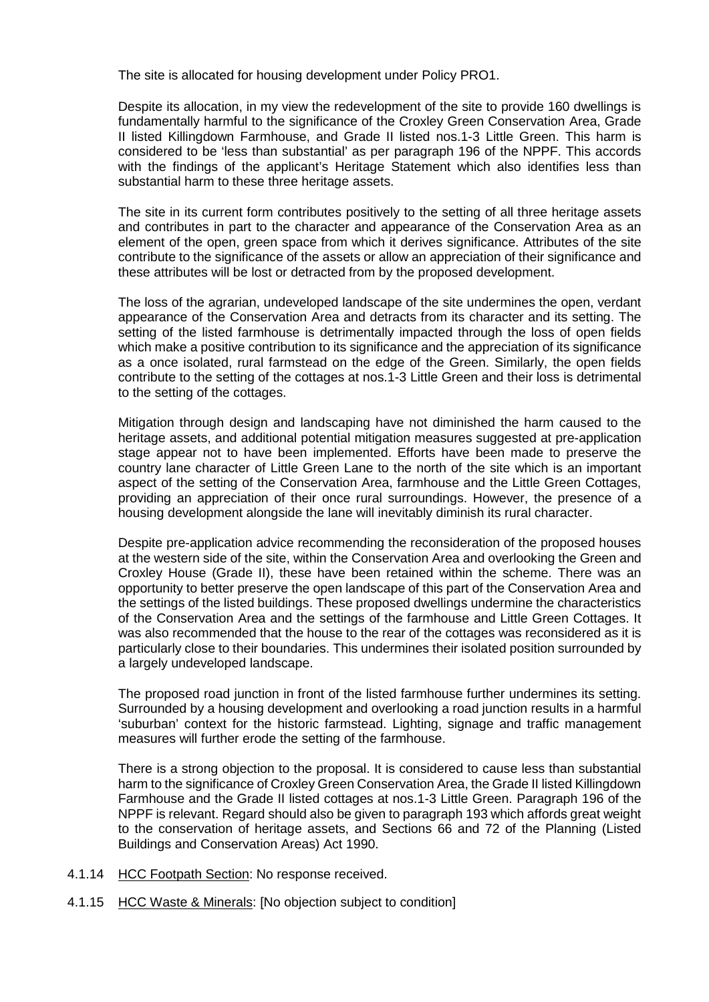The site is allocated for housing development under Policy PRO1.

Despite its allocation, in my view the redevelopment of the site to provide 160 dwellings is fundamentally harmful to the significance of the Croxley Green Conservation Area, Grade II listed Killingdown Farmhouse, and Grade II listed nos.1-3 Little Green. This harm is considered to be 'less than substantial' as per paragraph 196 of the NPPF. This accords with the findings of the applicant's Heritage Statement which also identifies less than substantial harm to these three heritage assets.

The site in its current form contributes positively to the setting of all three heritage assets and contributes in part to the character and appearance of the Conservation Area as an element of the open, green space from which it derives significance. Attributes of the site contribute to the significance of the assets or allow an appreciation of their significance and these attributes will be lost or detracted from by the proposed development.

The loss of the agrarian, undeveloped landscape of the site undermines the open, verdant appearance of the Conservation Area and detracts from its character and its setting. The setting of the listed farmhouse is detrimentally impacted through the loss of open fields which make a positive contribution to its significance and the appreciation of its significance as a once isolated, rural farmstead on the edge of the Green. Similarly, the open fields contribute to the setting of the cottages at nos.1-3 Little Green and their loss is detrimental to the setting of the cottages.

Mitigation through design and landscaping have not diminished the harm caused to the heritage assets, and additional potential mitigation measures suggested at pre-application stage appear not to have been implemented. Efforts have been made to preserve the country lane character of Little Green Lane to the north of the site which is an important aspect of the setting of the Conservation Area, farmhouse and the Little Green Cottages, providing an appreciation of their once rural surroundings. However, the presence of a housing development alongside the lane will inevitably diminish its rural character.

Despite pre-application advice recommending the reconsideration of the proposed houses at the western side of the site, within the Conservation Area and overlooking the Green and Croxley House (Grade II), these have been retained within the scheme. There was an opportunity to better preserve the open landscape of this part of the Conservation Area and the settings of the listed buildings. These proposed dwellings undermine the characteristics of the Conservation Area and the settings of the farmhouse and Little Green Cottages. It was also recommended that the house to the rear of the cottages was reconsidered as it is particularly close to their boundaries. This undermines their isolated position surrounded by a largely undeveloped landscape.

The proposed road junction in front of the listed farmhouse further undermines its setting. Surrounded by a housing development and overlooking a road junction results in a harmful 'suburban' context for the historic farmstead. Lighting, signage and traffic management measures will further erode the setting of the farmhouse.

There is a strong objection to the proposal. It is considered to cause less than substantial harm to the significance of Croxley Green Conservation Area, the Grade II listed Killingdown Farmhouse and the Grade II listed cottages at nos.1-3 Little Green. Paragraph 196 of the NPPF is relevant. Regard should also be given to paragraph 193 which affords great weight to the conservation of heritage assets, and Sections 66 and 72 of the Planning (Listed Buildings and Conservation Areas) Act 1990.

- 4.1.14 HCC Footpath Section: No response received.
- 4.1.15 HCC Waste & Minerals: [No objection subject to condition]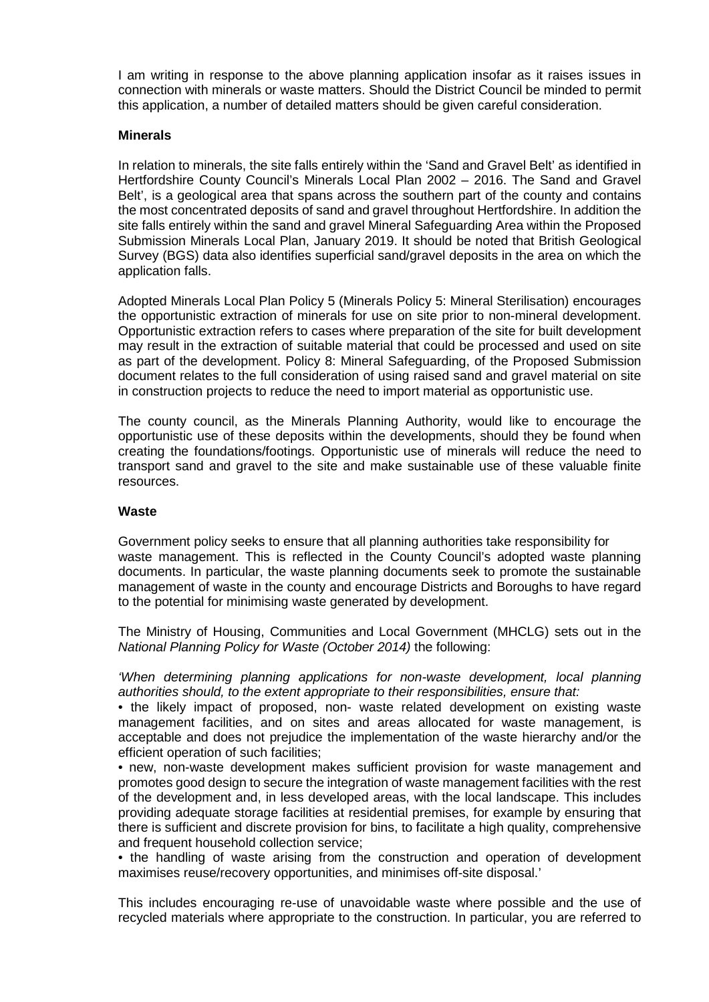I am writing in response to the above planning application insofar as it raises issues in connection with minerals or waste matters. Should the District Council be minded to permit this application, a number of detailed matters should be given careful consideration.

### **Minerals**

In relation to minerals, the site falls entirely within the 'Sand and Gravel Belt' as identified in Hertfordshire County Council's Minerals Local Plan 2002 – 2016. The Sand and Gravel Belt', is a geological area that spans across the southern part of the county and contains the most concentrated deposits of sand and gravel throughout Hertfordshire. In addition the site falls entirely within the sand and gravel Mineral Safeguarding Area within the Proposed Submission Minerals Local Plan, January 2019. It should be noted that British Geological Survey (BGS) data also identifies superficial sand/gravel deposits in the area on which the application falls.

Adopted Minerals Local Plan Policy 5 (Minerals Policy 5: Mineral Sterilisation) encourages the opportunistic extraction of minerals for use on site prior to non-mineral development. Opportunistic extraction refers to cases where preparation of the site for built development may result in the extraction of suitable material that could be processed and used on site as part of the development. Policy 8: Mineral Safeguarding, of the Proposed Submission document relates to the full consideration of using raised sand and gravel material on site in construction projects to reduce the need to import material as opportunistic use.

The county council, as the Minerals Planning Authority, would like to encourage the opportunistic use of these deposits within the developments, should they be found when creating the foundations/footings. Opportunistic use of minerals will reduce the need to transport sand and gravel to the site and make sustainable use of these valuable finite resources.

### **Waste**

Government policy seeks to ensure that all planning authorities take responsibility for waste management. This is reflected in the County Council's adopted waste planning documents. In particular, the waste planning documents seek to promote the sustainable management of waste in the county and encourage Districts and Boroughs to have regard to the potential for minimising waste generated by development.

The Ministry of Housing, Communities and Local Government (MHCLG) sets out in the *National Planning Policy for Waste (October 2014)* the following:

*'When determining planning applications for non-waste development, local planning authorities should, to the extent appropriate to their responsibilities, ensure that:* 

• the likely impact of proposed, non- waste related development on existing waste management facilities, and on sites and areas allocated for waste management, is acceptable and does not prejudice the implementation of the waste hierarchy and/or the efficient operation of such facilities;

• new, non-waste development makes sufficient provision for waste management and promotes good design to secure the integration of waste management facilities with the rest of the development and, in less developed areas, with the local landscape. This includes providing adequate storage facilities at residential premises, for example by ensuring that there is sufficient and discrete provision for bins, to facilitate a high quality, comprehensive and frequent household collection service;

• the handling of waste arising from the construction and operation of development maximises reuse/recovery opportunities, and minimises off-site disposal.'

This includes encouraging re-use of unavoidable waste where possible and the use of recycled materials where appropriate to the construction. In particular, you are referred to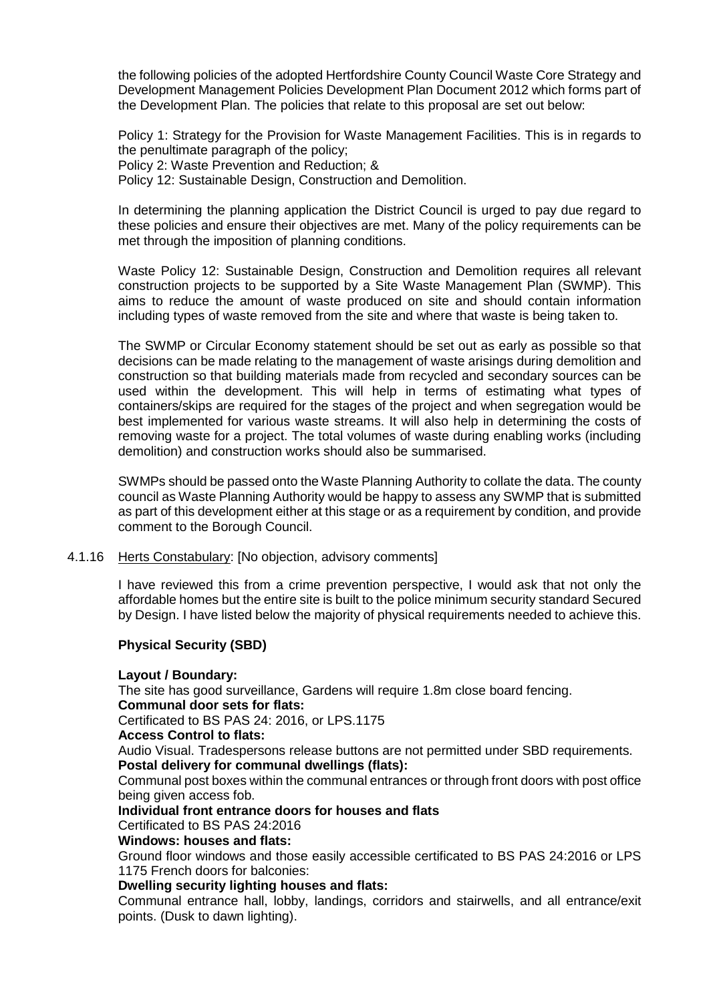the following policies of the adopted Hertfordshire County Council Waste Core Strategy and Development Management Policies Development Plan Document 2012 which forms part of the Development Plan. The policies that relate to this proposal are set out below:

Policy 1: Strategy for the Provision for Waste Management Facilities. This is in regards to the penultimate paragraph of the policy; Policy 2: Waste Prevention and Reduction; & Policy 12: Sustainable Design, Construction and Demolition.

In determining the planning application the District Council is urged to pay due regard to these policies and ensure their objectives are met. Many of the policy requirements can be met through the imposition of planning conditions.

Waste Policy 12: Sustainable Design, Construction and Demolition requires all relevant construction projects to be supported by a Site Waste Management Plan (SWMP). This aims to reduce the amount of waste produced on site and should contain information including types of waste removed from the site and where that waste is being taken to.

The SWMP or Circular Economy statement should be set out as early as possible so that decisions can be made relating to the management of waste arisings during demolition and construction so that building materials made from recycled and secondary sources can be used within the development. This will help in terms of estimating what types of containers/skips are required for the stages of the project and when segregation would be best implemented for various waste streams. It will also help in determining the costs of removing waste for a project. The total volumes of waste during enabling works (including demolition) and construction works should also be summarised.

SWMPs should be passed onto the Waste Planning Authority to collate the data. The county council as Waste Planning Authority would be happy to assess any SWMP that is submitted as part of this development either at this stage or as a requirement by condition, and provide comment to the Borough Council.

### 4.1.16 Herts Constabulary: [No objection, advisory comments]

I have reviewed this from a crime prevention perspective, I would ask that not only the affordable homes but the entire site is built to the police minimum security standard Secured by Design. I have listed below the majority of physical requirements needed to achieve this.

## **Physical Security (SBD)**

### **Layout / Boundary:**

The site has good surveillance, Gardens will require 1.8m close board fencing. **Communal door sets for flats:** 

Certificated to BS PAS 24: 2016, or LPS.1175

### **Access Control to flats:**

Audio Visual. Tradespersons release buttons are not permitted under SBD requirements. **Postal delivery for communal dwellings (flats):** 

Communal post boxes within the communal entrances or through front doors with post office being given access fob.

### **Individual front entrance doors for houses and flats**

Certificated to BS PAS 24:2016

# **Windows: houses and flats:**

Ground floor windows and those easily accessible certificated to BS PAS 24:2016 or LPS 1175 French doors for balconies:

## **Dwelling security lighting houses and flats:**

Communal entrance hall, lobby, landings, corridors and stairwells, and all entrance/exit points. (Dusk to dawn lighting).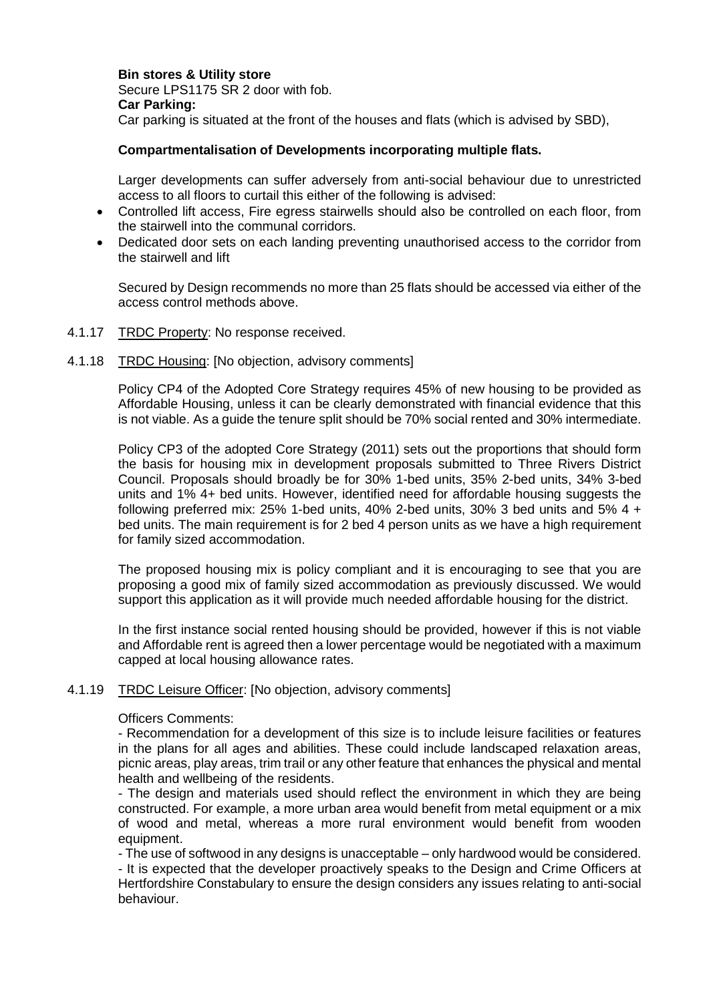**Bin stores & Utility store** Secure LPS1175 SR 2 door with fob. **Car Parking:**  Car parking is situated at the front of the houses and flats (which is advised by SBD),

## **Compartmentalisation of Developments incorporating multiple flats.**

Larger developments can suffer adversely from anti-social behaviour due to unrestricted access to all floors to curtail this either of the following is advised:

- Controlled lift access, Fire egress stairwells should also be controlled on each floor, from the stairwell into the communal corridors.
- Dedicated door sets on each landing preventing unauthorised access to the corridor from the stairwell and lift

Secured by Design recommends no more than 25 flats should be accessed via either of the access control methods above.

- 4.1.17 TRDC Property: No response received.
- 4.1.18 TRDC Housing: [No objection, advisory comments]

Policy CP4 of the Adopted Core Strategy requires 45% of new housing to be provided as Affordable Housing, unless it can be clearly demonstrated with financial evidence that this is not viable. As a guide the tenure split should be 70% social rented and 30% intermediate.

Policy CP3 of the adopted Core Strategy (2011) sets out the proportions that should form the basis for housing mix in development proposals submitted to Three Rivers District Council. Proposals should broadly be for 30% 1-bed units, 35% 2-bed units, 34% 3-bed units and 1% 4+ bed units. However, identified need for affordable housing suggests the following preferred mix:  $25\%$  1-bed units,  $40\%$  2-bed units,  $30\%$  3 bed units and  $5\%$  4 + bed units. The main requirement is for 2 bed 4 person units as we have a high requirement for family sized accommodation.

The proposed housing mix is policy compliant and it is encouraging to see that you are proposing a good mix of family sized accommodation as previously discussed. We would support this application as it will provide much needed affordable housing for the district.

In the first instance social rented housing should be provided, however if this is not viable and Affordable rent is agreed then a lower percentage would be negotiated with a maximum capped at local housing allowance rates.

### 4.1.19 TRDC Leisure Officer: [No objection, advisory comments]

### Officers Comments:

behaviour.

- Recommendation for a development of this size is to include leisure facilities or features in the plans for all ages and abilities. These could include landscaped relaxation areas, picnic areas, play areas, trim trail or any other feature that enhances the physical and mental health and wellbeing of the residents.

- The design and materials used should reflect the environment in which they are being constructed. For example, a more urban area would benefit from metal equipment or a mix of wood and metal, whereas a more rural environment would benefit from wooden equipment.

- The use of softwood in any designs is unacceptable – only hardwood would be considered. - It is expected that the developer proactively speaks to the Design and Crime Officers at Hertfordshire Constabulary to ensure the design considers any issues relating to anti-social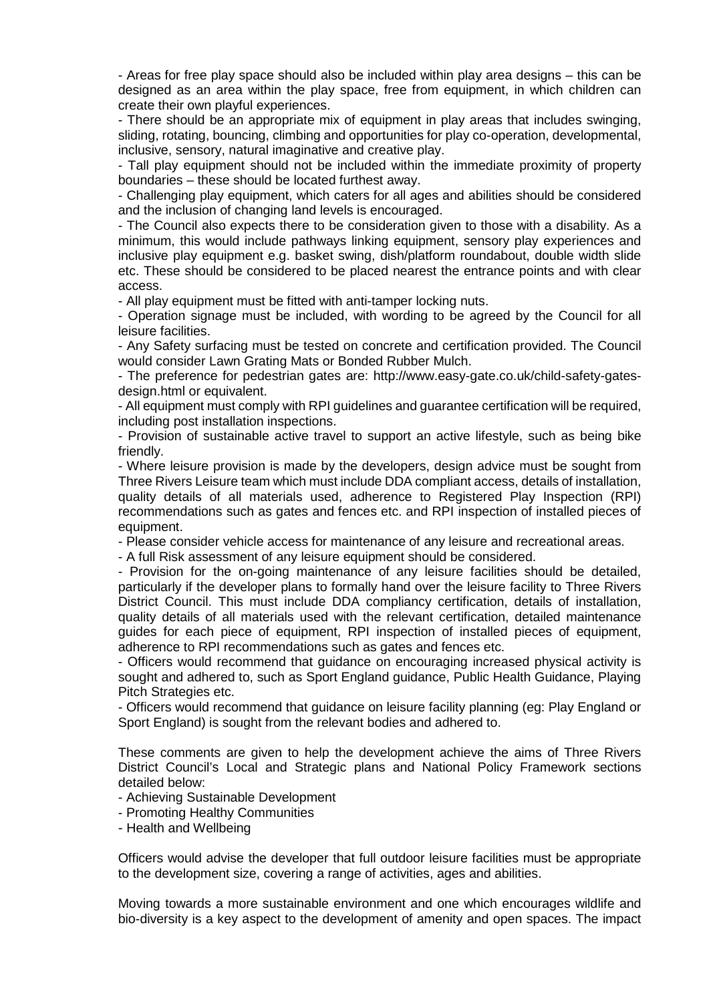- Areas for free play space should also be included within play area designs – this can be designed as an area within the play space, free from equipment, in which children can create their own playful experiences.

- There should be an appropriate mix of equipment in play areas that includes swinging, sliding, rotating, bouncing, climbing and opportunities for play co-operation, developmental, inclusive, sensory, natural imaginative and creative play.

- Tall play equipment should not be included within the immediate proximity of property boundaries – these should be located furthest away.

- Challenging play equipment, which caters for all ages and abilities should be considered and the inclusion of changing land levels is encouraged.

- The Council also expects there to be consideration given to those with a disability. As a minimum, this would include pathways linking equipment, sensory play experiences and inclusive play equipment e.g. basket swing, dish/platform roundabout, double width slide etc. These should be considered to be placed nearest the entrance points and with clear access.

- All play equipment must be fitted with anti-tamper locking nuts.

- Operation signage must be included, with wording to be agreed by the Council for all leisure facilities.

- Any Safety surfacing must be tested on concrete and certification provided. The Council would consider Lawn Grating Mats or Bonded Rubber Mulch.

- The preference for pedestrian gates are: http://www.easy-gate.co.uk/child-safety-gatesdesign.html or equivalent.

- All equipment must comply with RPI guidelines and guarantee certification will be required, including post installation inspections.

- Provision of sustainable active travel to support an active lifestyle, such as being bike friendly.

- Where leisure provision is made by the developers, design advice must be sought from Three Rivers Leisure team which must include DDA compliant access, details of installation, quality details of all materials used, adherence to Registered Play Inspection (RPI) recommendations such as gates and fences etc. and RPI inspection of installed pieces of equipment.

- Please consider vehicle access for maintenance of any leisure and recreational areas.

- A full Risk assessment of any leisure equipment should be considered.

- Provision for the on-going maintenance of any leisure facilities should be detailed, particularly if the developer plans to formally hand over the leisure facility to Three Rivers District Council. This must include DDA compliancy certification, details of installation, quality details of all materials used with the relevant certification, detailed maintenance guides for each piece of equipment, RPI inspection of installed pieces of equipment, adherence to RPI recommendations such as gates and fences etc.

- Officers would recommend that guidance on encouraging increased physical activity is sought and adhered to, such as Sport England guidance, Public Health Guidance, Playing Pitch Strategies etc.

- Officers would recommend that guidance on leisure facility planning (eg: Play England or Sport England) is sought from the relevant bodies and adhered to.

These comments are given to help the development achieve the aims of Three Rivers District Council's Local and Strategic plans and National Policy Framework sections detailed below:

- Achieving Sustainable Development

- Promoting Healthy Communities
- Health and Wellbeing

Officers would advise the developer that full outdoor leisure facilities must be appropriate to the development size, covering a range of activities, ages and abilities.

Moving towards a more sustainable environment and one which encourages wildlife and bio-diversity is a key aspect to the development of amenity and open spaces. The impact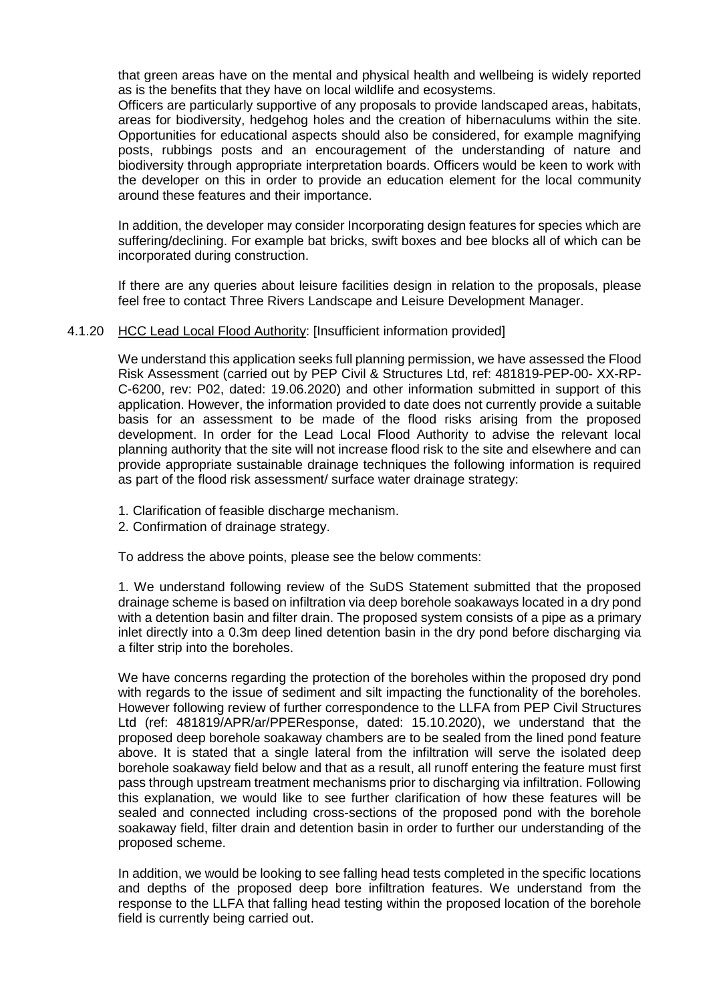that green areas have on the mental and physical health and wellbeing is widely reported as is the benefits that they have on local wildlife and ecosystems.

Officers are particularly supportive of any proposals to provide landscaped areas, habitats, areas for biodiversity, hedgehog holes and the creation of hibernaculums within the site. Opportunities for educational aspects should also be considered, for example magnifying posts, rubbings posts and an encouragement of the understanding of nature and biodiversity through appropriate interpretation boards. Officers would be keen to work with the developer on this in order to provide an education element for the local community around these features and their importance.

In addition, the developer may consider Incorporating design features for species which are suffering/declining. For example bat bricks, swift boxes and bee blocks all of which can be incorporated during construction.

If there are any queries about leisure facilities design in relation to the proposals, please feel free to contact Three Rivers Landscape and Leisure Development Manager.

### 4.1.20 HCC Lead Local Flood Authority: [Insufficient information provided]

We understand this application seeks full planning permission, we have assessed the Flood Risk Assessment (carried out by PEP Civil & Structures Ltd, ref: 481819-PEP-00- XX-RP-C-6200, rev: P02, dated: 19.06.2020) and other information submitted in support of this application. However, the information provided to date does not currently provide a suitable basis for an assessment to be made of the flood risks arising from the proposed development. In order for the Lead Local Flood Authority to advise the relevant local planning authority that the site will not increase flood risk to the site and elsewhere and can provide appropriate sustainable drainage techniques the following information is required as part of the flood risk assessment/ surface water drainage strategy:

- 1. Clarification of feasible discharge mechanism.
- 2. Confirmation of drainage strategy.

To address the above points, please see the below comments:

1. We understand following review of the SuDS Statement submitted that the proposed drainage scheme is based on infiltration via deep borehole soakaways located in a dry pond with a detention basin and filter drain. The proposed system consists of a pipe as a primary inlet directly into a 0.3m deep lined detention basin in the dry pond before discharging via a filter strip into the boreholes.

We have concerns regarding the protection of the boreholes within the proposed dry pond with regards to the issue of sediment and silt impacting the functionality of the boreholes. However following review of further correspondence to the LLFA from PEP Civil Structures Ltd (ref: 481819/APR/ar/PPEResponse, dated: 15.10.2020), we understand that the proposed deep borehole soakaway chambers are to be sealed from the lined pond feature above. It is stated that a single lateral from the infiltration will serve the isolated deep borehole soakaway field below and that as a result, all runoff entering the feature must first pass through upstream treatment mechanisms prior to discharging via infiltration. Following this explanation, we would like to see further clarification of how these features will be sealed and connected including cross-sections of the proposed pond with the borehole soakaway field, filter drain and detention basin in order to further our understanding of the proposed scheme.

In addition, we would be looking to see falling head tests completed in the specific locations and depths of the proposed deep bore infiltration features. We understand from the response to the LLFA that falling head testing within the proposed location of the borehole field is currently being carried out.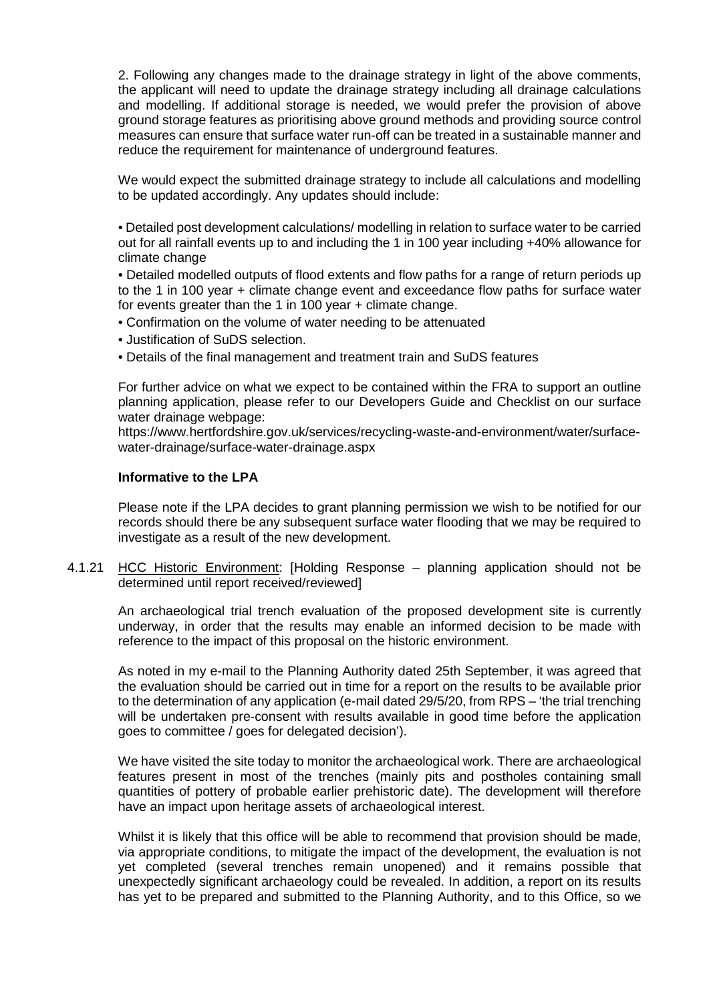2. Following any changes made to the drainage strategy in light of the above comments, the applicant will need to update the drainage strategy including all drainage calculations and modelling. If additional storage is needed, we would prefer the provision of above ground storage features as prioritising above ground methods and providing source control measures can ensure that surface water run-off can be treated in a sustainable manner and reduce the requirement for maintenance of underground features.

We would expect the submitted drainage strategy to include all calculations and modelling to be updated accordingly. Any updates should include:

• Detailed post development calculations/ modelling in relation to surface water to be carried out for all rainfall events up to and including the 1 in 100 year including +40% allowance for climate change

• Detailed modelled outputs of flood extents and flow paths for a range of return periods up to the 1 in 100 year + climate change event and exceedance flow paths for surface water for events greater than the 1 in 100 year + climate change.

- Confirmation on the volume of water needing to be attenuated
- Justification of SuDS selection.
- Details of the final management and treatment train and SuDS features

For further advice on what we expect to be contained within the FRA to support an outline planning application, please refer to our Developers Guide and Checklist on our surface water drainage webpage:

https://www.hertfordshire.gov.uk/services/recycling-waste-and-environment/water/surfacewater-drainage/surface-water-drainage.aspx

### **Informative to the LPA**

Please note if the LPA decides to grant planning permission we wish to be notified for our records should there be any subsequent surface water flooding that we may be required to investigate as a result of the new development.

4.1.21 HCC Historic Environment: [Holding Response – planning application should not be determined until report received/reviewed]

An archaeological trial trench evaluation of the proposed development site is currently underway, in order that the results may enable an informed decision to be made with reference to the impact of this proposal on the historic environment.

As noted in my e-mail to the Planning Authority dated 25th September, it was agreed that the evaluation should be carried out in time for a report on the results to be available prior to the determination of any application (e-mail dated 29/5/20, from RPS – 'the trial trenching will be undertaken pre-consent with results available in good time before the application goes to committee / goes for delegated decision').

We have visited the site today to monitor the archaeological work. There are archaeological features present in most of the trenches (mainly pits and postholes containing small quantities of pottery of probable earlier prehistoric date). The development will therefore have an impact upon heritage assets of archaeological interest.

Whilst it is likely that this office will be able to recommend that provision should be made, via appropriate conditions, to mitigate the impact of the development, the evaluation is not yet completed (several trenches remain unopened) and it remains possible that unexpectedly significant archaeology could be revealed. In addition, a report on its results has yet to be prepared and submitted to the Planning Authority, and to this Office, so we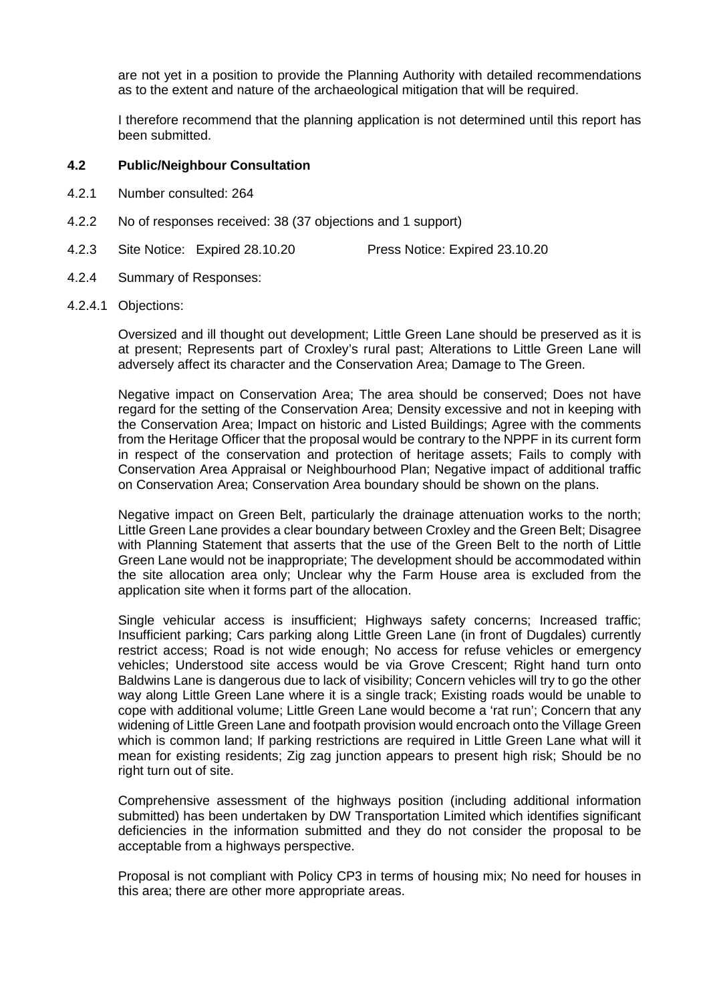are not yet in a position to provide the Planning Authority with detailed recommendations as to the extent and nature of the archaeological mitigation that will be required.

I therefore recommend that the planning application is not determined until this report has been submitted.

# **4.2 Public/Neighbour Consultation**

- 4.2.1 Number consulted: 264
- 4.2.2 No of responses received: 38 (37 objections and 1 support)
- 4.2.3 Site Notice: Expired 28.10.20 Press Notice: Expired 23.10.20
- 4.2.4 Summary of Responses:
- 4.2.4.1 Objections:

Oversized and ill thought out development; Little Green Lane should be preserved as it is at present; Represents part of Croxley's rural past; Alterations to Little Green Lane will adversely affect its character and the Conservation Area; Damage to The Green.

Negative impact on Conservation Area; The area should be conserved; Does not have regard for the setting of the Conservation Area; Density excessive and not in keeping with the Conservation Area; Impact on historic and Listed Buildings; Agree with the comments from the Heritage Officer that the proposal would be contrary to the NPPF in its current form in respect of the conservation and protection of heritage assets; Fails to comply with Conservation Area Appraisal or Neighbourhood Plan; Negative impact of additional traffic on Conservation Area; Conservation Area boundary should be shown on the plans.

Negative impact on Green Belt, particularly the drainage attenuation works to the north; Little Green Lane provides a clear boundary between Croxley and the Green Belt; Disagree with Planning Statement that asserts that the use of the Green Belt to the north of Little Green Lane would not be inappropriate; The development should be accommodated within the site allocation area only; Unclear why the Farm House area is excluded from the application site when it forms part of the allocation.

Single vehicular access is insufficient; Highways safety concerns; Increased traffic; Insufficient parking; Cars parking along Little Green Lane (in front of Dugdales) currently restrict access; Road is not wide enough; No access for refuse vehicles or emergency vehicles; Understood site access would be via Grove Crescent; Right hand turn onto Baldwins Lane is dangerous due to lack of visibility; Concern vehicles will try to go the other way along Little Green Lane where it is a single track; Existing roads would be unable to cope with additional volume; Little Green Lane would become a 'rat run'; Concern that any widening of Little Green Lane and footpath provision would encroach onto the Village Green which is common land; If parking restrictions are required in Little Green Lane what will it mean for existing residents; Zig zag junction appears to present high risk; Should be no right turn out of site.

Comprehensive assessment of the highways position (including additional information submitted) has been undertaken by DW Transportation Limited which identifies significant deficiencies in the information submitted and they do not consider the proposal to be acceptable from a highways perspective.

Proposal is not compliant with Policy CP3 in terms of housing mix; No need for houses in this area; there are other more appropriate areas.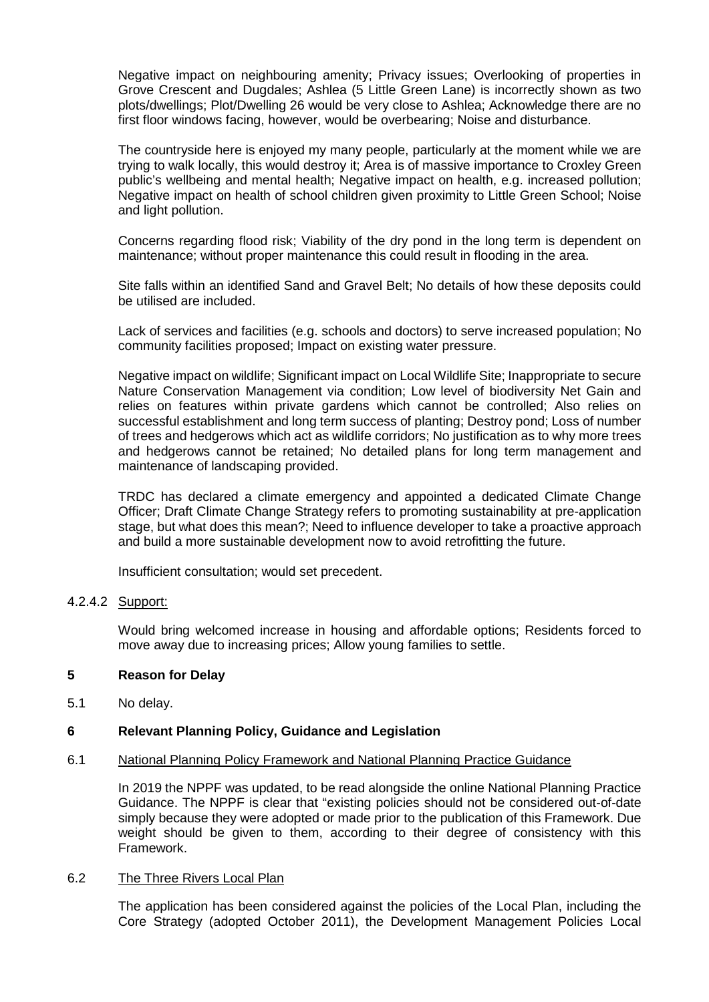Negative impact on neighbouring amenity; Privacy issues; Overlooking of properties in Grove Crescent and Dugdales; Ashlea (5 Little Green Lane) is incorrectly shown as two plots/dwellings; Plot/Dwelling 26 would be very close to Ashlea; Acknowledge there are no first floor windows facing, however, would be overbearing; Noise and disturbance.

The countryside here is enjoyed my many people, particularly at the moment while we are trying to walk locally, this would destroy it; Area is of massive importance to Croxley Green public's wellbeing and mental health; Negative impact on health, e.g. increased pollution; Negative impact on health of school children given proximity to Little Green School; Noise and light pollution.

Concerns regarding flood risk; Viability of the dry pond in the long term is dependent on maintenance; without proper maintenance this could result in flooding in the area.

Site falls within an identified Sand and Gravel Belt; No details of how these deposits could be utilised are included.

Lack of services and facilities (e.g. schools and doctors) to serve increased population; No community facilities proposed; Impact on existing water pressure.

Negative impact on wildlife; Significant impact on Local Wildlife Site; Inappropriate to secure Nature Conservation Management via condition; Low level of biodiversity Net Gain and relies on features within private gardens which cannot be controlled; Also relies on successful establishment and long term success of planting; Destroy pond; Loss of number of trees and hedgerows which act as wildlife corridors; No justification as to why more trees and hedgerows cannot be retained; No detailed plans for long term management and maintenance of landscaping provided.

TRDC has declared a climate emergency and appointed a dedicated Climate Change Officer; Draft Climate Change Strategy refers to promoting sustainability at pre-application stage, but what does this mean?; Need to influence developer to take a proactive approach and build a more sustainable development now to avoid retrofitting the future.

Insufficient consultation; would set precedent.

### 4.2.4.2 Support:

Would bring welcomed increase in housing and affordable options; Residents forced to move away due to increasing prices; Allow young families to settle.

### **5 Reason for Delay**

5.1 No delay.

## **6 Relevant Planning Policy, Guidance and Legislation**

### 6.1 National Planning Policy Framework and National Planning Practice Guidance

In 2019 the NPPF was updated, to be read alongside the online National Planning Practice Guidance. The NPPF is clear that "existing policies should not be considered out-of-date simply because they were adopted or made prior to the publication of this Framework. Due weight should be given to them, according to their degree of consistency with this Framework.

### 6.2 The Three Rivers Local Plan

The application has been considered against the policies of the Local Plan, including the Core Strategy (adopted October 2011), the Development Management Policies Local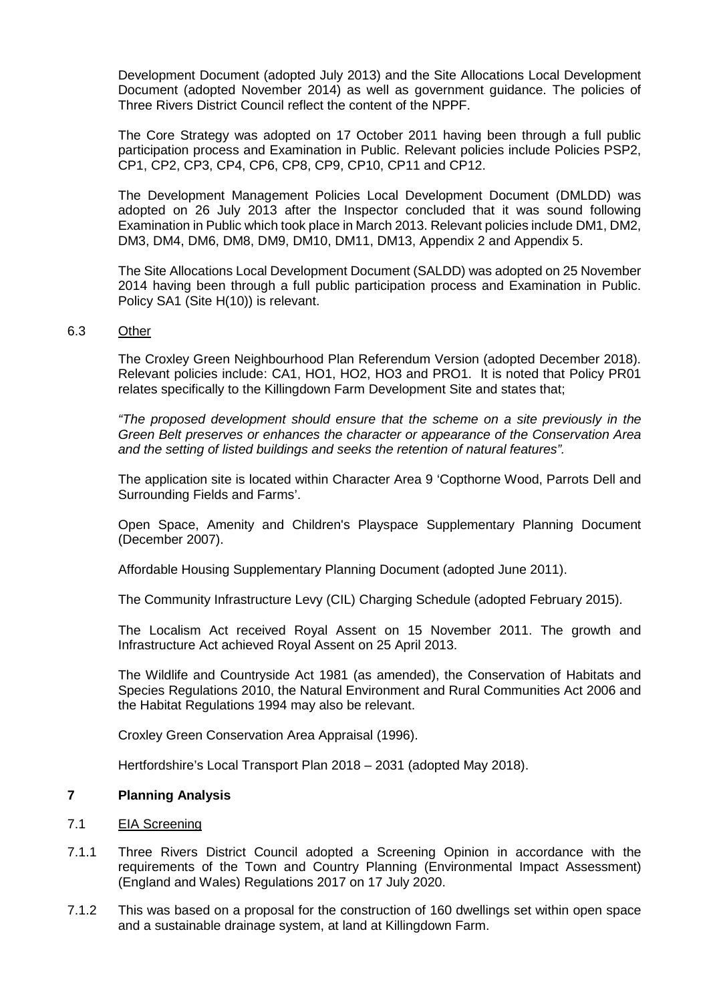Development Document (adopted July 2013) and the Site Allocations Local Development Document (adopted November 2014) as well as government guidance. The policies of Three Rivers District Council reflect the content of the NPPF.

The Core Strategy was adopted on 17 October 2011 having been through a full public participation process and Examination in Public. Relevant policies include Policies PSP2, CP1, CP2, CP3, CP4, CP6, CP8, CP9, CP10, CP11 and CP12.

The Development Management Policies Local Development Document (DMLDD) was adopted on 26 July 2013 after the Inspector concluded that it was sound following Examination in Public which took place in March 2013. Relevant policies include DM1, DM2, DM3, DM4, DM6, DM8, DM9, DM10, DM11, DM13, Appendix 2 and Appendix 5.

The Site Allocations Local Development Document (SALDD) was adopted on 25 November 2014 having been through a full public participation process and Examination in Public. Policy SA1 (Site H(10)) is relevant.

### 6.3 Other

The Croxley Green Neighbourhood Plan Referendum Version (adopted December 2018). Relevant policies include: CA1, HO1, HO2, HO3 and PRO1. It is noted that Policy PR01 relates specifically to the Killingdown Farm Development Site and states that;

*"The proposed development should ensure that the scheme on a site previously in the Green Belt preserves or enhances the character or appearance of the Conservation Area and the setting of listed buildings and seeks the retention of natural features".*

The application site is located within Character Area 9 'Copthorne Wood, Parrots Dell and Surrounding Fields and Farms'.

Open Space, Amenity and Children's Playspace Supplementary Planning Document (December 2007).

Affordable Housing Supplementary Planning Document (adopted June 2011).

The Community Infrastructure Levy (CIL) Charging Schedule (adopted February 2015).

The Localism Act received Royal Assent on 15 November 2011. The growth and Infrastructure Act achieved Royal Assent on 25 April 2013.

The Wildlife and Countryside Act 1981 (as amended), the Conservation of Habitats and Species Regulations 2010, the Natural Environment and Rural Communities Act 2006 and the Habitat Regulations 1994 may also be relevant.

Croxley Green Conservation Area Appraisal (1996).

Hertfordshire's Local Transport Plan 2018 – 2031 (adopted May 2018).

### **7 Planning Analysis**

### 7.1 EIA Screening

- 7.1.1 Three Rivers District Council adopted a Screening Opinion in accordance with the requirements of the Town and Country Planning (Environmental Impact Assessment) (England and Wales) Regulations 2017 on 17 July 2020.
- 7.1.2 This was based on a proposal for the construction of 160 dwellings set within open space and a sustainable drainage system, at land at Killingdown Farm.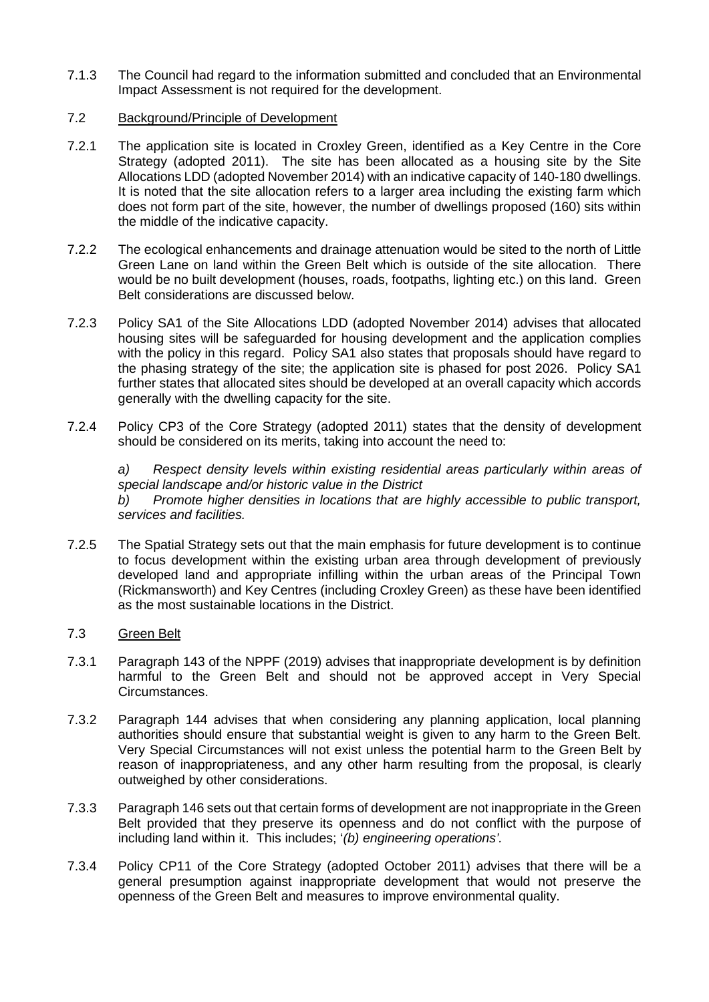7.1.3 The Council had regard to the information submitted and concluded that an Environmental Impact Assessment is not required for the development.

## 7.2 Background/Principle of Development

- 7.2.1 The application site is located in Croxley Green, identified as a Key Centre in the Core Strategy (adopted 2011). The site has been allocated as a housing site by the Site Allocations LDD (adopted November 2014) with an indicative capacity of 140-180 dwellings. It is noted that the site allocation refers to a larger area including the existing farm which does not form part of the site, however, the number of dwellings proposed (160) sits within the middle of the indicative capacity.
- 7.2.2 The ecological enhancements and drainage attenuation would be sited to the north of Little Green Lane on land within the Green Belt which is outside of the site allocation. There would be no built development (houses, roads, footpaths, lighting etc.) on this land. Green Belt considerations are discussed below.
- 7.2.3 Policy SA1 of the Site Allocations LDD (adopted November 2014) advises that allocated housing sites will be safeguarded for housing development and the application complies with the policy in this regard. Policy SA1 also states that proposals should have regard to the phasing strategy of the site; the application site is phased for post 2026. Policy SA1 further states that allocated sites should be developed at an overall capacity which accords generally with the dwelling capacity for the site.
- 7.2.4 Policy CP3 of the Core Strategy (adopted 2011) states that the density of development should be considered on its merits, taking into account the need to:

*a) Respect density levels within existing residential areas particularly within areas of special landscape and/or historic value in the District b) Promote higher densities in locations that are highly accessible to public transport, services and facilities.*

- 7.2.5 The Spatial Strategy sets out that the main emphasis for future development is to continue to focus development within the existing urban area through development of previously developed land and appropriate infilling within the urban areas of the Principal Town (Rickmansworth) and Key Centres (including Croxley Green) as these have been identified as the most sustainable locations in the District.
- 7.3 Green Belt
- 7.3.1 Paragraph 143 of the NPPF (2019) advises that inappropriate development is by definition harmful to the Green Belt and should not be approved accept in Very Special Circumstances.
- 7.3.2 Paragraph 144 advises that when considering any planning application, local planning authorities should ensure that substantial weight is given to any harm to the Green Belt. Very Special Circumstances will not exist unless the potential harm to the Green Belt by reason of inappropriateness, and any other harm resulting from the proposal, is clearly outweighed by other considerations.
- 7.3.3 Paragraph 146 sets out that certain forms of development are not inappropriate in the Green Belt provided that they preserve its openness and do not conflict with the purpose of including land within it. This includes; '*(b) engineering operations'.*
- 7.3.4 Policy CP11 of the Core Strategy (adopted October 2011) advises that there will be a general presumption against inappropriate development that would not preserve the openness of the Green Belt and measures to improve environmental quality.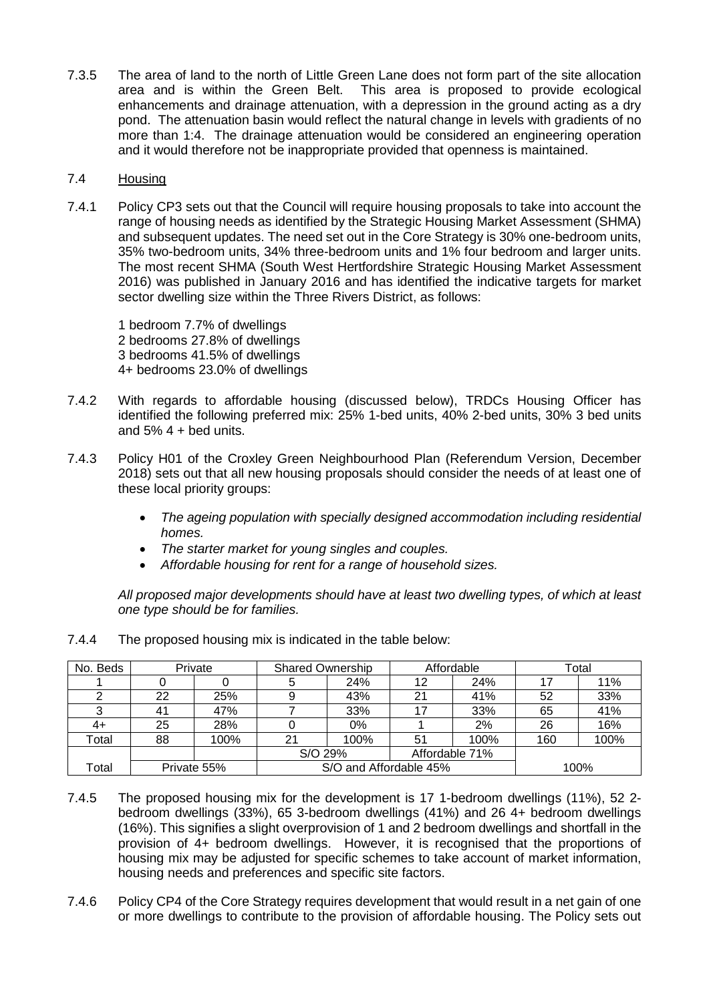7.3.5 The area of land to the north of Little Green Lane does not form part of the site allocation area and is within the Green Belt. This area is proposed to provide ecological enhancements and drainage attenuation, with a depression in the ground acting as a dry pond. The attenuation basin would reflect the natural change in levels with gradients of no more than 1:4. The drainage attenuation would be considered an engineering operation and it would therefore not be inappropriate provided that openness is maintained.

# 7.4 Housing

7.4.1 Policy CP3 sets out that the Council will require housing proposals to take into account the range of housing needs as identified by the Strategic Housing Market Assessment (SHMA) and subsequent updates. The need set out in the Core Strategy is 30% one-bedroom units, 35% two-bedroom units, 34% three-bedroom units and 1% four bedroom and larger units. The most recent SHMA (South West Hertfordshire Strategic Housing Market Assessment 2016) was published in January 2016 and has identified the indicative targets for market sector dwelling size within the Three Rivers District, as follows:

1 bedroom 7.7% of dwellings 2 bedrooms 27.8% of dwellings 3 bedrooms 41.5% of dwellings 4+ bedrooms 23.0% of dwellings

- 7.4.2 With regards to affordable housing (discussed below), TRDCs Housing Officer has identified the following preferred mix: 25% 1-bed units, 40% 2-bed units, 30% 3 bed units and  $5\%$  4 + bed units.
- 7.4.3 Policy H01 of the Croxley Green Neighbourhood Plan (Referendum Version, December 2018) sets out that all new housing proposals should consider the needs of at least one of these local priority groups:
	- *The ageing population with specially designed accommodation including residential homes.*
	- *The starter market for young singles and couples.*
	- *Affordable housing for rent for a range of household sizes.*

*All proposed major developments should have at least two dwelling types, of which at least one type should be for families.*

| No. Beds | Private     |      | <b>Shared Ownership</b> |                        | Affordable     |      | Total |      |
|----------|-------------|------|-------------------------|------------------------|----------------|------|-------|------|
|          |             |      |                         | 24%                    | 12             | 24%  |       | 11%  |
|          | 22          | 25%  |                         | 43%                    | 21             | 41%  | 52    | 33%  |
|          | 41          | 47%  |                         | 33%                    | 17             | 33%  | 65    | 41%  |
| 4+       | 25          | 28%  |                         | $0\%$                  |                | 2%   | 26    | 16%  |
| Total    | 88          | 100% | 21                      | 100%                   | 51             | 100% | 160   | 100% |
|          |             |      | S/O 29%                 |                        | Affordable 71% |      |       |      |
| Total    | Private 55% |      |                         | S/O and Affordable 45% |                | 100% |       |      |

7.4.4 The proposed housing mix is indicated in the table below:

- 7.4.5 The proposed housing mix for the development is 17 1-bedroom dwellings (11%), 52 2 bedroom dwellings (33%), 65 3-bedroom dwellings (41%) and 26 4+ bedroom dwellings (16%). This signifies a slight overprovision of 1 and 2 bedroom dwellings and shortfall in the provision of 4+ bedroom dwellings. However, it is recognised that the proportions of housing mix may be adjusted for specific schemes to take account of market information, housing needs and preferences and specific site factors.
- 7.4.6 Policy CP4 of the Core Strategy requires development that would result in a net gain of one or more dwellings to contribute to the provision of affordable housing. The Policy sets out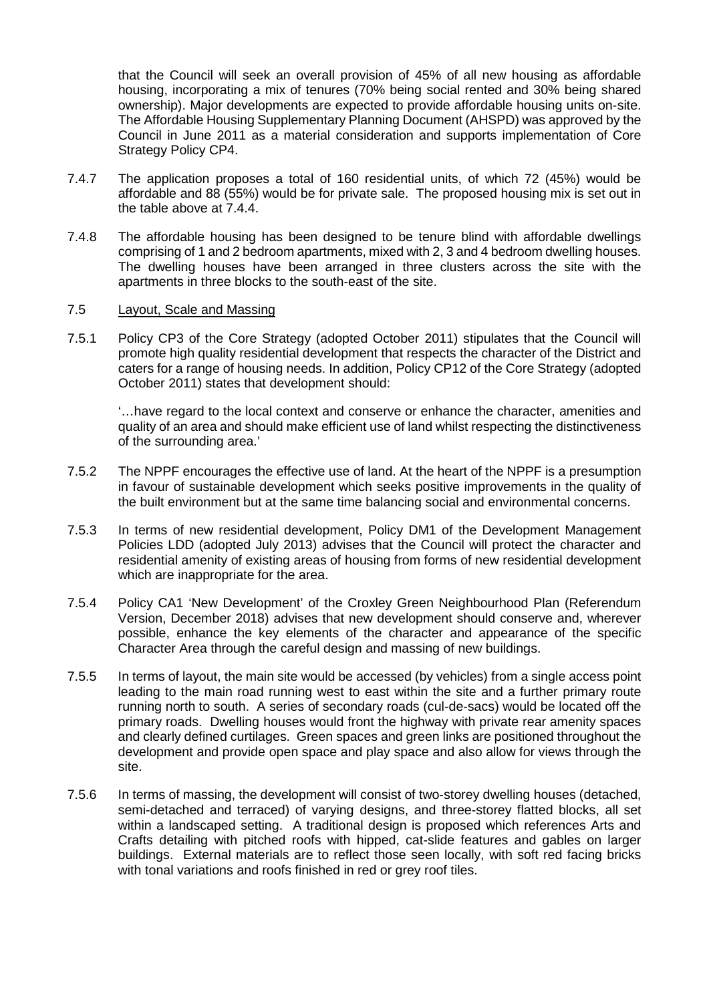that the Council will seek an overall provision of 45% of all new housing as affordable housing, incorporating a mix of tenures (70% being social rented and 30% being shared ownership). Major developments are expected to provide affordable housing units on-site. The Affordable Housing Supplementary Planning Document (AHSPD) was approved by the Council in June 2011 as a material consideration and supports implementation of Core Strategy Policy CP4.

- 7.4.7 The application proposes a total of 160 residential units, of which 72 (45%) would be affordable and 88 (55%) would be for private sale. The proposed housing mix is set out in the table above at 7.4.4.
- 7.4.8 The affordable housing has been designed to be tenure blind with affordable dwellings comprising of 1 and 2 bedroom apartments, mixed with 2, 3 and 4 bedroom dwelling houses. The dwelling houses have been arranged in three clusters across the site with the apartments in three blocks to the south-east of the site.

### 7.5 Layout, Scale and Massing

7.5.1 Policy CP3 of the Core Strategy (adopted October 2011) stipulates that the Council will promote high quality residential development that respects the character of the District and caters for a range of housing needs. In addition, Policy CP12 of the Core Strategy (adopted October 2011) states that development should:

'…have regard to the local context and conserve or enhance the character, amenities and quality of an area and should make efficient use of land whilst respecting the distinctiveness of the surrounding area.'

- 7.5.2 The NPPF encourages the effective use of land. At the heart of the NPPF is a presumption in favour of sustainable development which seeks positive improvements in the quality of the built environment but at the same time balancing social and environmental concerns.
- 7.5.3 In terms of new residential development, Policy DM1 of the Development Management Policies LDD (adopted July 2013) advises that the Council will protect the character and residential amenity of existing areas of housing from forms of new residential development which are inappropriate for the area.
- 7.5.4 Policy CA1 'New Development' of the Croxley Green Neighbourhood Plan (Referendum Version, December 2018) advises that new development should conserve and, wherever possible, enhance the key elements of the character and appearance of the specific Character Area through the careful design and massing of new buildings.
- 7.5.5 In terms of layout, the main site would be accessed (by vehicles) from a single access point leading to the main road running west to east within the site and a further primary route running north to south. A series of secondary roads (cul-de-sacs) would be located off the primary roads. Dwelling houses would front the highway with private rear amenity spaces and clearly defined curtilages. Green spaces and green links are positioned throughout the development and provide open space and play space and also allow for views through the site.
- 7.5.6 In terms of massing, the development will consist of two-storey dwelling houses (detached, semi-detached and terraced) of varying designs, and three-storey flatted blocks, all set within a landscaped setting. A traditional design is proposed which references Arts and Crafts detailing with pitched roofs with hipped, cat-slide features and gables on larger buildings. External materials are to reflect those seen locally, with soft red facing bricks with tonal variations and roofs finished in red or grey roof tiles.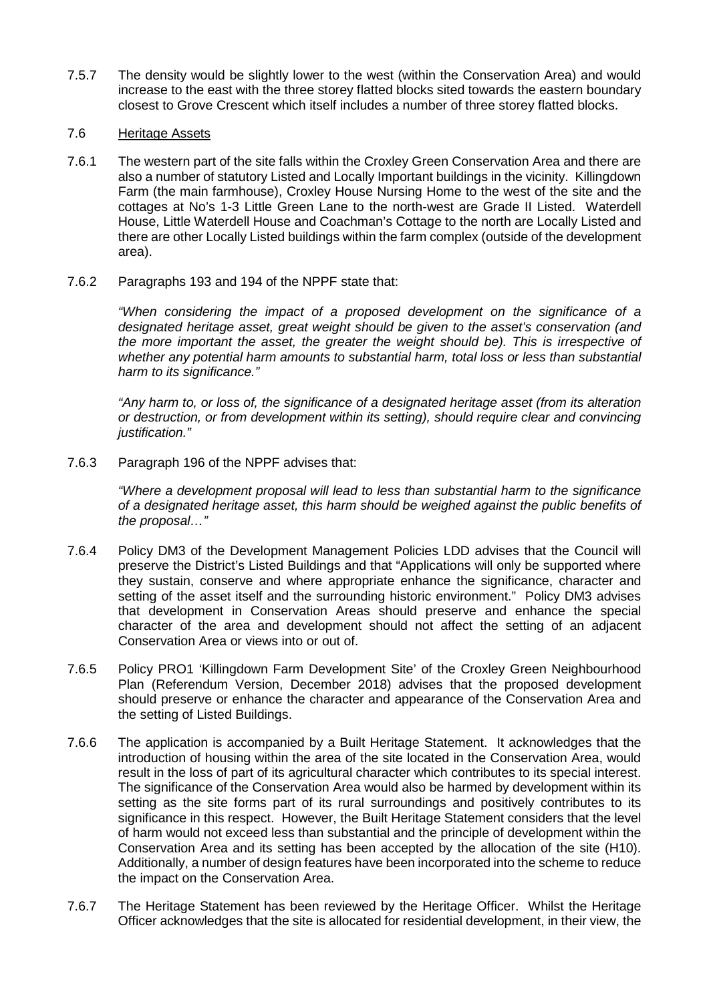- 7.5.7 The density would be slightly lower to the west (within the Conservation Area) and would increase to the east with the three storey flatted blocks sited towards the eastern boundary closest to Grove Crescent which itself includes a number of three storey flatted blocks.
- 7.6 Heritage Assets
- 7.6.1 The western part of the site falls within the Croxley Green Conservation Area and there are also a number of statutory Listed and Locally Important buildings in the vicinity. Killingdown Farm (the main farmhouse), Croxley House Nursing Home to the west of the site and the cottages at No's 1-3 Little Green Lane to the north-west are Grade II Listed. Waterdell House, Little Waterdell House and Coachman's Cottage to the north are Locally Listed and there are other Locally Listed buildings within the farm complex (outside of the development area).
- 7.6.2 Paragraphs 193 and 194 of the NPPF state that:

*"When considering the impact of a proposed development on the significance of a designated heritage asset, great weight should be given to the asset's conservation (and the more important the asset, the greater the weight should be). This is irrespective of whether any potential harm amounts to substantial harm, total loss or less than substantial harm to its significance."* 

*"Any harm to, or loss of, the significance of a designated heritage asset (from its alteration or destruction, or from development within its setting), should require clear and convincing justification."*

7.6.3 Paragraph 196 of the NPPF advises that:

*"Where a development proposal will lead to less than substantial harm to the significance of a designated heritage asset, this harm should be weighed against the public benefits of the proposal…"* 

- 7.6.4 Policy DM3 of the Development Management Policies LDD advises that the Council will preserve the District's Listed Buildings and that "Applications will only be supported where they sustain, conserve and where appropriate enhance the significance, character and setting of the asset itself and the surrounding historic environment." Policy DM3 advises that development in Conservation Areas should preserve and enhance the special character of the area and development should not affect the setting of an adjacent Conservation Area or views into or out of.
- 7.6.5 Policy PRO1 'Killingdown Farm Development Site' of the Croxley Green Neighbourhood Plan (Referendum Version, December 2018) advises that the proposed development should preserve or enhance the character and appearance of the Conservation Area and the setting of Listed Buildings.
- 7.6.6 The application is accompanied by a Built Heritage Statement. It acknowledges that the introduction of housing within the area of the site located in the Conservation Area, would result in the loss of part of its agricultural character which contributes to its special interest. The significance of the Conservation Area would also be harmed by development within its setting as the site forms part of its rural surroundings and positively contributes to its significance in this respect. However, the Built Heritage Statement considers that the level of harm would not exceed less than substantial and the principle of development within the Conservation Area and its setting has been accepted by the allocation of the site (H10). Additionally, a number of design features have been incorporated into the scheme to reduce the impact on the Conservation Area.
- 7.6.7 The Heritage Statement has been reviewed by the Heritage Officer. Whilst the Heritage Officer acknowledges that the site is allocated for residential development, in their view, the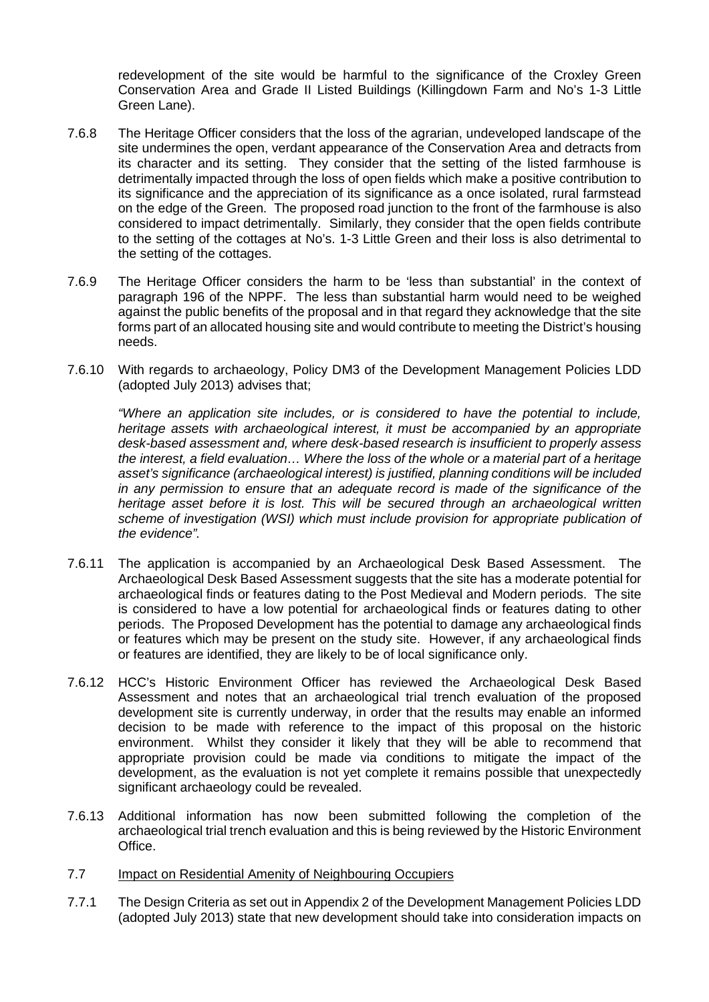redevelopment of the site would be harmful to the significance of the Croxley Green Conservation Area and Grade II Listed Buildings (Killingdown Farm and No's 1-3 Little Green Lane).

- 7.6.8 The Heritage Officer considers that the loss of the agrarian, undeveloped landscape of the site undermines the open, verdant appearance of the Conservation Area and detracts from its character and its setting. They consider that the setting of the listed farmhouse is detrimentally impacted through the loss of open fields which make a positive contribution to its significance and the appreciation of its significance as a once isolated, rural farmstead on the edge of the Green. The proposed road junction to the front of the farmhouse is also considered to impact detrimentally. Similarly, they consider that the open fields contribute to the setting of the cottages at No's. 1-3 Little Green and their loss is also detrimental to the setting of the cottages.
- 7.6.9 The Heritage Officer considers the harm to be 'less than substantial' in the context of paragraph 196 of the NPPF. The less than substantial harm would need to be weighed against the public benefits of the proposal and in that regard they acknowledge that the site forms part of an allocated housing site and would contribute to meeting the District's housing needs.
- 7.6.10 With regards to archaeology, Policy DM3 of the Development Management Policies LDD (adopted July 2013) advises that;

*"Where an application site includes, or is considered to have the potential to include, heritage assets with archaeological interest, it must be accompanied by an appropriate desk-based assessment and, where desk-based research is insufficient to properly assess the interest, a field evaluation… Where the loss of the whole or a material part of a heritage asset's significance (archaeological interest) is justified, planning conditions will be included in any permission to ensure that an adequate record is made of the significance of the heritage asset before it is lost. This will be secured through an archaeological written scheme of investigation (WSI) which must include provision for appropriate publication of the evidence".*

- 7.6.11 The application is accompanied by an Archaeological Desk Based Assessment. The Archaeological Desk Based Assessment suggests that the site has a moderate potential for archaeological finds or features dating to the Post Medieval and Modern periods. The site is considered to have a low potential for archaeological finds or features dating to other periods. The Proposed Development has the potential to damage any archaeological finds or features which may be present on the study site. However, if any archaeological finds or features are identified, they are likely to be of local significance only.
- 7.6.12 HCC's Historic Environment Officer has reviewed the Archaeological Desk Based Assessment and notes that an archaeological trial trench evaluation of the proposed development site is currently underway, in order that the results may enable an informed decision to be made with reference to the impact of this proposal on the historic environment. Whilst they consider it likely that they will be able to recommend that appropriate provision could be made via conditions to mitigate the impact of the development, as the evaluation is not yet complete it remains possible that unexpectedly significant archaeology could be revealed.
- 7.6.13 Additional information has now been submitted following the completion of the archaeological trial trench evaluation and this is being reviewed by the Historic Environment Office.

### 7.7 Impact on Residential Amenity of Neighbouring Occupiers

7.7.1 The Design Criteria as set out in Appendix 2 of the Development Management Policies LDD (adopted July 2013) state that new development should take into consideration impacts on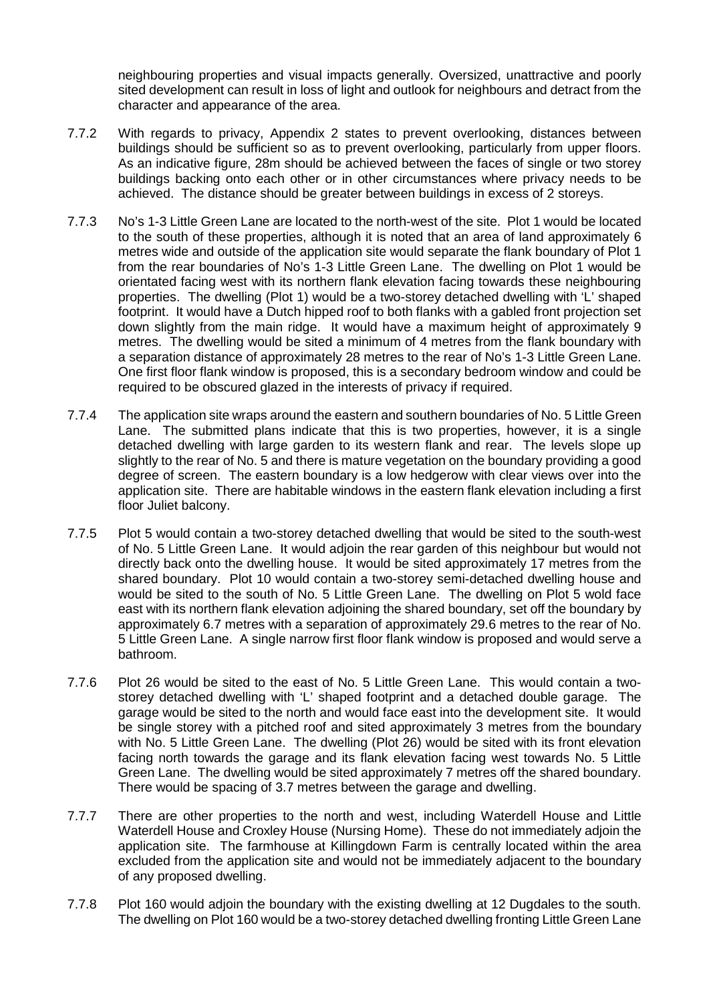neighbouring properties and visual impacts generally. Oversized, unattractive and poorly sited development can result in loss of light and outlook for neighbours and detract from the character and appearance of the area.

- 7.7.2 With regards to privacy, Appendix 2 states to prevent overlooking, distances between buildings should be sufficient so as to prevent overlooking, particularly from upper floors. As an indicative figure, 28m should be achieved between the faces of single or two storey buildings backing onto each other or in other circumstances where privacy needs to be achieved. The distance should be greater between buildings in excess of 2 storeys.
- 7.7.3 No's 1-3 Little Green Lane are located to the north-west of the site. Plot 1 would be located to the south of these properties, although it is noted that an area of land approximately 6 metres wide and outside of the application site would separate the flank boundary of Plot 1 from the rear boundaries of No's 1-3 Little Green Lane. The dwelling on Plot 1 would be orientated facing west with its northern flank elevation facing towards these neighbouring properties. The dwelling (Plot 1) would be a two-storey detached dwelling with 'L' shaped footprint. It would have a Dutch hipped roof to both flanks with a gabled front projection set down slightly from the main ridge. It would have a maximum height of approximately 9 metres. The dwelling would be sited a minimum of 4 metres from the flank boundary with a separation distance of approximately 28 metres to the rear of No's 1-3 Little Green Lane. One first floor flank window is proposed, this is a secondary bedroom window and could be required to be obscured glazed in the interests of privacy if required.
- 7.7.4 The application site wraps around the eastern and southern boundaries of No. 5 Little Green Lane. The submitted plans indicate that this is two properties, however, it is a single detached dwelling with large garden to its western flank and rear. The levels slope up slightly to the rear of No. 5 and there is mature vegetation on the boundary providing a good degree of screen. The eastern boundary is a low hedgerow with clear views over into the application site. There are habitable windows in the eastern flank elevation including a first floor Juliet balcony.
- 7.7.5 Plot 5 would contain a two-storey detached dwelling that would be sited to the south-west of No. 5 Little Green Lane. It would adjoin the rear garden of this neighbour but would not directly back onto the dwelling house. It would be sited approximately 17 metres from the shared boundary. Plot 10 would contain a two-storey semi-detached dwelling house and would be sited to the south of No. 5 Little Green Lane. The dwelling on Plot 5 wold face east with its northern flank elevation adjoining the shared boundary, set off the boundary by approximately 6.7 metres with a separation of approximately 29.6 metres to the rear of No. 5 Little Green Lane. A single narrow first floor flank window is proposed and would serve a bathroom.
- 7.7.6 Plot 26 would be sited to the east of No. 5 Little Green Lane. This would contain a twostorey detached dwelling with 'L' shaped footprint and a detached double garage. The garage would be sited to the north and would face east into the development site. It would be single storey with a pitched roof and sited approximately 3 metres from the boundary with No. 5 Little Green Lane. The dwelling (Plot 26) would be sited with its front elevation facing north towards the garage and its flank elevation facing west towards No. 5 Little Green Lane. The dwelling would be sited approximately 7 metres off the shared boundary. There would be spacing of 3.7 metres between the garage and dwelling.
- 7.7.7 There are other properties to the north and west, including Waterdell House and Little Waterdell House and Croxley House (Nursing Home). These do not immediately adjoin the application site. The farmhouse at Killingdown Farm is centrally located within the area excluded from the application site and would not be immediately adjacent to the boundary of any proposed dwelling.
- 7.7.8 Plot 160 would adjoin the boundary with the existing dwelling at 12 Dugdales to the south. The dwelling on Plot 160 would be a two-storey detached dwelling fronting Little Green Lane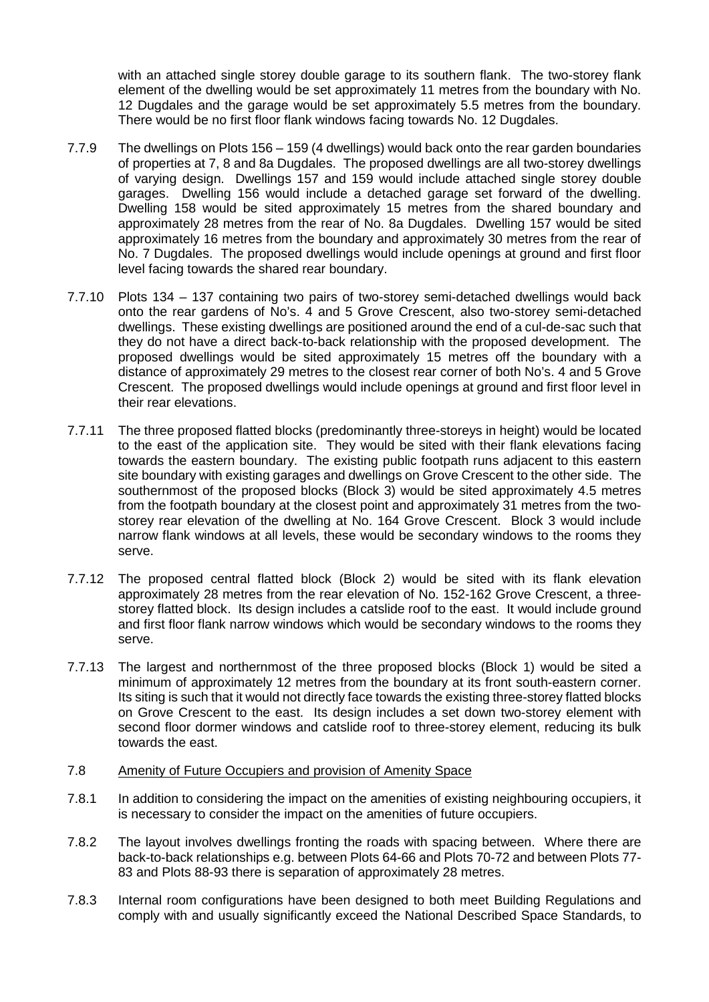with an attached single storey double garage to its southern flank. The two-storey flank element of the dwelling would be set approximately 11 metres from the boundary with No. 12 Dugdales and the garage would be set approximately 5.5 metres from the boundary. There would be no first floor flank windows facing towards No. 12 Dugdales.

- 7.7.9 The dwellings on Plots 156 159 (4 dwellings) would back onto the rear garden boundaries of properties at 7, 8 and 8a Dugdales. The proposed dwellings are all two-storey dwellings of varying design. Dwellings 157 and 159 would include attached single storey double garages. Dwelling 156 would include a detached garage set forward of the dwelling. Dwelling 158 would be sited approximately 15 metres from the shared boundary and approximately 28 metres from the rear of No. 8a Dugdales. Dwelling 157 would be sited approximately 16 metres from the boundary and approximately 30 metres from the rear of No. 7 Dugdales. The proposed dwellings would include openings at ground and first floor level facing towards the shared rear boundary.
- 7.7.10 Plots 134 137 containing two pairs of two-storey semi-detached dwellings would back onto the rear gardens of No's. 4 and 5 Grove Crescent, also two-storey semi-detached dwellings. These existing dwellings are positioned around the end of a cul-de-sac such that they do not have a direct back-to-back relationship with the proposed development. The proposed dwellings would be sited approximately 15 metres off the boundary with a distance of approximately 29 metres to the closest rear corner of both No's. 4 and 5 Grove Crescent. The proposed dwellings would include openings at ground and first floor level in their rear elevations.
- 7.7.11 The three proposed flatted blocks (predominantly three-storeys in height) would be located to the east of the application site. They would be sited with their flank elevations facing towards the eastern boundary. The existing public footpath runs adjacent to this eastern site boundary with existing garages and dwellings on Grove Crescent to the other side. The southernmost of the proposed blocks (Block 3) would be sited approximately 4.5 metres from the footpath boundary at the closest point and approximately 31 metres from the twostorey rear elevation of the dwelling at No. 164 Grove Crescent. Block 3 would include narrow flank windows at all levels, these would be secondary windows to the rooms they serve.
- 7.7.12 The proposed central flatted block (Block 2) would be sited with its flank elevation approximately 28 metres from the rear elevation of No. 152-162 Grove Crescent, a threestorey flatted block. Its design includes a catslide roof to the east. It would include ground and first floor flank narrow windows which would be secondary windows to the rooms they serve.
- 7.7.13 The largest and northernmost of the three proposed blocks (Block 1) would be sited a minimum of approximately 12 metres from the boundary at its front south-eastern corner. Its siting is such that it would not directly face towards the existing three-storey flatted blocks on Grove Crescent to the east. Its design includes a set down two-storey element with second floor dormer windows and catslide roof to three-storey element, reducing its bulk towards the east.
- 7.8 Amenity of Future Occupiers and provision of Amenity Space
- 7.8.1 In addition to considering the impact on the amenities of existing neighbouring occupiers, it is necessary to consider the impact on the amenities of future occupiers.
- 7.8.2 The layout involves dwellings fronting the roads with spacing between. Where there are back-to-back relationships e.g. between Plots 64-66 and Plots 70-72 and between Plots 77- 83 and Plots 88-93 there is separation of approximately 28 metres.
- 7.8.3 Internal room configurations have been designed to both meet Building Regulations and comply with and usually significantly exceed the National Described Space Standards, to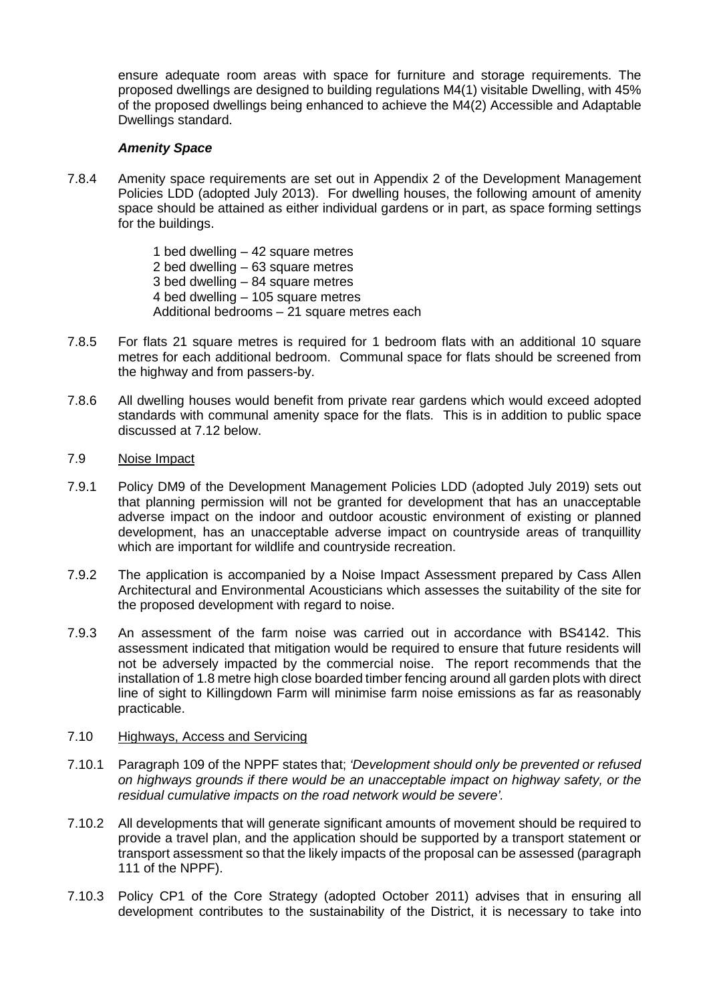ensure adequate room areas with space for furniture and storage requirements. The proposed dwellings are designed to building regulations M4(1) visitable Dwelling, with 45% of the proposed dwellings being enhanced to achieve the M4(2) Accessible and Adaptable Dwellings standard.

## *Amenity Space*

7.8.4 Amenity space requirements are set out in Appendix 2 of the Development Management Policies LDD (adopted July 2013). For dwelling houses, the following amount of amenity space should be attained as either individual gardens or in part, as space forming settings for the buildings.

> 1 bed dwelling – 42 square metres 2 bed dwelling – 63 square metres 3 bed dwelling – 84 square metres 4 bed dwelling  $-105$  square metres Additional bedrooms – 21 square metres each

- 7.8.5 For flats 21 square metres is required for 1 bedroom flats with an additional 10 square metres for each additional bedroom. Communal space for flats should be screened from the highway and from passers-by.
- 7.8.6 All dwelling houses would benefit from private rear gardens which would exceed adopted standards with communal amenity space for the flats. This is in addition to public space discussed at 7.12 below.

### 7.9 Noise Impact

- 7.9.1 Policy DM9 of the Development Management Policies LDD (adopted July 2019) sets out that planning permission will not be granted for development that has an unacceptable adverse impact on the indoor and outdoor acoustic environment of existing or planned development, has an unacceptable adverse impact on countryside areas of tranquillity which are important for wildlife and countryside recreation.
- 7.9.2 The application is accompanied by a Noise Impact Assessment prepared by Cass Allen Architectural and Environmental Acousticians which assesses the suitability of the site for the proposed development with regard to noise.
- 7.9.3 An assessment of the farm noise was carried out in accordance with BS4142. This assessment indicated that mitigation would be required to ensure that future residents will not be adversely impacted by the commercial noise. The report recommends that the installation of 1.8 metre high close boarded timber fencing around all garden plots with direct line of sight to Killingdown Farm will minimise farm noise emissions as far as reasonably practicable.

### 7.10 Highways, Access and Servicing

- 7.10.1 Paragraph 109 of the NPPF states that; *'Development should only be prevented or refused on highways grounds if there would be an unacceptable impact on highway safety, or the residual cumulative impacts on the road network would be severe'.*
- 7.10.2 All developments that will generate significant amounts of movement should be required to provide a travel plan, and the application should be supported by a transport statement or transport assessment so that the likely impacts of the proposal can be assessed (paragraph 111 of the NPPF).
- 7.10.3 Policy CP1 of the Core Strategy (adopted October 2011) advises that in ensuring all development contributes to the sustainability of the District, it is necessary to take into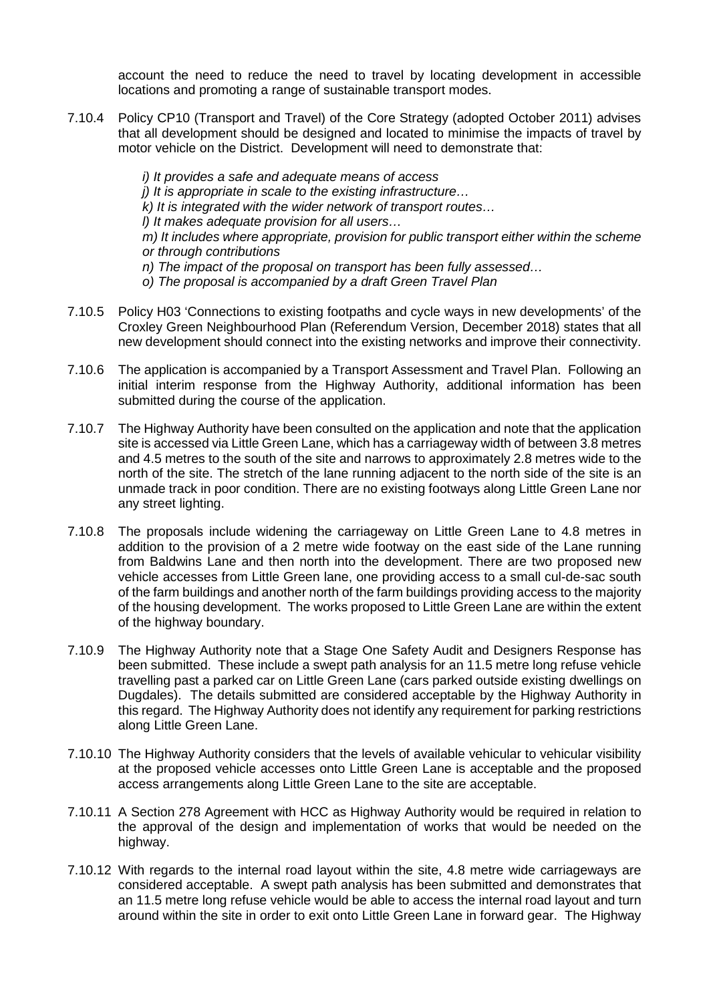account the need to reduce the need to travel by locating development in accessible locations and promoting a range of sustainable transport modes.

- 7.10.4 Policy CP10 (Transport and Travel) of the Core Strategy (adopted October 2011) advises that all development should be designed and located to minimise the impacts of travel by motor vehicle on the District. Development will need to demonstrate that:
	- *i) It provides a safe and adequate means of access j) It is appropriate in scale to the existing infrastructure… k) It is integrated with the wider network of transport routes… l) It makes adequate provision for all users… m) It includes where appropriate, provision for public transport either within the scheme or through contributions n) The impact of the proposal on transport has been fully assessed…*
	- *o) The proposal is accompanied by a draft Green Travel Plan*
- 7.10.5 Policy H03 'Connections to existing footpaths and cycle ways in new developments' of the Croxley Green Neighbourhood Plan (Referendum Version, December 2018) states that all new development should connect into the existing networks and improve their connectivity.
- 7.10.6 The application is accompanied by a Transport Assessment and Travel Plan. Following an initial interim response from the Highway Authority, additional information has been submitted during the course of the application.
- 7.10.7 The Highway Authority have been consulted on the application and note that the application site is accessed via Little Green Lane, which has a carriageway width of between 3.8 metres and 4.5 metres to the south of the site and narrows to approximately 2.8 metres wide to the north of the site. The stretch of the lane running adjacent to the north side of the site is an unmade track in poor condition. There are no existing footways along Little Green Lane nor any street lighting.
- 7.10.8 The proposals include widening the carriageway on Little Green Lane to 4.8 metres in addition to the provision of a 2 metre wide footway on the east side of the Lane running from Baldwins Lane and then north into the development. There are two proposed new vehicle accesses from Little Green lane, one providing access to a small cul-de-sac south of the farm buildings and another north of the farm buildings providing access to the majority of the housing development. The works proposed to Little Green Lane are within the extent of the highway boundary.
- 7.10.9 The Highway Authority note that a Stage One Safety Audit and Designers Response has been submitted. These include a swept path analysis for an 11.5 metre long refuse vehicle travelling past a parked car on Little Green Lane (cars parked outside existing dwellings on Dugdales). The details submitted are considered acceptable by the Highway Authority in this regard. The Highway Authority does not identify any requirement for parking restrictions along Little Green Lane.
- 7.10.10 The Highway Authority considers that the levels of available vehicular to vehicular visibility at the proposed vehicle accesses onto Little Green Lane is acceptable and the proposed access arrangements along Little Green Lane to the site are acceptable.
- 7.10.11 A Section 278 Agreement with HCC as Highway Authority would be required in relation to the approval of the design and implementation of works that would be needed on the highway.
- 7.10.12 With regards to the internal road layout within the site, 4.8 metre wide carriageways are considered acceptable. A swept path analysis has been submitted and demonstrates that an 11.5 metre long refuse vehicle would be able to access the internal road layout and turn around within the site in order to exit onto Little Green Lane in forward gear. The Highway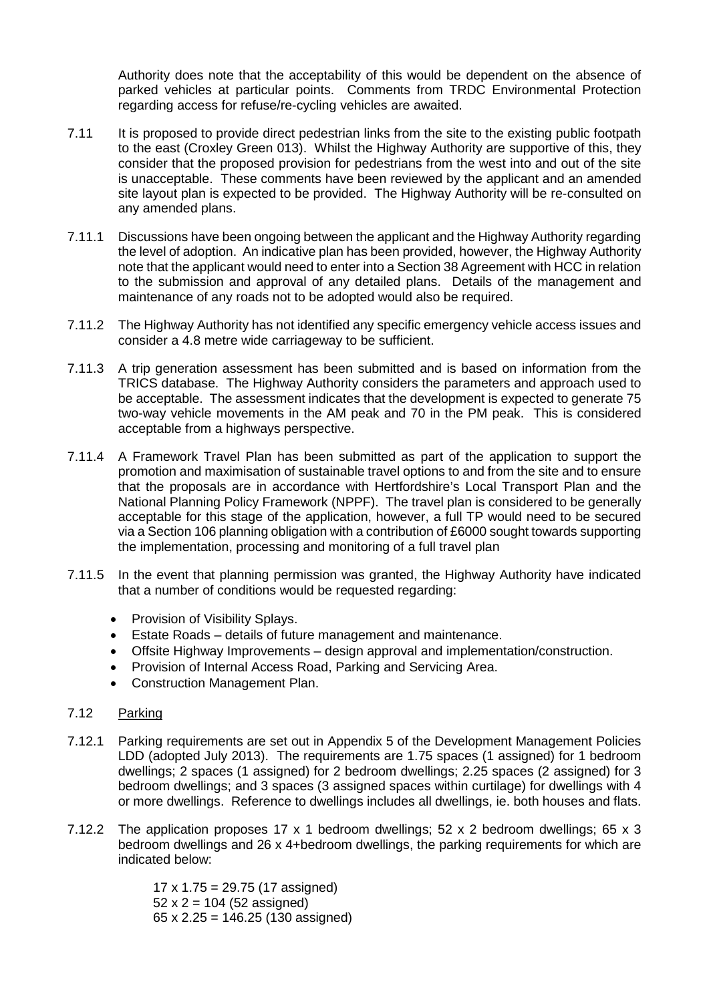Authority does note that the acceptability of this would be dependent on the absence of parked vehicles at particular points. Comments from TRDC Environmental Protection regarding access for refuse/re-cycling vehicles are awaited.

- 7.11 It is proposed to provide direct pedestrian links from the site to the existing public footpath to the east (Croxley Green 013). Whilst the Highway Authority are supportive of this, they consider that the proposed provision for pedestrians from the west into and out of the site is unacceptable. These comments have been reviewed by the applicant and an amended site layout plan is expected to be provided. The Highway Authority will be re-consulted on any amended plans.
- 7.11.1 Discussions have been ongoing between the applicant and the Highway Authority regarding the level of adoption. An indicative plan has been provided, however, the Highway Authority note that the applicant would need to enter into a Section 38 Agreement with HCC in relation to the submission and approval of any detailed plans. Details of the management and maintenance of any roads not to be adopted would also be required.
- 7.11.2 The Highway Authority has not identified any specific emergency vehicle access issues and consider a 4.8 metre wide carriageway to be sufficient.
- 7.11.3 A trip generation assessment has been submitted and is based on information from the TRICS database. The Highway Authority considers the parameters and approach used to be acceptable. The assessment indicates that the development is expected to generate 75 two-way vehicle movements in the AM peak and 70 in the PM peak. This is considered acceptable from a highways perspective.
- 7.11.4 A Framework Travel Plan has been submitted as part of the application to support the promotion and maximisation of sustainable travel options to and from the site and to ensure that the proposals are in accordance with Hertfordshire's Local Transport Plan and the National Planning Policy Framework (NPPF). The travel plan is considered to be generally acceptable for this stage of the application, however, a full TP would need to be secured via a Section 106 planning obligation with a contribution of £6000 sought towards supporting the implementation, processing and monitoring of a full travel plan
- 7.11.5 In the event that planning permission was granted, the Highway Authority have indicated that a number of conditions would be requested regarding:
	- Provision of Visibility Splays.
	- Estate Roads details of future management and maintenance.
	- Offsite Highway Improvements design approval and implementation/construction.
	- Provision of Internal Access Road, Parking and Servicing Area.
	- Construction Management Plan.

## 7.12 Parking

- 7.12.1 Parking requirements are set out in Appendix 5 of the Development Management Policies LDD (adopted July 2013). The requirements are 1.75 spaces (1 assigned) for 1 bedroom dwellings; 2 spaces (1 assigned) for 2 bedroom dwellings; 2.25 spaces (2 assigned) for 3 bedroom dwellings; and 3 spaces (3 assigned spaces within curtilage) for dwellings with 4 or more dwellings. Reference to dwellings includes all dwellings, ie. both houses and flats.
- 7.12.2 The application proposes 17 x 1 bedroom dwellings; 52 x 2 bedroom dwellings; 65 x 3 bedroom dwellings and 26 x 4+bedroom dwellings, the parking requirements for which are indicated below:

17 x 1.75 = 29.75 (17 assigned)  $52 \times 2 = 104$  (52 assigned) 65 x 2.25 = 146.25 (130 assigned)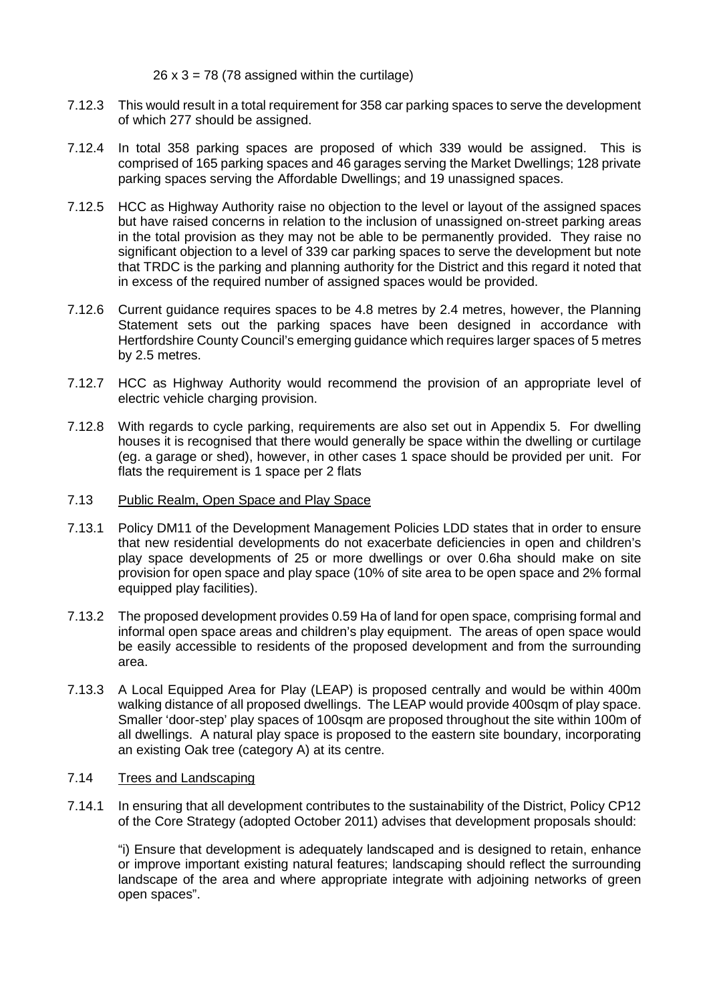$26 \times 3 = 78$  (78 assigned within the curtilage)

- 7.12.3 This would result in a total requirement for 358 car parking spaces to serve the development of which 277 should be assigned.
- 7.12.4 In total 358 parking spaces are proposed of which 339 would be assigned. This is comprised of 165 parking spaces and 46 garages serving the Market Dwellings; 128 private parking spaces serving the Affordable Dwellings; and 19 unassigned spaces.
- 7.12.5 HCC as Highway Authority raise no objection to the level or layout of the assigned spaces but have raised concerns in relation to the inclusion of unassigned on-street parking areas in the total provision as they may not be able to be permanently provided. They raise no significant objection to a level of 339 car parking spaces to serve the development but note that TRDC is the parking and planning authority for the District and this regard it noted that in excess of the required number of assigned spaces would be provided.
- 7.12.6 Current guidance requires spaces to be 4.8 metres by 2.4 metres, however, the Planning Statement sets out the parking spaces have been designed in accordance with Hertfordshire County Council's emerging guidance which requires larger spaces of 5 metres by 2.5 metres.
- 7.12.7 HCC as Highway Authority would recommend the provision of an appropriate level of electric vehicle charging provision.
- 7.12.8 With regards to cycle parking, requirements are also set out in Appendix 5. For dwelling houses it is recognised that there would generally be space within the dwelling or curtilage (eg. a garage or shed), however, in other cases 1 space should be provided per unit. For flats the requirement is 1 space per 2 flats
- 7.13 Public Realm, Open Space and Play Space
- 7.13.1 Policy DM11 of the Development Management Policies LDD states that in order to ensure that new residential developments do not exacerbate deficiencies in open and children's play space developments of 25 or more dwellings or over 0.6ha should make on site provision for open space and play space (10% of site area to be open space and 2% formal equipped play facilities).
- 7.13.2 The proposed development provides 0.59 Ha of land for open space, comprising formal and informal open space areas and children's play equipment. The areas of open space would be easily accessible to residents of the proposed development and from the surrounding area.
- 7.13.3 A Local Equipped Area for Play (LEAP) is proposed centrally and would be within 400m walking distance of all proposed dwellings. The LEAP would provide 400sqm of play space. Smaller 'door-step' play spaces of 100sqm are proposed throughout the site within 100m of all dwellings. A natural play space is proposed to the eastern site boundary, incorporating an existing Oak tree (category A) at its centre.

## 7.14 Trees and Landscaping

7.14.1 In ensuring that all development contributes to the sustainability of the District, Policy CP12 of the Core Strategy (adopted October 2011) advises that development proposals should:

"i) Ensure that development is adequately landscaped and is designed to retain, enhance or improve important existing natural features; landscaping should reflect the surrounding landscape of the area and where appropriate integrate with adjoining networks of green open spaces".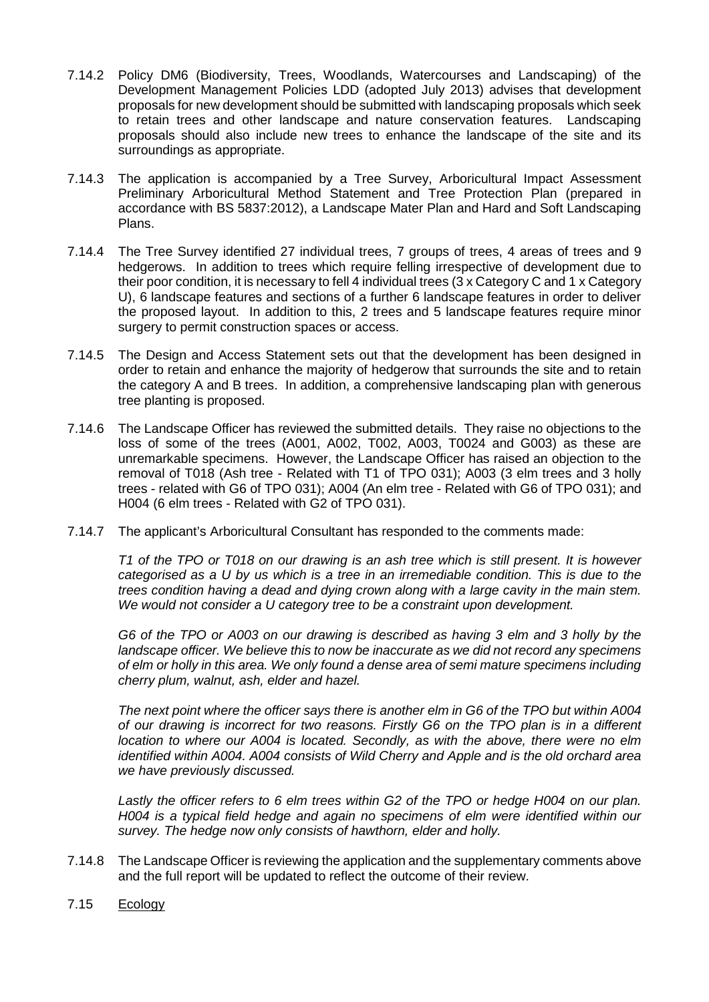- 7.14.2 Policy DM6 (Biodiversity, Trees, Woodlands, Watercourses and Landscaping) of the Development Management Policies LDD (adopted July 2013) advises that development proposals for new development should be submitted with landscaping proposals which seek to retain trees and other landscape and nature conservation features. Landscaping proposals should also include new trees to enhance the landscape of the site and its surroundings as appropriate.
- 7.14.3 The application is accompanied by a Tree Survey, Arboricultural Impact Assessment Preliminary Arboricultural Method Statement and Tree Protection Plan (prepared in accordance with BS 5837:2012), a Landscape Mater Plan and Hard and Soft Landscaping Plans.
- 7.14.4 The Tree Survey identified 27 individual trees, 7 groups of trees, 4 areas of trees and 9 hedgerows. In addition to trees which require felling irrespective of development due to their poor condition, it is necessary to fell 4 individual trees (3 x Category C and 1 x Category U), 6 landscape features and sections of a further 6 landscape features in order to deliver the proposed layout. In addition to this, 2 trees and 5 landscape features require minor surgery to permit construction spaces or access.
- 7.14.5 The Design and Access Statement sets out that the development has been designed in order to retain and enhance the majority of hedgerow that surrounds the site and to retain the category A and B trees. In addition, a comprehensive landscaping plan with generous tree planting is proposed.
- 7.14.6 The Landscape Officer has reviewed the submitted details. They raise no objections to the loss of some of the trees (A001, A002, T002, A003, T0024 and G003) as these are unremarkable specimens. However, the Landscape Officer has raised an objection to the removal of T018 (Ash tree - Related with T1 of TPO 031); A003 (3 elm trees and 3 holly trees - related with G6 of TPO 031); A004 (An elm tree - Related with G6 of TPO 031); and H004 (6 elm trees - Related with G2 of TPO 031).
- 7.14.7 The applicant's Arboricultural Consultant has responded to the comments made:

*T1 of the TPO or T018 on our drawing is an ash tree which is still present. It is however categorised as a U by us which is a tree in an irremediable condition. This is due to the trees condition having a dead and dying crown along with a large cavity in the main stem. We would not consider a U category tree to be a constraint upon development.* 

*G6 of the TPO or A003 on our drawing is described as having 3 elm and 3 holly by the landscape officer. We believe this to now be inaccurate as we did not record any specimens of elm or holly in this area. We only found a dense area of semi mature specimens including cherry plum, walnut, ash, elder and hazel.*

*The next point where the officer says there is another elm in G6 of the TPO but within A004 of our drawing is incorrect for two reasons. Firstly G6 on the TPO plan is in a different location to where our A004 is located. Secondly, as with the above, there were no elm identified within A004. A004 consists of Wild Cherry and Apple and is the old orchard area we have previously discussed.*

*Lastly the officer refers to 6 elm trees within G2 of the TPO or hedge H004 on our plan. H004 is a typical field hedge and again no specimens of elm were identified within our survey. The hedge now only consists of hawthorn, elder and holly.*

- 7.14.8 The Landscape Officer is reviewing the application and the supplementary comments above and the full report will be updated to reflect the outcome of their review.
- 7.15 Ecology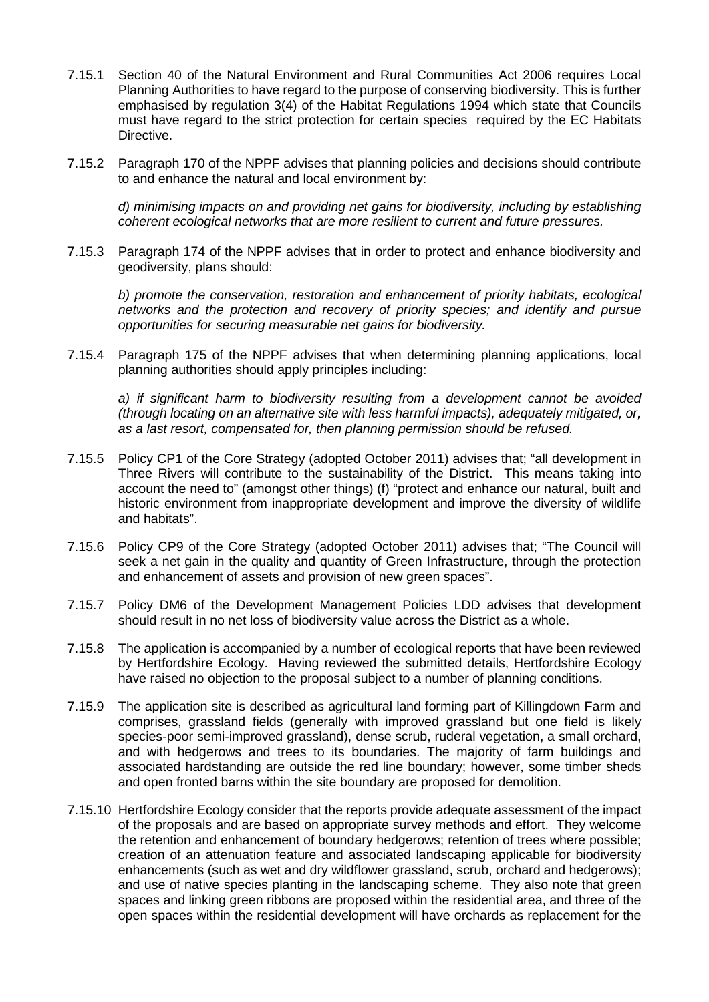- 7.15.1 Section 40 of the Natural Environment and Rural Communities Act 2006 requires Local Planning Authorities to have regard to the purpose of conserving biodiversity. This is further emphasised by regulation 3(4) of the Habitat Regulations 1994 which state that Councils must have regard to the strict protection for certain species required by the EC Habitats Directive.
- 7.15.2 Paragraph 170 of the NPPF advises that planning policies and decisions should contribute to and enhance the natural and local environment by:

*d) minimising impacts on and providing net gains for biodiversity, including by establishing coherent ecological networks that are more resilient to current and future pressures.*

7.15.3 Paragraph 174 of the NPPF advises that in order to protect and enhance biodiversity and geodiversity, plans should:

*b) promote the conservation, restoration and enhancement of priority habitats, ecological networks and the protection and recovery of priority species; and identify and pursue opportunities for securing measurable net gains for biodiversity.*

7.15.4 Paragraph 175 of the NPPF advises that when determining planning applications, local planning authorities should apply principles including:

*a) if significant harm to biodiversity resulting from a development cannot be avoided (through locating on an alternative site with less harmful impacts), adequately mitigated, or, as a last resort, compensated for, then planning permission should be refused.*

- 7.15.5 Policy CP1 of the Core Strategy (adopted October 2011) advises that; "all development in Three Rivers will contribute to the sustainability of the District. This means taking into account the need to" (amongst other things) (f) "protect and enhance our natural, built and historic environment from inappropriate development and improve the diversity of wildlife and habitats".
- 7.15.6 Policy CP9 of the Core Strategy (adopted October 2011) advises that; "The Council will seek a net gain in the quality and quantity of Green Infrastructure, through the protection and enhancement of assets and provision of new green spaces".
- 7.15.7 Policy DM6 of the Development Management Policies LDD advises that development should result in no net loss of biodiversity value across the District as a whole.
- 7.15.8 The application is accompanied by a number of ecological reports that have been reviewed by Hertfordshire Ecology. Having reviewed the submitted details, Hertfordshire Ecology have raised no objection to the proposal subject to a number of planning conditions.
- 7.15.9 The application site is described as agricultural land forming part of Killingdown Farm and comprises, grassland fields (generally with improved grassland but one field is likely species-poor semi-improved grassland), dense scrub, ruderal vegetation, a small orchard, and with hedgerows and trees to its boundaries. The majority of farm buildings and associated hardstanding are outside the red line boundary; however, some timber sheds and open fronted barns within the site boundary are proposed for demolition.
- 7.15.10 Hertfordshire Ecology consider that the reports provide adequate assessment of the impact of the proposals and are based on appropriate survey methods and effort. They welcome the retention and enhancement of boundary hedgerows; retention of trees where possible; creation of an attenuation feature and associated landscaping applicable for biodiversity enhancements (such as wet and dry wildflower grassland, scrub, orchard and hedgerows); and use of native species planting in the landscaping scheme. They also note that green spaces and linking green ribbons are proposed within the residential area, and three of the open spaces within the residential development will have orchards as replacement for the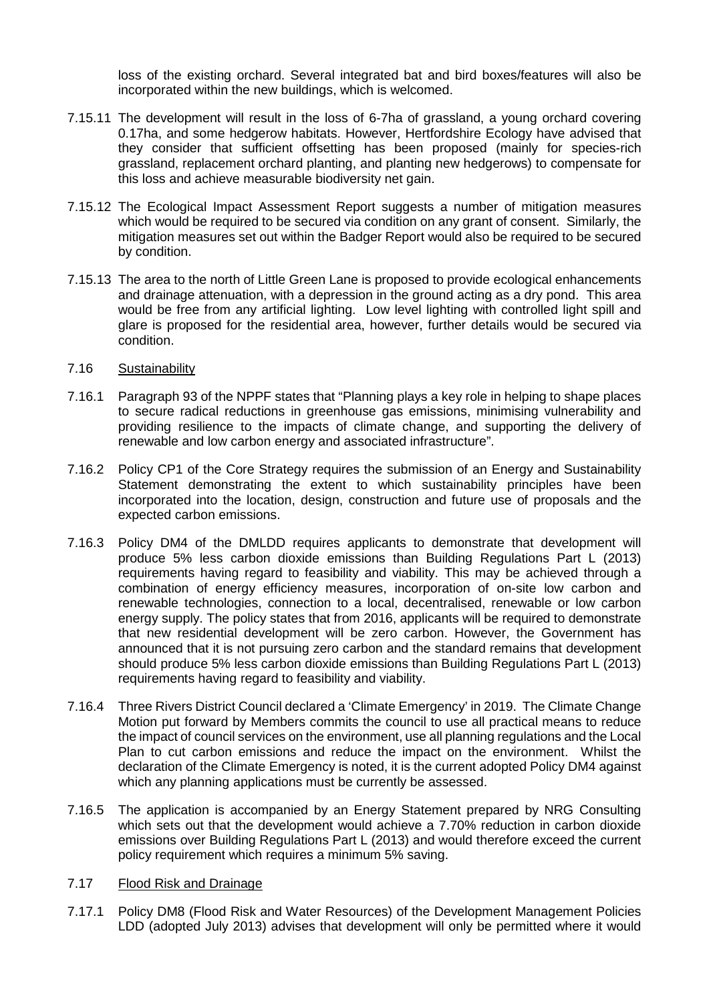loss of the existing orchard. Several integrated bat and bird boxes/features will also be incorporated within the new buildings, which is welcomed.

- 7.15.11 The development will result in the loss of 6-7ha of grassland, a young orchard covering 0.17ha, and some hedgerow habitats. However, Hertfordshire Ecology have advised that they consider that sufficient offsetting has been proposed (mainly for species-rich grassland, replacement orchard planting, and planting new hedgerows) to compensate for this loss and achieve measurable biodiversity net gain.
- 7.15.12 The Ecological Impact Assessment Report suggests a number of mitigation measures which would be required to be secured via condition on any grant of consent. Similarly, the mitigation measures set out within the Badger Report would also be required to be secured by condition.
- 7.15.13 The area to the north of Little Green Lane is proposed to provide ecological enhancements and drainage attenuation, with a depression in the ground acting as a dry pond. This area would be free from any artificial lighting. Low level lighting with controlled light spill and glare is proposed for the residential area, however, further details would be secured via condition.
- 7.16 Sustainability
- 7.16.1 Paragraph 93 of the NPPF states that "Planning plays a key role in helping to shape places to secure radical reductions in greenhouse gas emissions, minimising vulnerability and providing resilience to the impacts of climate change, and supporting the delivery of renewable and low carbon energy and associated infrastructure".
- 7.16.2 Policy CP1 of the Core Strategy requires the submission of an Energy and Sustainability Statement demonstrating the extent to which sustainability principles have been incorporated into the location, design, construction and future use of proposals and the expected carbon emissions.
- 7.16.3 Policy DM4 of the DMLDD requires applicants to demonstrate that development will produce 5% less carbon dioxide emissions than Building Regulations Part L (2013) requirements having regard to feasibility and viability. This may be achieved through a combination of energy efficiency measures, incorporation of on-site low carbon and renewable technologies, connection to a local, decentralised, renewable or low carbon energy supply. The policy states that from 2016, applicants will be required to demonstrate that new residential development will be zero carbon. However, the Government has announced that it is not pursuing zero carbon and the standard remains that development should produce 5% less carbon dioxide emissions than Building Regulations Part L (2013) requirements having regard to feasibility and viability.
- 7.16.4 Three Rivers District Council declared a 'Climate Emergency' in 2019. The Climate Change Motion put forward by Members commits the council to use all practical means to reduce the impact of council services on the environment, use all planning regulations and the Local Plan to cut carbon emissions and reduce the impact on the environment. Whilst the declaration of the Climate Emergency is noted, it is the current adopted Policy DM4 against which any planning applications must be currently be assessed.
- 7.16.5 The application is accompanied by an Energy Statement prepared by NRG Consulting which sets out that the development would achieve a 7.70% reduction in carbon dioxide emissions over Building Regulations Part L (2013) and would therefore exceed the current policy requirement which requires a minimum 5% saving.
- 7.17 Flood Risk and Drainage
- 7.17.1 Policy DM8 (Flood Risk and Water Resources) of the Development Management Policies LDD (adopted July 2013) advises that development will only be permitted where it would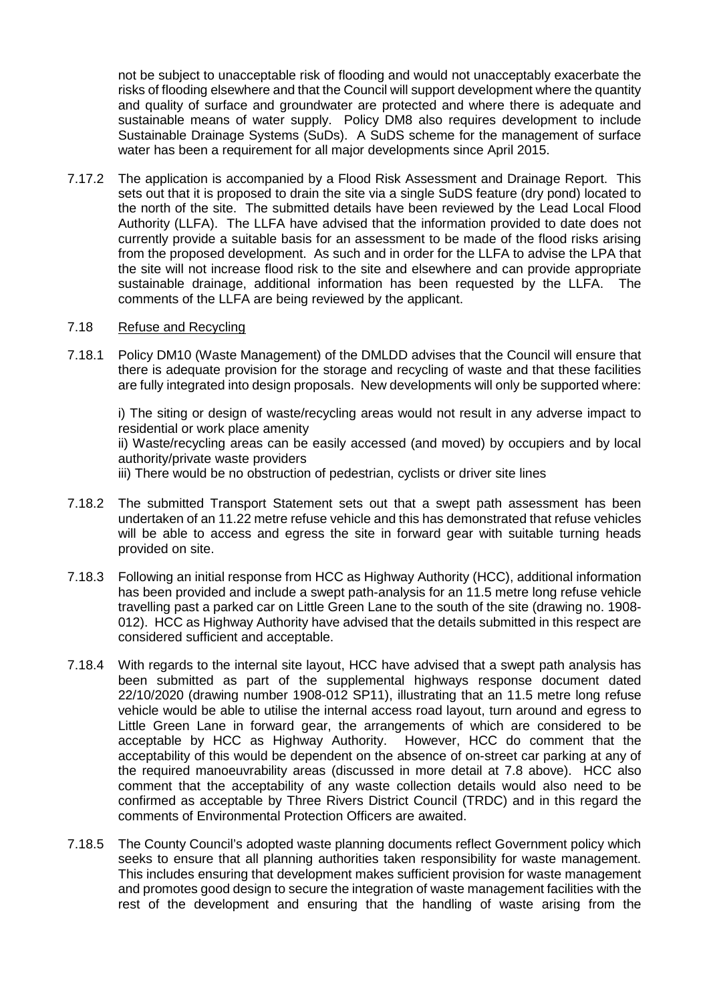not be subject to unacceptable risk of flooding and would not unacceptably exacerbate the risks of flooding elsewhere and that the Council will support development where the quantity and quality of surface and groundwater are protected and where there is adequate and sustainable means of water supply. Policy DM8 also requires development to include Sustainable Drainage Systems (SuDs). A SuDS scheme for the management of surface water has been a requirement for all major developments since April 2015.

7.17.2 The application is accompanied by a Flood Risk Assessment and Drainage Report. This sets out that it is proposed to drain the site via a single SuDS feature (dry pond) located to the north of the site. The submitted details have been reviewed by the Lead Local Flood Authority (LLFA). The LLFA have advised that the information provided to date does not currently provide a suitable basis for an assessment to be made of the flood risks arising from the proposed development. As such and in order for the LLFA to advise the LPA that the site will not increase flood risk to the site and elsewhere and can provide appropriate sustainable drainage, additional information has been requested by the LLFA. The comments of the LLFA are being reviewed by the applicant.

## 7.18 Refuse and Recycling

7.18.1 Policy DM10 (Waste Management) of the DMLDD advises that the Council will ensure that there is adequate provision for the storage and recycling of waste and that these facilities are fully integrated into design proposals. New developments will only be supported where:

i) The siting or design of waste/recycling areas would not result in any adverse impact to residential or work place amenity ii) Waste/recycling areas can be easily accessed (and moved) by occupiers and by local

authority/private waste providers

iii) There would be no obstruction of pedestrian, cyclists or driver site lines

- 7.18.2 The submitted Transport Statement sets out that a swept path assessment has been undertaken of an 11.22 metre refuse vehicle and this has demonstrated that refuse vehicles will be able to access and egress the site in forward gear with suitable turning heads provided on site.
- 7.18.3 Following an initial response from HCC as Highway Authority (HCC), additional information has been provided and include a swept path-analysis for an 11.5 metre long refuse vehicle travelling past a parked car on Little Green Lane to the south of the site (drawing no. 1908- 012). HCC as Highway Authority have advised that the details submitted in this respect are considered sufficient and acceptable.
- 7.18.4 With regards to the internal site layout, HCC have advised that a swept path analysis has been submitted as part of the supplemental highways response document dated 22/10/2020 (drawing number 1908-012 SP11), illustrating that an 11.5 metre long refuse vehicle would be able to utilise the internal access road layout, turn around and egress to Little Green Lane in forward gear, the arrangements of which are considered to be acceptable by HCC as Highway Authority. However, HCC do comment that the acceptability of this would be dependent on the absence of on-street car parking at any of the required manoeuvrability areas (discussed in more detail at 7.8 above). HCC also comment that the acceptability of any waste collection details would also need to be confirmed as acceptable by Three Rivers District Council (TRDC) and in this regard the comments of Environmental Protection Officers are awaited.
- 7.18.5 The County Council's adopted waste planning documents reflect Government policy which seeks to ensure that all planning authorities taken responsibility for waste management. This includes ensuring that development makes sufficient provision for waste management and promotes good design to secure the integration of waste management facilities with the rest of the development and ensuring that the handling of waste arising from the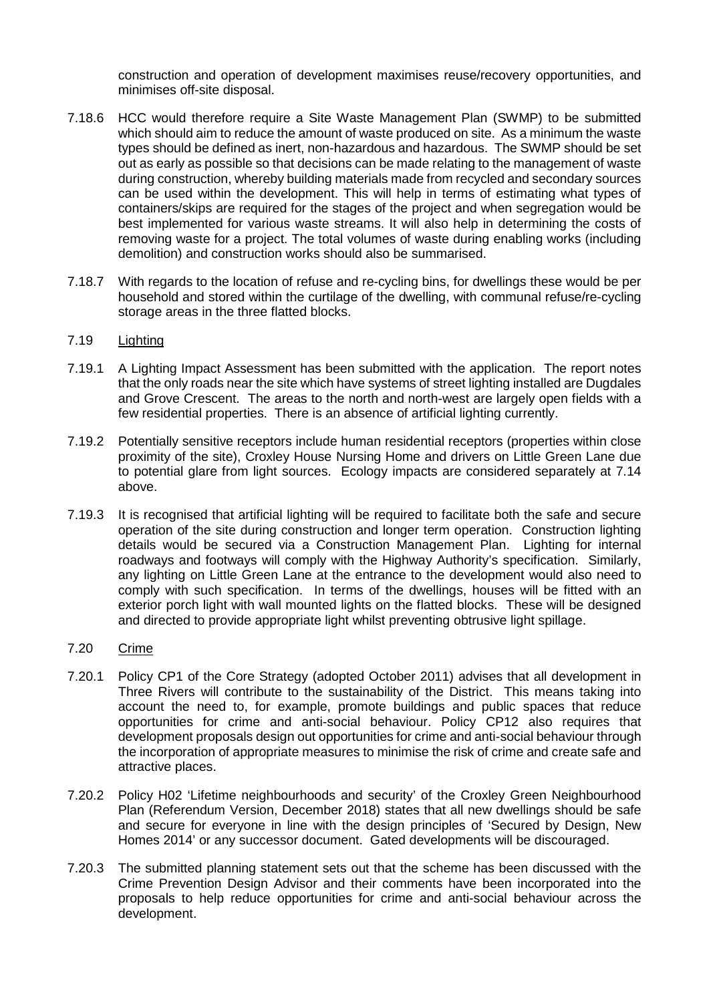construction and operation of development maximises reuse/recovery opportunities, and minimises off-site disposal.

- 7.18.6 HCC would therefore require a Site Waste Management Plan (SWMP) to be submitted which should aim to reduce the amount of waste produced on site. As a minimum the waste types should be defined as inert, non-hazardous and hazardous. The SWMP should be set out as early as possible so that decisions can be made relating to the management of waste during construction, whereby building materials made from recycled and secondary sources can be used within the development. This will help in terms of estimating what types of containers/skips are required for the stages of the project and when segregation would be best implemented for various waste streams. It will also help in determining the costs of removing waste for a project. The total volumes of waste during enabling works (including demolition) and construction works should also be summarised.
- 7.18.7 With regards to the location of refuse and re-cycling bins, for dwellings these would be per household and stored within the curtilage of the dwelling, with communal refuse/re-cycling storage areas in the three flatted blocks.

### 7.19 Lighting

- 7.19.1 A Lighting Impact Assessment has been submitted with the application. The report notes that the only roads near the site which have systems of street lighting installed are Dugdales and Grove Crescent. The areas to the north and north-west are largely open fields with a few residential properties. There is an absence of artificial lighting currently.
- 7.19.2 Potentially sensitive receptors include human residential receptors (properties within close proximity of the site), Croxley House Nursing Home and drivers on Little Green Lane due to potential glare from light sources. Ecology impacts are considered separately at 7.14 above.
- 7.19.3 It is recognised that artificial lighting will be required to facilitate both the safe and secure operation of the site during construction and longer term operation. Construction lighting details would be secured via a Construction Management Plan. Lighting for internal roadways and footways will comply with the Highway Authority's specification. Similarly, any lighting on Little Green Lane at the entrance to the development would also need to comply with such specification. In terms of the dwellings, houses will be fitted with an exterior porch light with wall mounted lights on the flatted blocks. These will be designed and directed to provide appropriate light whilst preventing obtrusive light spillage.

## 7.20 Crime

- 7.20.1 Policy CP1 of the Core Strategy (adopted October 2011) advises that all development in Three Rivers will contribute to the sustainability of the District. This means taking into account the need to, for example, promote buildings and public spaces that reduce opportunities for crime and anti-social behaviour. Policy CP12 also requires that development proposals design out opportunities for crime and anti-social behaviour through the incorporation of appropriate measures to minimise the risk of crime and create safe and attractive places.
- 7.20.2 Policy H02 'Lifetime neighbourhoods and security' of the Croxley Green Neighbourhood Plan (Referendum Version, December 2018) states that all new dwellings should be safe and secure for everyone in line with the design principles of 'Secured by Design, New Homes 2014' or any successor document. Gated developments will be discouraged.
- 7.20.3 The submitted planning statement sets out that the scheme has been discussed with the Crime Prevention Design Advisor and their comments have been incorporated into the proposals to help reduce opportunities for crime and anti-social behaviour across the development.